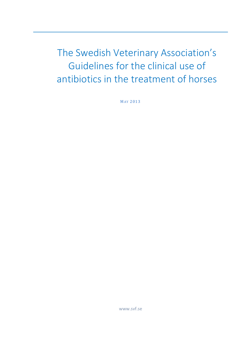The Swedish Veterinary Association's Guidelines for the clinical use of antibiotics in the treatment of horses

MAY 2013

www.svf.se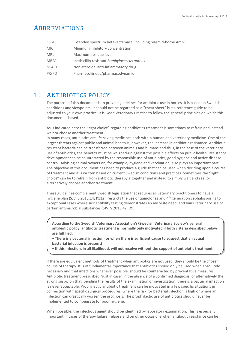# ABBREVIATIONS

| ESBL         | Extended spectrum beta-lactamase, including plasmid-borne AmpC |
|--------------|----------------------------------------------------------------|
| MIC.         | Minimum inhibitory concentration                               |
| MRL          | Maximum residue level                                          |
| <b>MRSA</b>  | methicillin resistant Staphylococcus aureus                    |
| <b>NSAID</b> | Non-steroidal anti-inflammatory drug                           |
| PK/PD        | Pharmacokinetic/pharmacodynamic                                |

# 1. ANTIBIOTICS POLICY

The purpose of this document is to provide guidelines for antibiotic use in horses. It is based on Swedish conditions and viewpoints. It should not be regarded as a "cheat sheet" but a reference guide to be adjusted to your own practice. It is Good Veterinary Practice to follow the general principles on which this document is based.

As is indicated here the "right choice" regarding antibiotics treatment is sometimes to refrain and instead wait or choose another treatment.

In many cases, antibiotics are life-saving medicines both within human and veterinary medicine. One of the largest threats against public and animal health is, however, the increase in antibiotic resistance. Antibioticresistant bacteria can be transferred between animals and humans and thus, in the case of the veterinary use of antibiotics, the benefits must be weighed-up against the possible effects on public health. Resistance development can be counteracted by the responsible use of antibiotics, good hygiene and active disease control. Advising animal owners on, for example, hygiene and vaccination, also plays an important part. The objective of this document has been to produce a guide that can be used when deciding upon a course of treatment and it is written based on current Swedish conditions and practices. Sometimes the "right choice" can be to refrain from antibiotic therapy altogether and instead to simply wait and see, or alternatively choose another treatment.

These guidelines complement Swedish legislation that requires all veterinary practitioners to have a hygiene plan (SJVFS 2013:14, K112), restricts the use of quinolones and 4th generation cephalosporins to exceptional cases where susceptibility testing demonstrates an absolute need, and bans veterinary use of certain antimicrobial substances (SJVFS 2013:42, D9).

**According to the Swedish Veterinary Association's/Swedish Veterinary Society's general antibiotic policy, antibiotic treatment is normally only motivated if both criteria described below are fulfilled:** 

**• There is a bacterial infection (or when there is sufficient cause to suspect that an actual bacterial infection is present)** 

**• If this infection, in all likelihood, will not resolve without the support of antibiotic treatment**

If there are equivalent methods of treatment when antibiotics are not used, they should be the chosen course of therapy. It is of fundamental importance that antibiotics should only be used when absolutely necessary and that infections whenever possible, should be counteracted by preventative measures. Antibiotic treatment prescribed "just in case" in the absence of a confirmed diagnosis, or alternatively the strong suspicion that, pending the results of the examination or investigation, there is a bacterial infection is never acceptable. Prophylactic antibiotic treatment can be motivated in a few specific situations in connection with specific surgical procedures, where the risk for bacterial infection is high or where an infection can drastically worsen the prognosis. The prophylactic use of antibiotics should never be implemented to compensate for poor hygiene.

When possible, the infectious agent should be identified by laboratory examination. This is especially important in cases of therapy failure, relapse and on other occasions when antibiotic resistance can be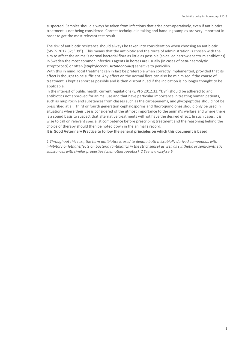suspected. Samples should always be taken from infections that arise post-operatively, even if antibiotics treatment is not being considered. Correct technique in taking and handling samples are very important in order to get the most relevant test result.

The risk of antibiotic resistance should always be taken into consideration when choosing an antibiotic (SJVFS 2012:32; "D9"). This means that the antibiotic and the route of administration is chosen with the aim to affect the animal's normal bacterial flora as little as possible (so-called narrow-spectrum antibiotics). In Sweden the most common infectious agents in horses are usually (in cases of beta-haemolytic streptococci) or often (staphylococci, *Actinobacillus*) sensitive to penicillin.

With this in mind, local treatment can in fact be preferable when correctly implemented, provided that its effect is thought to be sufficient. Any effect on the normal flora can also be minimised if the course of treatment is kept as short as possible and is then discontinued if the indication is no longer thought to be applicable.

In the interest of public health, current regulations (SJVFS 2012:32; "D9") should be adhered to and antibiotics not approved for animal use and that have particular importance in treating human patients, such as mupirocin and substances from classes such as the carbapenems, and glycopeptides should not be prescribed at all. Third or fourth generation cephalosporins and fluoroquinolones should only be used in situations where their use is considered of the utmost importance to the animal's welfare and where there is a sound basis to suspect that alternative treatments will not have the desired effect. In such cases, it is wise to call on relevant specialist competence before prescribing treatment and the reasoning behind the choice of therapy should then be noted down in the animal's record.

**It is Good Veterinary Practice to follow the general principles on which this document is based.**

*1 Throughout this text, the term antibiotics is used to denote both microbially derived compounds with inhibitory or lethal effects on bacteria (antibiotics in the strict sense) as well as synthetic or semi-synthetic substances with similar properties (chemotherapeutics). 2 See www.svf.se 6*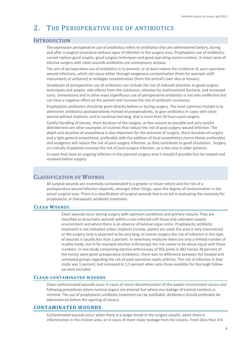# 2. THE PERIOPERATIVE USE OF ANTIBIOTICS

# INTRODUCTION

The expression perioperative use of antibiotics refers to antibiotics that are administered before, during and after a surgical procedure without signs of infection in the surgery area. Prophylactic use of antibiotics cannot replace good aseptic, good surgery techniques and good operating rooms routines. In most cases of elective surgery with clean wounds antibiotics are unnecessary anyway.

The aim of perioperative use of antibiotics is to prevent, or at least reduce the incidence of, post-operative wound infections, which can occur either through exogenous contamination (from for example staff, instruments or airborne) or endogen contamination (from the animal's own skin or tissues).

Drawbacks of perioperative use of antibiotics can include the risk of reduced attention to good surgery techniques and aseptic, side effects from the substance, infection by multiresistant bacteria, and increased costs. Unnecessary and in other ways superfluous use of perioperative antibiotics is not only ineffective but can have a negative effect on the patient and increase the risk of antibiotic resistance.

Prophylactic antibiotics should be given directly before or during surgery. The most common mistake is to administer antibiotics postoperatively instead of preoperatively, to give antibiotics in cases with clean wound without implants, and to continue too long, that is more than 24 hours post-surgery.

Careful handling of tissues, short duration of the surgery, as few sutures as possible and very careful debridement are other examples of routines that reduce the risk of post-surgery wound infection. The depth and duration of anaesthesia is also important for the outcome of surgery. Short duration of surgery and a light general anaesthesia, preferably with the addition of local anaesthetics (nerve blocks preferably) and analgesics will reduce the risk of post-surgery infection, as they contribute to good circulation. Surgery on critically ill patients increase the risk of post-surgery infection, as is the case in older patients.

In cases that have an ongoing infection in the planned surgery area it should if possible first be treated and resolved before surgery.

# CLASSIFICATION OF WOUNDS

All surgical wounds are essentially contaminated to a greater or lesser extent and the risk of a postoperative wound infection depends, amongst other things, upon the degree of contamination in the actual surgical area. There is a classification of surgical wounds that is an aid in evaluating the necessity for prophylactic or therapeutic antibiotic treatment.

# **CLEAN WOUNDS**

Clean wounds occur during surgery with optimum conditions and primary closure. They are classified as atraumatic wounds within a non-infected soft tissue and unbroken aseptic environment and where there is an absence of luminal organ entry. Prophylactic antibiotic treatment is not indicated unless implants (screws, plates) are used, the area is very traumatized or the surgery time is expected to be very long. In human surgery the risk of infection in this type of wounds is usually less than 1 percent. In veterinary medicine there are only a limited number of studies made, but in for example elective arthroscopy the risk seems to be about equal with those numbers. In one study concerning elective arthroscopy of 932 joints in 682 horses 39 percent of the horses were given preoperative antibiotics, there was no difference between the treated and untreated groups regarding the risk of post-operative septic arthritis. The risk of infection in that study was 1 percent, but increased to 1,5 percent when only those available for thorough followup were included.

# **CLEAN-CONTAMINATED WOUNDS**

Clean-contaminated wounds occur in cases of minor discontinuation of the aseptic environment occurs and following procedures where luminal organs are entered but where any leakage of luminal contents is minimal. The use of prophylactic antibiotic treatment can be justifiable. Antibiotics should preferably be administered before the opening of viscera.

# **CONTAMINATED WOUNDS**

Contaminated wounds occur when there is a longer break in the surgery aseptic, when there is inflammation in the incision area, or in cases of more major leakage from the viscera. Fresh (less than 4-6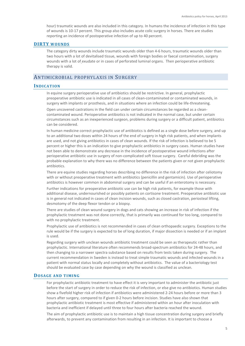hour) traumatic wounds are also included in this category. In humans the incidence of infection in this type of wounds is 10-17 percent. This group also includes acute colic surgery in horses. There are studies reporting an incidence of postoperative infection of up to 40 percent.

### **DIRTY WOUNDS**

The category dirty wounds include traumatic wounds older than 4-6 hours, traumatic wounds older than two hours with a lot of devitalised tissue, wounds with foreign bodies or faecal contamination, surgery wounds with a lot of exudate or in cases of perforated luminal organs. Then perioperative antibiotic therapy is valid.

# ANTIMICROBIAL PROPHYLAXIS IN SURGERY

#### **INDICATION**

In equine surgery perioperative use of antibiotics should be restrictive. In general, prophylactic preoperative antibiotic use is indicated in all cases of clean-contaminated or contaminated wounds, in surgery with implants or prosthesis, and in situations where an infection could be life-threatening.

Open uncovered castrations in the field can under certain circumstances be regarded as a cleancontaminated wound. Perioperative antibiotics is not indicated in the normal case, but under certain circumstances such as an inexperienced surgeon, problems during surgery or a difficult patient, antibiotics can be considered.

In human medicine correct prophylactic use of antibiotics is defined as a single dose before surgery, and up to an additional two doses within 24 hours of the end of surgery in high risk patients, and when implants are used, and not giving antibiotics in cases of clean wounds. If the risk of infection is believed to be 5 percent or higher this is an indication to give prophylactic antibiotics in surgery cases. Human studies have not been able to demonstrate any decrease in the incidence of postoperative wound infections after perioperative antibiotic use in surgery of non-complicated soft tissue surgery. Careful debriding was the probable explanation to why there was no difference between the patients given or not given prophylactic antibiotics.

There are equine studies regarding horses describing no difference in the risk of infection after celiotomy with or without preoperative treatment with antibiotics (penicillin and gentamicin). Use of perioperative antibiotics is however common in abdominal surgery and can be useful if an enterotomy is necessary.

Further indications for preoperative antibiotic use can be high risk patients, for example those with additional disease, undernourished or possibly patients on cortisone treatment. Preoperative antibiotic use is in general not indicated in cases of clean incision wounds, such as closed castration, periosteal lifting, desmotomy of the deep flexor tendon or a biopsy.

There are studies of clean wound surgery in dogs and cats showing an increase in risk of infection if the prophylactic treatment was not done correctly, that is primarily was continued for too long, compared to with no prophylactic treatment.

Prophylactic use of antibiotics is not recommended in cases of clean orthopaedic surgery. Exceptions to the rule would be if the surgery is expected to be of long duration, if major dissection is needed or if an implant is used.

Regarding surgery with unclean wounds antibiotic treatment could be seen as therapeutic rather than prophylactic. International literature often recommends broad-spectrum antibiotics for 24-48 hours, and then changing to a narrower spectra substance based on results from tests taken during surgery. The current recommendation in Sweden is instead to treat simple traumatic wounds and infected wounds in a patient with normal status locally and completely without antibiotics. The value of a bacteriology test should be evaluated case by case depending on why the wound is classified as unclean.

#### **DOSAGE AND TIMING**

For prophylactic antibiotic treatment to have effect it is very important to administer the antibiotic just before the start of surgery in order to reduce the risk of infection, or else give no antibiotics. Human studies show a fivefold higher risk of infection if antibiotics were administered 2-24 hours before or more than 3 hours after surgery, compared to if given 0-2 hours before incision. Studies have also shown that prophylactic antibiotic treatment is most effective if administered within an hour after inoculation with bacteria and inefficient if delayed until three to four hours after bacteria reached the wound.

The aim of prophylactic antibiotic use is to maintain a high tissue concentration during surgery and briefly afterwards, to prevent any contamination from resulting in an infection. It is important to choose a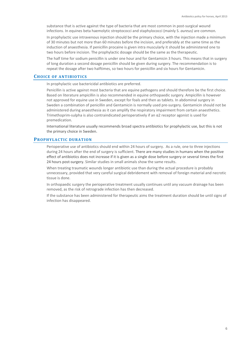substance that is active against the type of bacteria that are most common in post-surgical wound infections. In equines beta haemolytic streptococci and staphylococci (mainly S. *aureus)* are common*.* 

In prophylactic use intravenous injection should be the primary choice, with the injection made a minimum of 30 minutes but not more than 60 minutes before the incision, and preferably at the same time as the induction of anaesthesia. If penicillin procaine is given intra muscularly it should be administered one to two hours before incision. The prophylactic dosage should be the same as the therapeutic.

The half time for sodium penicillin is under one hour and for Gentamicin 3 hours. This means that in surgery of long duration a second dosage penicillin should be given during surgery. The recommendation is to repeat the dosage after two halftimes, so two hours for penicillin and six hours for Gentamicin.

#### **CHOICE OF ANTIBIOTICS**

In prophylactic use bactericidal antibiotics are preferred.

Penicillin is active against most bacteria that are equine pathogens and should therefore be the first choice. Based on literature ampicillin is also recommended in equine orthopaedic surgery. Ampicillin is however not approved for equine use in Sweden, except for foals and then as tablets. In abdominal surgery in Sweden a combination of penicillin and Gentamicin is normally used pre-surgery. Gentamicin should not be administered during anaesthesia as it can amplify the respiratory impairment from certain anaesthetics. Trimethoprim-sulpha is also contraindicated perioperatively if an  $\alpha$ 2 receptor agonist is used for premedication.

International literature usually recommends broad spectra antibiotics for prophylactic use, but this is not the primary choice in Sweden.

## **PROPHYLACTIC DURATION**

Perioperative use of antibiotics should end within 24 hours of surgery. As a rule, one to three injections during 24 hours after the end of surgery is sufficient. There are many studies in humans when the positive effect of antibiotics does not increase if it is given as a single dose before surgery or several times the first 24 hours post-surgery. Similar studies in small animals show the same results.

When treating traumatic wounds longer antibiotic use than during the actual procedure is probably unnecessary, provided that very careful surgical debridement with removal of foreign material and necrotic tissue is done.

In orthopaedic surgery the perioperative treatment usually continues until any vacuum drainage has been removed, as the risk of retrograde infection has then decreased.

If the substance has been administered for therapeutic aims the treatment duration should be until signs of infection has disappeared.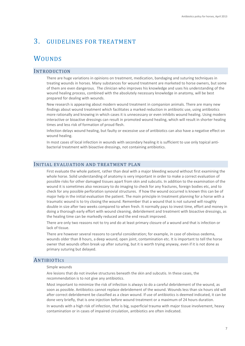# 3. GUIDELINES FOR TREATMENT

# **WOUNDS**

# INTRODUCTION

There are huge variations in opinions on treatment, medication, bandaging and suturing techniques in treating wounds in horses. Many substances for wound treatment are marketed to horse owners, but some of them are even dangerous. The clinician who improves his knowledge and uses his understanding of the wound healing process, combined with the absolutely necessary knowledge in anatomy, will be best prepared for dealing with wounds.

New research is appearing about modern wound treatment in companion animals. There are many new findings about wound treatment which facilitates a marked reduction in antibiotic use, using antibiotics more rationally and knowing in which cases it is unnecessary or even inhibits wound healing. Using modern interactive or bioactive dressings can result in promoted wound healing, which will result in shorter healing times and less risk of formation of proud flesh.

Infection delays wound healing, but faulty or excessive use of antibiotics can also have a negative effect on wound healing.

In most cases of local infection in wounds with secondary healing it is sufficient to use only topical antibacterial treatment with bioactive dressings, not containing antibiotics.

# INITIAL EVALUATION AND TREATMENT PLAN

First evaluate the whole patient, rather than deal with a major bleeding wound without first examining the whole horse. Solid understanding of anatomy is very important in order to make a correct evaluation of possible risks for other damaged tissues apart from skin and subcutis. In addition to the examination of the wound it is sometimes also necessary to do imaging to check for any fractures, foreign bodies etc, and to check for any possible perforation synovial structures. If how the wound occurred is known this can be of major help in the initial evaluation the patient. The main principle in treatment planning for a horse with a traumatic wound is to try closing the wound. Remember that a wound that is not sutured will roughly double in size after two weeks compared to when fresh. It normally pays to invest time, effort and money in doing a thorough early effort with wound cleaning, debridement and treatment with bioactive dressings, as the healing time can be markedly reduced and the end result improved.

There are only two reasons not to try and do at least primary closure of a wound and that is infection or lack of tissue.

There are however several reasons to careful consideration; for example, in case of obvious oedema, wounds older than 8 hours, a deep wound, open joint, contamination etc. It is important to tell the horse owner that wounds often break up after suturing, but it is worth trying anyway, even if it is not done as primary suturing but delayed.

# **ANTIBIOTICS**

#### Simple wounds

Are lesions that do not involve structures beneath the skin and subcutis. In these cases, the recommendation is to not give any antibiotics.

Most important to minimize the risk of infection is always to do a careful debridement of the wound, as soon as possible. Antibiotics cannot replace debridement of the wound. Wounds less than six hours old will after correct debridement be classified as a clean wound. If use of antibiotics is deemed indicated, it can be done very briefly, that is one injection before wound treatment or a maximum of 24 hours duration.

In wounds with a high risk of infection, that is big, superficial trauma with major tissue involvement, heavy contamination or in cases of impaired circulation, antibiotics are often indicated.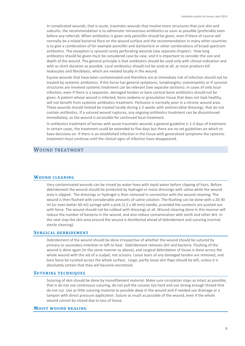In complicated wounds, that is acute, traumatic wounds that involve more structures than just skin and subcutis, the recommendation is to administer intravenous antibiotics as soon as possible (preferably even before any referral). When antibiotics is given only penicillin should be given, even if there of course will normally be a mixed bacterial flora on the wound surface and the recommendation in many other countries is to give a combination of for example penicillin and Gentamicin or other combinations of broad-spectrum antibiotics. The exception is synovial cavity perforating wounds (see separate chapter). How long antibiotics should be given must be considered case by case, and it is important to consider the size and depth of the wound. The general principle is that antibiotics should be used only with clinical indication and with as short duration as possible. Local antibiotics should not be used at all, as most products kill leukocytes and fibroblasts, which are needed locally in the wound.

Equine wounds that have been contaminated and therefore are at immediate risk of infection should not be treated by systemic antibiotics. If the horse has general symptoms, lymphangitis, osteomyelitis or if synovial structures are involved systemic treatment can be relevant (see separate sections). In cases of only local infection, even if there is a sequester, damaged tendon or bare cortical bone antibiotics should not be given. A patient whose wound is infected, bone oedema or granulation tissue that does not look healthy, will not benefit from systemic antibiotics treatment. Perfusion is normally poor in a chronic wound area. These wounds should instead be treated locally during 1-2 weeks with antimicrobial dressings, that do not contain antibiotics. If a sutured wound ruptures, any ongoing antibiotics treatment can be discontinued immediately, as the wound is accessible for continued local treatment.

In antibiotics treatment of horses with acute traumatic wounds a general guideline is 1-3 days of treatment. In certain cases, the treatment could be extended to five days but there are no set guidelines on which to base decisions on. If there is an established infection in the tissue with generalized symptoms the systemic treatment must continue until the clinical signs of infection have disappeared.

# WOUND TREATMENT

# **WOUND CLEANING**

Very contaminated wounds can be rinsed by water hose with tepid water before clipping of hairs. Before debridement the wound should be protected by hydrogel or moist dressings with saline while the wound area is clipped. The dressings or hydrogel is then removed in connection with the wound cleaning. The wound is then flushed with considerable amounts of saline solution. The flushing can be done with a 20-30 ml (or even better 60 ml) syringe with a pink (1,2 x 40 mm) needle, provided the contents are pushed out with force. The wound should not be rubbed with dressings at all. Wound cleaning done in this manner will reduce the number of bacteria in the wound, and also reduce contamination with earth and other dirt. In the next step the skin area around the wound is disinfected ahead of debridement and suturing (normal sterile cleaning).

#### **SURGICAL DEBRIDEMENT**

Debridement of the wound should be done irrespective of whether the wound should be sutured by primary or secondary intention or left to heal. Debridement removes dirt and bacteria. Flushing of the wound is done again (in the same manner as above), and surgical debridation of tissue is done across the whole wound with the aid of a scalpel, not scissors. Loose tears of any damaged tendon are removed, and bare bone be cureted across the whole surface. Large, partly loose skin flaps should be left, unless it is absolutely certain that they will become necrotized.

#### **SUTURING TECHNIQUES**

Suturing of skin should be done by monofilament material. Make sure circulation stays as intact as possible, that is do not use continuous suturing, do not pull the sutures too hard and use strong enough thread that do not cut. Use as little suturing material as possible deep in the wound and if needed use drainage or a tampon with direct pressure application. Suture as much as possible of the wound, even if the whole wound cannot be closed due to loss of tissue.

## **MOIST WOUND HEALING**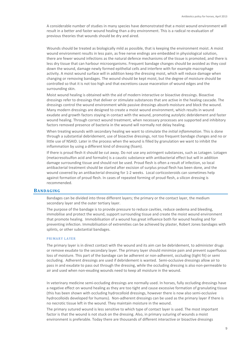A considerable number of studies in many species have demonstrated that a moist wound environment will result in a better and faster wound healing than a dry environment. This is a radical re-evaluation of previous theories that wounds should be dry and aired.

Wounds should be treated as biologically mild as possible, that is keeping the environment moist. A moist wound environment results in less pain, as free nerve endings are embedded in physiological solution, there are fewer wound infections as the natural defence mechanisms of the tissue is promoted, and there is less dry tissue that can harbour microorganisms. Frequent bandage changes should be avoided as they cool down the wound, damage newly formed epithelial cells and interfere with for example macrophage activity. A moist wound surface will in addition keep the dressing moist, which will reduce damage when changing or removing bandages. The wound should be kept moist, but the degree of moisture should be controlled so that it is not too high and that excretions cause maceration of wound edges and the surrounding skin.

Moist wound healing is obtained with the aid of modern interactive or bioactive dressings. Bioactive dressings refer to dressings that deliver or stimulate substances that are active in the healing cascade. The dressings control the wound environment while passive dressings absorb moisture and block the wound. Many modern dressings are designed to create a moist wound environment, which results in wound exudate and growth factors staying in contact with the wound, promoting autolytic debridement and faster wound healing. Through correct wound treatment, when necessary processes are supported and inhibitory factors removed presence of bacteria in the wound will normally not delay healing.

When treating wounds with secondary healing we want to stimulate the *initial inflammation*. This is done through a substantial debridement, use of bioactive dressings, not too frequent bandage changes and no or little use of NSAID. Later in the process when the wound is filled by granulation we want to inhibit the inflammation by using a different kind of dressing (foam).

If there is proud flesh it should be cut away. Do not use any astringent substances, such as Lotagen. Lotagen (metacresolsulfon acid and formalin) is a caustic substance with antibacterial effect but will in addition damage surrounding tissue and should not be used. Proud flesh is often a result of infection, so local antibacterial treatment should be started after excision of surplus proud flesh has been done, and the wound covered by an antibacterial dressing for 1-2 weeks. Local corticosteroids can sometimes help against formation of proud flesh. In cases of repeated forming of proud flesh, a silicon dressing is recommended.

#### **BANDAGING**

Bandages can be divided into three different layers; the primary or the contact layer, the medium secondary layer and the outer tertiary layer.

The purpose of the bandage is to provide pressure to reduce cavities, reduce oedema and bleeding, immobilise and protect the wound, support surrounding tissue and create the moist wound environment that promote healing. Immobilisation of a wound has great influence both for wound healing and for preventing infection. Immobilisation of extremities can be achieved by plaster, Robert Jones bandages with splints, or other substantial bandages.

#### PRIMARY LAYER

The primary layer is in direct contact with the wound and its aim can be debridement, to administer drugs or remove exudate to the secondary layer. The primary layer should minimize pain and prevent superfluous loss of moisture. This part of the bandage can be adherent or non-adherent, occluding (tight fit) or semi occluding. Adherent dressings are used if debridement is wanted. Semi-occlusive dressings allow air to pass in and exudate to pass out through the dressing, while the occluding dressing is also non-permeable to air and used when non-exuding wounds need to keep all moisture in the wound.

In veterinary medicine semi-occluding dressings are normally used. In horses, fully occluding dressings have a negative effect on wound healing as they are too tight and cause excessive formation of granulating tissue (this has been shown with occluding hydrocolloid dressings, however there is now also semi-occlusive hydrocolloids developed for humans). Non-adherent dressings can be used as the primary layer if there is no necrotic tissue left in the wound. They maintain moisture in the wound.

The primary sutured wound is less sensitive to which type of contact layer is used. The most important factor is that the wound is not stuck on the dressing. Also, in primary suturing of wounds a moist environment is preferable. Today there are thousands of different interactive or bioactive dressings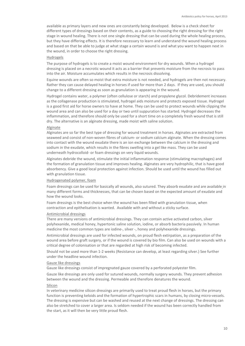available as primary layers and new ones are constantly being developed. Below is a check sheet for different types of dressings based on their contents, as a guide to choosing the right dressing for the right stage in wound healing. There is not one single dressing that can be used during the whole healing process, but they have differing effects. It is therefore necessary to learn and understand the wound healing process and based on that be able to judge at what stage a certain wound is and what you want to happen next in the wound, in order to choose the right dressing.

#### Hydrogels

The purpose of hydrogels is to create a moist wound environment for dry wounds. When a hydrogel dressing is placed on a necrotic wound it acts as a barrier that prevents moisture from the necrosis to pass into the air. Moisture accumulates which results in the necrosis dissolving.

Equine wounds are often so moist that extra moisture is not needed, and hydrogels are then not necessary. Rather they can cause delayed healing in horses if used for more than 2 days. If they are used, you should change to a different dressing as soon as granulation is appearing in the wound.

Hydrogel contains water, a polymer (often cellulose or starch) and propylene glycol. Debridement increases as the collagenase production is stimulated, hydrogel aids moisture and protects exposed tissue. Hydrogel is a good first aid for horse owners to have at home. They can be used to protect wounds while clipping the wound area and can also be used for a day or two until suppuration has started. Hydrogel decreases the inflammation, and therefore should only be used for a short time on a completely fresh wound that is still dry. The alternative is an alginate dressing, made moist with saline solution.

#### Alginate

Alginates are so far the best type of dressing for wound treatment in horses. Alginates are extracted from seaweed and consist of non-woven fibres of calcium- or sodium calcium alginate. When the dressing comes into contact with the wound exudate there is an ion exchange between the calcium in the dressing and sodium in the exudate, which results in the fibres swelling into a gel like mass. They can be used underneath hydrocolloid- or foam dressings on very liquid wounds.

Alginates debride the wound, stimulate the initial inflammation response (stimulating macrophages) and the formation of granulation tissue and improves healing. Alginates are very hydrophilic, that is have good absorbency. Give a good local protection against infection. Should be used until the wound has filled out with granulation tissue.

#### Hydrogenated polymer, foam

Foam dressings can be used for basically all wounds, also sutured. They absorb exudate and are available in many different forms and thicknesses, that can be chosen based on the expected amount of exudate and how the wound looks.

Foam dressings is the best choice when the wound has been filled with granulation tissue, when contraction and epithelisation is wanted. Available with and without a sticky surface.

#### Antimicrobial dressings

There are many versions of antimicrobial dressings. They can contain active activated carbon, silver polyhexanide, medical honey, hypertonic saline solution, iodine, or absorb bacteria passively. In human medicine the most common types are iodine-, silver -, honey and polyhexanide dressings.

Antimicrobial dressings are used for infected wounds, on proud flesh extirpation, as a preparation of the wound area before graft surgery, or if the wound is covered by bio film. Can also be used on wounds with a critical degree of colonisation or that are regarded at high risk of becoming infected.

Should not be used more than 1-2 weeks (Resistance can develop, at least regarding silver.) See further under the headline wound infection.

#### Gauze like dressings

Gauze like dressings consist of impregnated gauze covered by a perforated polyester film.

Gauze like dressings are only used for sutured wounds, normally surgery wounds. They prevent adhesion between the wound and the dressing. Permeable and therefore denatures the wound.

#### Silicon

In veterinary medicine silicon dressings are primarily used to treat proud flesh in horses, but the primary function is preventing keloids and the formation of hypertrophic scars in humans, by closing micro-vessels. The dressing is expensive but can be washed and reused at the next change of dressings. The dressing can also be stretched to cover a larger area. Is seldom needed if the wound has been correctly handled from the start, as it will then be very little proud flesh.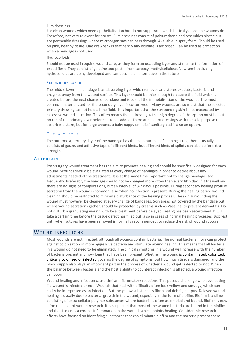#### Film dressings

For clean wounds which need epithelialization but do not suppurate, which basically all equine wounds do. Therefore, not very relevant for horses. Film dressings consist of polyurethane and resembles plastic but are permeable dressings where microorganisms can pass through. Available in spray form. Should be used on pink, healthy tissue. One drawback is that hardly any exudate is absorbed. Can be used as protection when a bandage is not used.

#### Hydrocolloids

Should not be used in equine wound care, as they form an occluding layer and stimulate the formation of proud flesh. They consist of gelatine and pectin from carboxyl methylcellulose. New semi-occluding hydrocolloids are being developed and can become an alternative in the future.

#### SECONDARY LAYER

The middle layer in a bandage is an absorbing layer which removes and stores exudate, bacteria and enzymes away from the wound surface. This layer should be thick enough to absorb the fluid which is created before the next change of bandage and is part of the immobilisation of the wound. The most common material used for the secondary layer is cotton wool. Many wounds are so moist that the selected primary dressing cannot hold all the fluid. It is important that the surrounding skin is not macerated by excessive wound secretion. This often means that a dressing with a high degree of absorption must be put on top of the primary layer before cotton is added. There are a lot of dressings with the sole purpose to absorb moisture, but for large wounds a baby nappy or ladies' sanitary pad is also an option.

#### TERTIARY LAYER

The outermost, tertiary, layer of the bandage has the main purpose of keeping it together. It usually consists of gauze, and adhesive tape of different kinds, but different kinds of splints can also be for extra strength.

#### **AFTERCARE**

Post-surgery wound treatment has the aim to promote healing and should be specifically designed for each wound. Wounds should be evaluated at every change of bandages in order to decide about any adjustments needed of the treatment. It is at the same time important not to change bandages too frequently. Preferably the bandage should not be changed more often than every fifth day, if it fits well and there are no signs of complications, but an interval of 3-7 days is possible. During secondary healing profuse secretion from the wound is common, also when no infection is present. During the healing period wound cleaning should be restricted to minimize disturbance of the healing process. The skin surrounding the wound must however be cleaned at every change of bandages. Skin areas not covered by the bandage but where wound secretions gather, should be protected by creams such as Vaseline, to prevent dermatitis. Do not disturb a granulating wound with local treatment before delayed healing has been ascertained. It will take a certain time before the tissue defect has filled out, also in cases of normal healing processes. Box rest until when sutures have been removed is normally recommended, to reduce the risk of wound rupture.

## WOUND INFECTIONS

Most wounds are not infected, although all wounds contain bacteria. The normal bacterial flora can protect against colonisation of more aggressive bacteria and stimulate wound healing. This means that all bacteria in a wound do not need to be eliminated. The clinical symptoms in a wound will increase with the number of bacteria present and how long they have been present. Whether the wound is contaminated, colonized, critically colonized or infected governs the degree of symptoms, but how much tissue is damaged, and the blood supply also plays an important part in the process of whether a wound gets infected or not. When the balance between bacteria and the host's ability to counteract infection is affected, a wound infection can occur.

Wound healing and infection cause similar inflammatory reactions. This poses a challenge when evaluating if a wound is infected or not. Wounds that heal with difficulty often look yellow and smudgy, which can easily be interpreted as an infection. But the yellow substance is fibrin and debris, not pus. Delayed wound healing is usually due to bacterial growth in the wound, especially in the form of biofilm. Biofilm is a slime consisting of extra cellular polymer substances where bacteria is often assembled and bound. Biofilm is now a focus in a lot of wound research. It is suspected that most of the wound bacteria are bound in the biofilm and that it causes a chronic inflammation in the wound, which inhibits healing. Considerable research efforts have focused on identifying substances that can eliminate biofilm and the bacteria present there.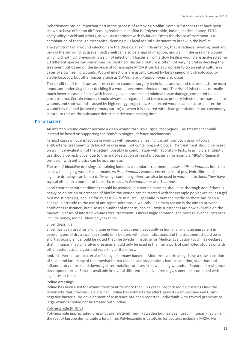Debridement has an important part in the process of removing biofilm. Some substances that have been shown to have effect on different ingredients in biofilm is: Polyhexanide, iodine, medical honey, EDTA, acetylsalicylic acid and others, as well as treatment with fly larvae. Often the choice of treatment is a combination of thorough mechanical cleaning plus local topical substances to break up the biofilm.

The symptoms of a wound infection are the classic signs of inflammation, that is redness, swelling, heat and pain in the surrounding tissue. (Bad) smell can also be a sign of infection, and pain in the area of a wound which did not hurt previously is a sign of infection. If bacteria from a slow healing wound are analysed some 10 different species can sometimes be identified. Bacterial culture is often not very helpful in deciding the treatment but based on the increase of for example MRSA it can be appropriate to do an initial culture in cases of slow healing wounds. Wound infections are usually caused by beta-haemolytic streptococci or staphylococcus, but other bacteria such as *Coliforms* and *Pseudomonas* also occur.

The condition of the tissue, as a result of for example surgery techniques and wound treatment, is the most important underlying factor deciding if a wound becomes infected or not. The risk of infection is normally much lower in cases of a cut with bleeding, even borders and minimal tissue damage, compared to in a crush trauma. Certain wounds should always be regarded and treated as primary infected, for example bite wounds and shot wounds caused by high energy projectiles. An infected wound can be sutured after the wound has cleaned (delayed primary suture) or when it is covered with clean granulation tissue (secondary suture) to reduce the substance defect and decrease healing time.

# **TREATMENT**

An infected wound cannot become a clean wound through surgical techniques. The treatment should instead be based on supporting the body's biological defence mechanisms.

In most cases of local infection in wounds with secondary healing it is sufficient to use only topical antibacterial treatment with bioactive dressings, not containing antibiotics. The treatment should be based on a clinical evaluation of the patient, possibly in combination with laboratory tests. In principle antibiotic use should be restrictive, due to the risk of selection of resistant bacteria (for example MRSA). Regional perfusion with antibiotics can be appropriate.

The use of bioactive dressings containing iodine is a standard treatment in cases of *Pseudomonas* infection in slow healing leg wounds in humans. As *Pseudomonas* wounds excrete a lot of pus, hydrofibre and alginate dressings can be used**.** Dressings containing silver can also be used in wound infections. They have topical effect on a number of bacteria, especially *Pseudomonas* and *S. aureus*.

Local treatment with antibiotics should be avoided, but wound cleaning should be thorough and if there is heavy colonisation or presence of biofilm the wound can be treated with for example polyhexanide, as a gel or a moist dressing, applied for at least 15-20 minutes. Especially in humane medicine there has been a change in attitude to the use of antiseptic solutions in wounds. One main reason is the aim to prevent antibiotics resistance, but also as a number of modern, non cell-toxic substances are now available on the market. In cases of infected wounds local treatment is increasingly common. The most relevant substances include honey, iodine, silver polyhexanide.

#### Silver dressings

Silver has been used for a long time in wound treatment, especially in humans, and is an ingredient in several types of dressings, but should only be used with clear indications and the treatment should be as short as possible. It should be noted that The Swedish Institute for Medical Evaluation (SBU) has declared that in human medicine silver dressings should only be used in the framework of controlled studies or with other systematic analyses and reporting of the effect.

Ionized silver has antibacterial effect against many bacteria. Modern silver dressings have a slow secretion of silver and lack many of the drawbacks that older silver preparations had. In addition, silver has antiinflammatory effects and downregulates metalloproteases in slow healing wounds. Reports of resistance development exist. Silver is available in several different bioactive dressings, sometimes combined with alginates or foam.

#### Iodine dressings

Iodine has been used for wound treatment for more than 150 years. Modern iodine dressings lack the drawbacks that previous versions had. Iodine has antibacterial effect against Gram-positive and Gramnegative bacteria. No development of resistance has been reported. Individuals with thyroid problems or large wounds should not be treated with iodine.

#### Polyhexanide (PHMB)

Polyhexanide impregnated dressings are relatively new in Sweden but has been used in human medicine in the rest of Europe during quite a long time. Polyhexanide is cytotoxic for bacteria including MRSA. No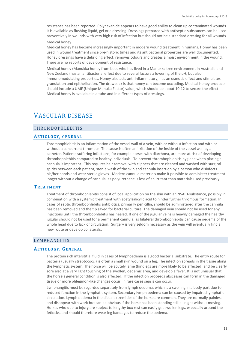resistance has been reported. Polyhexanide appears to have good ability to clean up contaminated wounds. It is available as flushing liquid, gel or a dressing. Dressings prepared with antiseptic substances can be used preventively in wounds with very high risk of infection but should not be a standard dressing for all wounds.

### Medical honey

Medical honey has become increasingly important in modern wound treatment in humans. Honey has been used in wound treatment since pre-historic times and its antibacterial properties are well documented. Honey dressings have a debriding effect, removes odours and creates a moist environment in the wound. There are no reports of development of resistance.

Medical honey (Manukka honey from bees who has lived in a Manukka tree environment in Australia and New Zeeland) has an antibacterial effect due to several factors a lowering of the pH, but also immunomodulating properties. Honey also acts anti-inflammatory, has an osmotic effect and stimulates granulation and epithelization. The drawback is that honey can become occluding. Medical honey products should include a UMF (Unique Manuka Factor) value, which should be about 10-12 to secure the effect. Medical honey is available in a tube and in different types of dressings.

# VASCULAR DISEASE

# THROMBOPHLEBITIS

## **AETIOLOGY, GENERAL**

Thrombophlebitis is an inflammation of the vessel wall of a vein, with or without infection and with or without a concurrent thrombus. The cause is often an irritation of the inside of the vessel wall by a catheter. Patients suffering infections, for example horses with diarrhoea, are more at risk of developing thrombophlebitis compared to healthy individuals. To prevent thrombophlebitis hygiene when placing a cannula is important. This requires hair removal with clippers that are cleaned and washed with surgical spirits between each patient, sterile wash of the skin and cannula insertion by a person who disinfects his/her hands and wear sterile gloves. Modern cannula materials make it possible to administer treatment longer without a change of cannula, as polyurethane is less of an irritant than materials used previously.

#### **TREATMENT**

Treatment of thrombophlebitis consist of local application on the skin with an NSAID-substance, possibly in combination with a systemic treatment with acetylsalicylic acid to hinder further thrombus formation. In cases of septic thrombophlebitis antibiotics, primarily penicillin, should be administered after the cannula has been removed and the tip saved for bacterial culture. The damaged vein should not be used for any injections until the thrombophlebitis has healed. If one of the jugular veins is heavily damaged the healthy jugular should not be used for a permanent cannula, as bilateral thrombophlebitis can cause oedema of the whole head due to lack of circulation. Surgery is very seldom necessary as the vein will eventually find a new route or develop collaterals.

# LYMPHANGITIS

#### **AETIOLOGY, GENERAL**

The protein rich interstitial fluid in cases of lymphoedema is a good bacterial substrate. The entry route for bacteria (usually streptococci) is often a small skin wound on a leg. The infection spreads in the tissue along the lymphatic system. The horse will be acutely lame (hindlegs are more likely to be affected) and be clearly sore also at a very light touching of the swollen, oedemic area, and develop a fever. It is not unusual that the horse's general condition is also affected. If the infection proceeds abscesses can form in the damaged tissue or more phlegmon-like changes occur. In rare cases sepsis can occur.

Lymphangitis must be regarded separately from lymph oedema, which is a swelling in a body part due to reduced function in the lymphatic system. Secondary lymph oedema can be caused by impaired lymphatic circulation. Lymph oedema in the distal extremities of the horse are common. They are normally painless and disappear with work but can be obvious if the horse has been standing still all night without moving. Horses who due to injury are subject to lengthy box rest can easily get swollen legs, especially around the fetlocks, and should therefore wear leg bandages to reduce the oedema.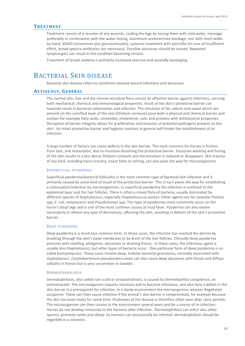## **TREATMENT**

Treatment consist of a revision of any wounds, cooling the legs by hosing them with cold water, massagepreferably in combination with the water hosing, aluminium acetotartrate bandage, rest with short walks by hand, NSAID (sometimes also glucocorticoids), systemic treatment with penicillin (in case of insufficient effect, broad spectra antibiotics are necessary). Possible abscesses should be incised. Repeated lymphangitis can result in the condition becoming chronic.

Treatment of lymph oedema is primarily increased exercise and secondly bandaging.

# BACTERIAL SKIN DISEASE

Bacterial skin disease refers to conditions beyond wound infections and abscesses.

# **AETIOLOGY, GENERAL**

The normal skin, hair and the normal microbial flora consist an effective barrier against infections, carrying both mechanical, chemical and immunological properties. Insult of the skin's protective barrier can however result in bacterial colonisation and infection. The emulsion of fat, sebum and sweat which are present on the cornified layer of the skin (*Stratum corneum*) pose both a physical and chemical barrier and contain for example fatty acids, ceramides, cholesterol, salts and proteins with antibacterial properties. Disruption of barrier integrity allows for proliferation and invasion of potential pathogens present on the skin. An intact protective barrier and hygienic routines in general will hinder the establishment of an infection.

A large number of factors can cause defects in the skin barrier. The most common for horses is friction, from tack, and maceration, due to moisture dissolving the protective barrier. Excessive washing and hosing of the skin results in a less dense *Stratum corneum* and the emulsion is reduced or disappears. Skin trauma of any kind, including micro-trauma, insect bites or itching, can also pave the way for microorganisms.

#### SUPERFICIAL PYODERMA

Superficial pyoderma/bacterial folliculitis is the most common type of bacterial skin infection and is primarily caused by some kind of insult of the protective barrier. This in turn paves the way for establishing a colonisation/infection by microorganisms. In superficial pyoderma the infection is confined to the epidermal layer and the hair follicles. There is often a mixed flora of bacteria, usually dominated by different species of Staphylococci, especially *Staphylococcus aureus*. Other agents are for example *Proteus*  spp, *E. coli*, streptococci and *Pseudomonas* spp. This type of pyodermas most commonly occur on the horse's distal legs and is one of the most common causes of mud fever. Pyoderma can also evolve secondarily to almost any type of dermatosis, affecting the skin, resulting in defects of the skin's protective barrier.

## DEEP PYODERMA

Deep pyoderma is a much less common form. In those cases, the infection has reached the dermis by breaking through the skin's basal membrane or by burst of the hair follicles. Clinically deep pyoderma presents with swelling, phlegmon, abscesses or draining fistula. In these cases, the infectious agent is usually also Staphylococci, but other types of bacteria occur. One particular form of deep pyoderma is socalled botryomycosis. These cases involve deep, nodular bacterial granuloma, normally associated with staphylococci. *Corynebacterium pseudotuberculosis* can also cause deep abscesses with fistula and diffuse cellulitis in horses but is very uncommon in Sweden.

#### DERMATOPHILOSIS

Dermatophilosis, also called rain scald or streptotrichosis, is caused by *Dermatophilus congolensis,* an actinomycete. The microorganism requires moisture and to become infectious, and also here a defect in the skin barrier is a prerequisite for infection. In a damp environment the microorganism releases flagellated zoospores. These can then cause infection if the animal's skin barrier is compromised, for example because the skin has been moist for some time. Outbreaks of the disease is therefore often seen after rainy periods. The microorganism can then survive in the environment several years and be a source of re-infection. Horses do not develop immunity to the bacteria after infection. Dermatophilosis can infect also other species, primarily cattle and sheep. As humans can occasionally be infected, dermatophilosis should be regarded as a zoonosis.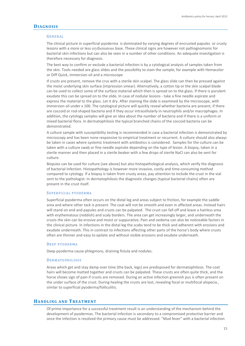# **DIAGNOSIS**

#### GENERAL

The clinical picture in superficial pyoderma is dominated by varying degrees of encrusted papules or crusty lesions with a more or less [erythematous](https://se.search.yahoo.com/search;_ylt=AwrJQ5s10t5aEQ8AiS8TOAx.;_ylu=X3oDMTEwaG85NmR1BGNvbG8DaXIyBHBvcwMxBHZ0aWQDBHNlYwNxc3MtcXJ3?type=C211SE714D20170127&fr=mcafee&ei=UTF-8&p=erythematous&fr2=12642) base. These clinical signs are however not pathognomonic for bacterial skin infections but can also be seen in a number of other conditions. An adequate investigation is therefore necessary for diagnosis.

The best way to confirm or exclude a bacterial infection is by a cytological analysis of samples taken from the skin. Tools needed are glass slides and the possibility to stain the sample, for example with Hemacolor or Diff Quick, immersion oil and a microscope

If crusts are present, remove the crus with a sterile skin scalpel. The glass slide can then be pressed against the moist underlying skin surface (impression smear). Alternatively, a cotton tip or the skin scalpel blade can be used to collect some of the surface material which then is spread on to the glass. If there is purulent exudate this can be spread on to the slide. In case of nodular lesions - take a fine needle aspirate and express the material to the glass. Let it dry. After staining the slide is examined by the microscope, with immersion oil under x 100. The cytological picture will quickly reveal whether bacteria are present, if there are coccoid or rod-shaped bacteria and if they occur intracellularly in neutrophils and/or macrophages. In addition, the cytology samples will give an idea about the number of bacteria and if there is a uniform or mixed bacterial flora. In dermatophilosis the typical branched chains of the coccoid bacteria can be demonstrated.

A culture sample with susceptibility testing is recommended in case a bacterial infection is demonstrated by microscopy and has been none responsive to empirical treatment or recurrent. A culture should also always be taken in cases where systemic treatment with antibiotics is considered. Samples for the culture can be taken with a culture swab or fine needle aspirate depending on the type of lesion. A biopsy, taken in a sterile manner and then placed in a sterile beaker with a few drops of sterile NaCl can also be sent for culture.

Biopsies can be used for culture (see above) but also histopathological analysis, which verify the diagnosis of bacterial infection. Histopathology is however more invasive, costly and time-consuming method compared to cytology. If a biopsy is taken from crusty areas, pay attention to include the crust in the vial sent to the pathologist. In dermatophilosis the diagnostic changes (typical bacterial chains) often are present in the crust itself.

#### SUPERFICIAL PYODERMA

Superficial pyoderma often occurs on the distal leg and areas subject to friction, for example the saddle area and where other tack is present. The coat will not be smooth and even in affected areas. Instead hairs will stand on end and papules and crusts can be palpated. The crust can fall off and leave a hairless area with erythematous (reddish) and scaly borders. The area can get increasingly larger, and underneath the crusts the skin can be erosive and moist or suppurative. Pain and oedema can also be noticeable factors in the clinical picture. In infections in the distal leg the scabs tend to be thick and adherent with erosions and exudate underneath. This in contrast to infections affecting other parts of the horse's body where crusts often are thinner and easy to epilate and without visible erosions and exudate underneath.

#### DEEP PYODERMA

Deep pyoderma cause phlegmons, draining fistula and nodules.

#### **DERMATOPHILOSIS**

Areas which get and stay damp over time (the back, legs) are predisposed for dermatophilosis. The coat hairs will become matted together and crusts can be palpated. These crusts are often quite thick, and the horse shows sign of pain if crusts are removed. During an active infection greenish pus is often present on the under surface of the crust. During healing the crusts are lost, revealing focal or multifocal alopecia., similar to superficial pyoderma/folliculitis.

### **HANDLING AND TREATMENT**

Of prime importance for a successful treatment result is an understanding of the mechanism behind the development of pyodermas. The bacterial infection is secondary to a compromised protective barrier and once the infection is resolved the primary cause must be addressed. "Mud fever" with a bacterial infection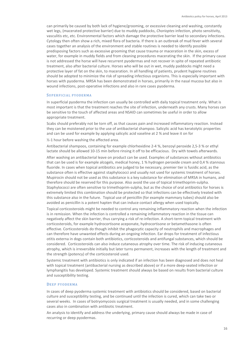can primarily be caused by both lack of hygiene/grooming, or excessive cleaning and washing, constantly wet legs, (macerated protective barrier) due to muddy paddocks, *Chorioptes* infection, photo sensitivity, vasculitis etc, etc. Environmental factors which damage the protective barrier lead to secondary infections. Cytology then often show a rich, mixed flora of bacteria. If there is an outbreak of mud fever with several cases together an analysis of the environment and stable routines is needed to identify possible predisposing factors such as excessive grooming that cause trauma or maceration in the skin, excess of water, for example in muddy fields and from cleaning procedures macerating the skin. If the primary cause is not addressed the horse will have recurrent pyodermas and not recover in spite of repeated antibiotic treatment, also after bacterial culture. Horses who will be out in wet, muddy paddocks might need a protective layer of fat on the skin, to maceration. In all handling of patients, prudent hygiene routines should be adopted to minimize the risk of spreading infectious organisms. This is especially important with horses with pyoderma. MRSA has been demonstrated in horses, primarily in the nasal mucosa but also in wound infections, post-operative infections and also in rare cases pyoderma.

#### SUPERFICIAL PYODERMA

In superficial pyoderma the infection can usually be controlled with daily topical treatment only. What is most important is that the treatment reaches the site of infection, underneath any crusts. Many horses can be sensitive to the touch of affected areas and NSAID can sometimes be useful in order to allow appropriate treatment.

Scabs should preferably not be torn off, as that causes pain and increased inflammatory reaction. Instead they can be moistened prior to the use of antibacterial shampoo. Salicylic acid has keratolytic properties and can be used for example by applying salicylic acid vaseline at 2 % and leave it on for

½-1 hour before washing the affected area.

Antibacterial shampoos, containing for example chlorhexidine 2-4 %, benzoyl peroxide 2,5-3 % or ethyl lactate should be allowed 10-15 min before rinsing it off to be efficacious. Dry with towels afterwards.

After washing an antibacterial leave on product can be used. Examples of substances without antibiotics that can be used is for example alcogels, medical honey, 1 % hydrogen peroxide cream and 0,4 % stannous fluoride. In cases when topical antibiotics are judged to be necessary, premier tier is fusidic acid, as the substance often is effective against staphylococci and usually not used for systemic treatment of horses. Mupirocin should not be used as this substance is a key substance for elimination of MRSA in humans, and therefore should be reserved for this purpose. Also avoid the use of topical trimethoprim-sulpha. Staphylococci are often sensitive to trimethoprim-sulpha, but as the choice of oral antibiotics for horses is extremely limited this combination should be protected so that infections can be effectively treated with this substance also in the future. Topical use of penicillin (for example mammary tubes) should also be avoided as penicillin is a potent hapten that can induce contact allergy when used topically.

Topical corticosteroids might be needed to control any remaining inflammatory reaction when the infection is in remission. When the infection is controlled a remaining inflammatory reaction in the tissue can negatively affect the skin barrier, thus carrying a risk of re-infection. A short-term topical treatment with corticosteroids, for example hydrocortisone aceponate, hydrocortisone or betamethasone is often effective. Corticosteroids do though inhibit the phagocytic capacity of neutrophils and macrophages and can therefore have unwanted effects during an ongoing infection. Ear drops for treatment of infectious otitis externa in dogs contain both antibiotics, corticosteroids and antifungal substances, which should be considered. Corticosteroids can also induce cutaneous atrophy over time. The risk of inducing cutaneous atrophy, which is irreversible initially but later turns permanent, increases with the length of treatment and the strength (potency) of the corticosteroid used.

Systemic treatment with antibiotics is only indicated if an infection has been diagnosed and does not heal with topical treatment (antibacterial nursing as described above) or if a more deep-seated infection or lymphangitis has developed. Systemic treatment should always be based on results from bacterial culture and susceptibility testing.

#### DEEP PYODERMA

In cases of deep pyoderma systemic treatment with antibiotics should be considered, based on bacterial culture and susceptibility testing, and be continued until the infection is cured, which can take two or several weeks. In cases of botryomycosis surgical treatment is usually needed, and in some challenging cases also in combination with antibiotic treatment.

An analysis to identify and address the underlying, primary cause should always be made in case of recurring or deep pyodermas.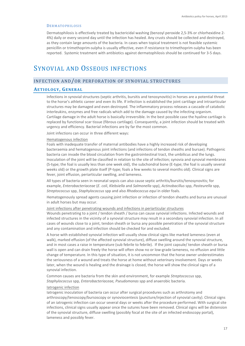#### DERMATOPHILOSIS

Dermatophilosis is effectively treated by bactericidal washing (benzoyl peroxide 2,5-3% or chlorhexidine 2- 4%) daily or every second day until the infection has healed. Any crusts should be collected and destroyed, as they contain large amounts of the bacteria. In cases when topical treatment is not feasible systemic penicillin or trimethoprim-sulpha is usually effective, even if resistance to trimethoprim-sulpha has been reported. Systemic treatment with antibiotics against dermatophilosis should be continued for 3-5 days.

# SYNOVIAL AND OSSEOUS INFECTIONS

# INFECTION AND/OR PERFORATION OF SYNOVIAL STRUCTURES

# **AETIOLOGY, GENERAL**

Infections in synovial structures (septic arthritis, bursitis and tenosynovitis) in horses are a potential threat to the horse's athletic career and even its life. If infection is established the joint cartilage and intraarticular structures may be damaged and even destroyed. The inflammatory process releases a cascade of catabolic interleukins, enzymes and free radicals which add to the damage caused by the infecting organism. Cartilage damage in the adult horse is basically irreversible. In the best possible case the hyaline cartilage is replaced by functional scar tissue (fibrous cartilage). Consequently, a joint infection should be treated with urgency and efficiency. Bacterial infections are by far the most common.

Joint infections can occur in three different ways:

#### Hematogenous infection

Foals with inadequate transfer of maternal antibodies have a highly increased risk of developing bacteraemia and hematogenous joint infections (and infections of tendon sheaths and bursae). Pathogenic bacteria can invade the blood circulation from the gastrointestinal tract, the umbilicus and the lungs. Inoculation of the joint will be classified in relation to the site of infection; synovia and synovial membranes (S-type; the foal is usually less than one week old), the subchondral bone (E-type; the foal is usually several weeks old) or the growth plate itself (P-type; foals a few weeks to several months old). Clinical signs are fever, joint effusion, periarticular swelling, and lameness.

All types of bacteria seen in neonatal sepsis can also cause septic arthritis/bursitis/tenosynovitis; for example, *Enterobacteriaceae* (*E. coli*, *Klebsiella* and *Salmonella* spp), *Actinobacillus* spp, *Pasteurella* spp, *Streptococcus* spp, *Staphylococcus* spp and also *Rhodococcus equi* in older foals.

Hematogenously spread agents causing joint infection or infection of tendon sheaths and bursa are unusual in adult horses but may occur.

#### Joint infections after penetrating wounds and infections in periarticular structures

Wounds penetrating to a joint / tendon sheath / bursa can cause synovial infections. Infected wounds and infected structures in the vicinity of a synovial structure may result in a secondary synovial infection. In all cases of wounds close to a joint, tendon sheath or bursa any possible penetration of the synovial structure and any contamination and infection should be checked for and excluded.

A horse with established synovial infection will usually show clinical signs like marked lameness (even at walk), marked effusion (of the affected synovial structure), diffuse swelling around the synovial structure, and in most cases a raise in temperature (sub febrile to febrile). If the joint capsule/ tendon sheath or bursa wall is open and can drain freely the horse will often show no or low-grade lameness, no effusion and little change of temperature. In this type of situation, it is not uncommon that the horse owner underestimates the seriousness of a wound and treats the horse at home without veterinary involvement. Days or weeks later, when the wound is healing and the drainage is closed, the horse will show the clinical signs of a synovial infection.

Common causes are bacteria from the skin and environment, for example *Streptococcus* spp, *Staphylococcus* spp*, Enterobacteriaceae, Pseudomonas* spp and anaerobic bacteria.

#### Iatrogenic infection

Iatrogenic inoculation of bacteria can occur after surgical procedures such as arthrotomy and arthroscopy/tenoscopy/bursoscopy or synoviocentesis (puncture/injection of synovial cavity). Clinical signs of an iatrogenic infection can occur several days or weeks after the procedure performed. With surgical site infections, clinical signs usually appear once the sutures have been removed. Clinical signs will be distension of the synovial structure, diffuse swelling (possibly focal at the site of an infected endoscopy portal), lameness and possibly fever.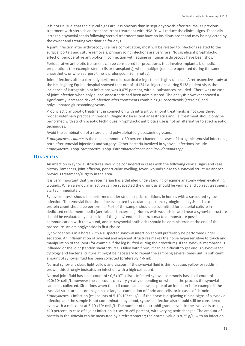It is not unusual that the clinical signs are less obvious than in septic synovitis after trauma, as previous treatment with steroids and/or concurrent treatment with NSAIDs will reduce the clinical signs. Especially iatrogenic synovial sepsis following steroid treatment may have an insidious onset and may be neglected by the owner and treating veterinarian for days.

A joint infection after arthroscopy is a rare complication, most will be related to infections related to the surgical portals and suture removals, primary joint infections are very rare. No significant prophylactic effect of perioperative antibiotics in connection with equine or human arthroscopy have been shown.

Perioperative antibiotic treatment can be considered for procedures that involve implants, biomedical preparations (for example stem cells or transplants), when multiple joints are operated during the same anaesthetic, or when surgery time is prolonged > 90 minutes).

Joint infections after a correctly performed intraarticular injection is highly unusual. A retrospective study at the Helsingborg Equine Hospital showed that out of 14124 i.a. injections during 5138 patient visits the incidence of iatrogenic joint infections was 0,075 percent, with all substances included. There was no case of joint infection when only a local anaesthetic had been administered. The analysis however showed a significantly increased risk of infection after treatments combining glucocorticoids (steroids) and polysulphated glucosaminoglycans.

Prophylactic antibiotic treatment in connection with intra articular joint treatments is not considered proper veterinary practice in Sweden. Diagnostic local joint anaesthetics and i.a. treatment should only be performed with strictly aseptic techniques. Prophylactic antibiotics use is not an alternative to strict aseptic techniques.

Avoid the combination of a steroid and polysulphated glucosaminoglycans.

*Staphylococcus aureus* is the most common (> 30 percent) bacteria in cases of iatrogenic synovial infections, both after synovial injections and surgery. Other bacteria involved in synovial infections include *Staphylococcus* spp*, Streptococcus* spp*, Enterobacteriaceae* and *Pseudomonas spp.*

## **DIAGNOSIS**

An infection in synovial structures should be considered in cases with the following clinical signs and case history: lameness, joint effusion, periarticular swelling, fever, wounds close to a synovial structure and/or previous treatment/surgery in the area.

It is very important that the veterinarian has a detailed understanding of equine anatomy when evaluating wounds. When a synovial infection can be suspected the diagnosis should be verified and correct treatment started immediately.

Synoviocentesis should be performed under strict aseptic conditions in horses with a suspected synovial infection. The synovial fluid should be evaluated by ocular inspection, cytological analysis and a total protein count should be performed. Part of the sample should be submitted for bacterial culture in dedicated enrichment media (aerobic and anaerobic). Horses with wounds located near a synovial structure should be evaluated by distension of the joint/tendon sheath/bursa to demonstrate possible communication with the wound, and intrasynovial antibiotics should be administered at the end of the procedure. An aminoglycoside is first choice.

Synoviocentesis in a horse with a suspected synovial infection should preferably be performed under sedation. An inflammation of synovial and adjacent structures makes the horse hypersensitive to touch and manipulation of the joint (for example if the leg is lifted during the procedure). If the synovial membrane is inflamed or the joint (tendon sheath/bursa is filled with fibrin, it can be difficult to get enough synovia for cytology and bacterial culture. It might be necessary to repeat the sampling several times until a sufficient amount of synovial fluid has been collected (preferably 4-6 ml).

Normal synovia is clear, light yellow and viscous. If the synovial fluid is thin, opaque, yellow or reddish brown, this strongly indicates an infection with a high cell count.

Normal joint fluid has a cell count of ≤0,5x10<sup>9</sup> cells/L. Infected synovia commonly has a cell count of  $>20x10<sup>9</sup>$  cells/L, however the cell count can vary greatly depending on when in the process the synovial sample is collected. Situations when the cell count can be low in spite of an infection is for example if the synovial structure has drainage, has a large accumulation of fibrin and cells, or in cases of chronic *Staphylococcus* infection (cell counts of 5-10x109 cells/L). If the horse is displaying clinical signs of a synovial infection and the sample is not contaminated by blood, synovial infection also should still be considered even with a cell count at 5-10  $x10^9$  cells/L. The number of neutrophil granulocytes in the synovia is usually <10 percent. In case of a joint infection it rises to ≥85 percent, with varying toxic changes. The amount of protein in the synovia can be measured by a refractometer; the normal value is 8-25 g/L, with an infection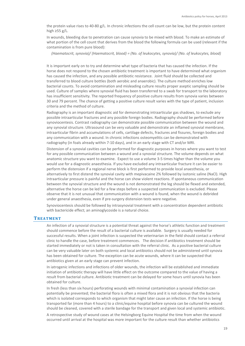the protein value rises to 40-80 g/L. In chronic infections the cell count can be low, but the protein content high  $\geq$ 55 g/L.

In wounds, bleeding due to penetration can cause synovia to be mixed with blood. To make an estimate of what portion of the cell count that derives from the blood the following formula can be used (relevant if the contamination is from pure blood):

 *(Haematocrit, synovia)/ (Haematocrit, blood) = (No. of leukocytes, synovia)/ (No. of leukocytes, blood)*

It is important early on to try and determine what type of bacteria that has caused the infection. If the horse does not respond to the chosen antibiotic treatment is important to have determined what organism has caused the infection, and any possible antibiotic resistance. Joint fluid should be collected and transferred to blood culture bottles (both aerobic and anaerobic). The culture method enriches low bacterial counts. To avoid contamination and misleading culture results proper aseptic sampling should be used. Culture of samples where synovial fluid has been transferred to a swab for transport to the laboratory has insufficient sensitivity. The reported frequency of positive culture results from synovia varies between 30 and 79 percent. The chance of getting a positive culture result varies with the type of patient, inclusion criteria and the method of culture.

Radiography is an important diagnostic aid for demonstrating intraarticular gas shadows, to exclude any possible intraarticular fractures and any possible foreign bodies. Radiography should be performed before synoviocentesis. Contrast radiography can demonstrate possible communication between the wound and any synovial structure. Ultrasound can be very valuable and demonstrate an inflamed synovial membrane, intraarticular fibrin and accumulations of cells, cartilage defects, fractures and fissures, foreign bodies and any communication with a wound. In chronic infections osteomyelitis can be demonstrated with radiography (in foals already within 7-10 days), and in an early stage with CT and/or MRI.

Distension of a synovial cavities can be performed for diagnostic purposes in horses where you want to test for any possible communication between a wound and a synovial structure. The volume depends on what anatomic structure you want to examine. Expect to use a volume 3-5 times higher than the volume you would use for a diagnostic anaesthesia. If you have excluded any intraarticular fracture it can be easier to perform the distension if a regional nerve block is first performed to provide local anaesthesia, or alternatively to first distend the synovial cavity with mepivacaine 2% followed by isotonic saline (NaCl). High intraarticular pressure is painful and the horse can show violent reactions. If spontaneous communication between the synovial structure and the wound is not demonstrated the leg should be flexed and extended, alternative the horse can be led for a few steps before a suspected communication is excluded. Please observe that it is not unusual that communication with a wound is found, when the wound is debrided under general anaesthesia, even if pre-surgery distension tests were negative.

Synoviocentesis should be followed by intrasynovial treatment with a concentration dependent antibiotic with bactericide effect; an aminoglycoside is a natural choice.

#### **TREATMENT**

An infection of a synovial structure is a potential threat against the horse's athletic function and treatment should commence before the result of a bacterial culture is available. Surgery is usually needed for successful results. When a joint infection is suspected the veterinarian in the field should contact a referral clinic to handle the case, before treatment commences. The decision if antibiotics treatment should be started immediately or not is taken in consultation with the referral clinic. As a positive bacterial culture can be very valuable later on both systemic and local antibiotics should not be administered until synovia has been obtained for culture. The exception can be acute wounds, where it can be suspected that antibiotics given at an early stage can prevent infection.

In iatrogenic infections and infections of older wounds, the infection will be established and immediate initiation of antibiotic therapy will have little effect on the outcome compared to the value of having a result from bacterial culture. Antibiotic treatment can be delayed for some hours until synovia has been obtained for culture.

In fresh (less than six hours) perforating wounds with minimal contamination a synovial infection can potentially be prevented; the bacterial flora is often a mixed flora and it is not obvious that the bacteria which is isolated corresponds to which organism that might later cause an infection. If the horse is being transported far (more than 4 hours) to a clinic/equine hospital before synovia can be cultured the wound should be cleaned, covered with a sterile bandage for the transport and given local and systemic antibiotic.

A retrospective study of wound cases at the Helsingborg Equine Hospital the time from when the wound occurred until arrival at the hospital was more important for the culture result than whether antibiotics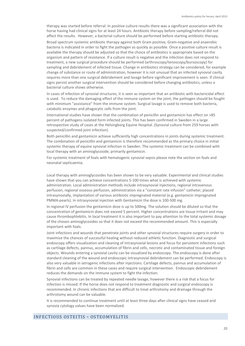therapy was started before referral. In positive culture results there was a significant association with the horse having had clinical signs for at least 24 hours. Antibiotic therapy before sampling/referral did not affect the results. However, a bacterial culture should be performed before starting antibiotic therapy.

Broad spectrum systemic antibiotic therapy against both Gram positive, Gram-negative and anaerobic bacteria is indicated in order to fight the pathogen as quickly as possible. Once a positive culture result is available the therapy should be adjusted so that the choice of antibiotics is appropriate based on the organism and pattern of resistance. If a culture result is negative and the infection does not respond to treatment, a new surgical procedure should be performed (arthroscopy/tenoscopy/bursoscopy) for sampling and debridement of infected tissue. Change in antibiotics strategy can be considered, for example change of substance or route of administration, however it is not unusual that an infected synovial cavity requires more than one surgical debridement and lavage before significant improvement is seen. If clinical signs persist another surgical intervention should be considered before changing antibiotics, unless a bacterial culture shows otherwise.

In cases of infection of synovial structures, it is seen as important that an antibiotic with bactericidal effect is used. To reduce the damaging effect of the immune system on the joint, the pathogen should be fought with minimum "assistance" from the immune system. Surgical lavage is used to remove both bacteria, catabolic enzymes and phagocytic cells from the joint.

International studies have shown that the combination of penicillin and gentamicin has effect on >85 percent of pathogens isolated form infected joints. This has been confirmed in Sweden in a large retrospective study of cases at the Helsingborg Equine Hospital. (Synovial culture from 259 horses with suspected/confirmed joint infection).

Both penicillin and gentamicin achieve sufficiently high concentrations in joints during systemic treatment. The combination of penicillin and gentamicin is therefore recommended as the primary choice in initial systemic therapy of equine synovial infection in Sweden. The systemic treatment can be combined with local therapy with an aminoglycoside, primarily gentamicin.

For systemic treatment of foals with hematogenic synovial sepsis please note the section on foals and neonatal septicaemia.

Local therapy with aminoglycosides has been shown to be very valuable. Experimental and clinical studies have shown that you can achieve concentrations 5-100 times what is achieved with systemic administration. Local administration methods include intrasynovial injections, regional intravenous perfusion, regional osseous perfusion, administration via a "constant rate infusion" catheter, placed intrasynovially, implantation of various antibiotic impregnated material (e.g. gentamicin impregnated PMMA-pearls). In intrasynovial injection with Gentamicin the dose is 100-500 mg.

In regional IV perfusion the gentamicin dose is up to 500mg. The solution should be diluted so that the concentration of gentamicin does not exceed 5 percent. Higher concentrations are tissue irritant and may cause thrombophlebitis. In local treatment it is also important to pay attention to the total systemic dosage of the chosen aminoglycosides so that it does not exceed the recommended amount. This is especially important with foals.

Joint infections and wounds that penetrate joints and other synovial structures require surgery in order to maximize the chances of successful healing without reduced athletic function. Diagnostic and surgical endoscopy offers visualization and cleaning of intrasynovial lesions and focus for persistent infections such as cartilage defects, pannus, accumulation of fibrin and cells, necrotic and contaminated tissue and foreign objects. Wounds entering a synovial cavity can be visualized by endoscopy. The endoscopy is done after standard cleaning of the wound and endoscopic intrasynovial debridement can be performed. Endoscopy is also very valuable in iatrogenic infections after injections. Cartilage defects, pannus and accumulation of fibrin and cells are common in these cases and require surgical intervention. Endoscopic debridement reduces the demands on the immune system to fight the infection.

Synovial infections can be treated by repeated needle lavage, however there is a risk that a focus for infection is missed. If the horse does not respond to treatment diagnostic and surgical endoscopy is recommended. In chronic infections that are difficult to treat arthrotomy and drainage through the arthrotomy wound can be valuable.

It is recommended to continue treatment until at least three days after clinical signs have ceased and synovia cytology values have been normalized.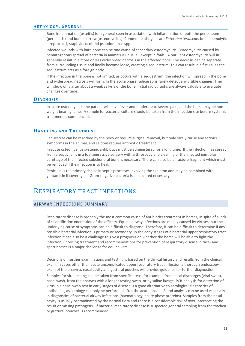### **AETIOLOGY, GENERAL**

Bone inflammation (osteitis) is in general seen in association with inflammation of both the periosteum (periostitis) and bone marrow (osteomyelitis). Common pathogens are *Enterobacteriaceae,* beta haemolytic streptococci, staphylococci and pseudomonas spp.

Infected wounds with bare bone can be one cause of secondary osteomyelitis. Osteomyelitis caused by hematogenous spread of bacteria in animals is unusual, except in foals. A purulent osteomyelitis will in generally result in a more or less widespread necrosis in the affected bone. The necrosis can be separate from surrounding tissue and finally become loose, creating a sequestrum. This can result in a fistula, as the sequestrum acts as a foreign body.

If the infection in the bone is not limited, as occurs with a sequestrum, the infection will spread in the bone and widespread necrosis will form. In the acute phase radiographs rarely detect any visible changes. They will show only after about a week as lysis of the bone. Initial radiographs are always valuable to evaluate changes over time.

#### **DIAGNOSIS**

In acute osteomyelitis the patient will have fever and moderate to severe pain, and the horse may be nonweight bearing lame. A sample for bacterial culture should be taken from the infection site before systemic treatment is commenced.

# **HANDLING AND TREATMENT**

Sequestrae can be resorbed by the body or require surgical removal, but only rarely cause any serious symptoms in the animal, and seldom require antibiotic treatment.

In acute osteomyelitis systemic antibiotics must be administered for a long time. If the infection has spread from a septic joint in a foal aggressive surgery with arthroscopy and cleaning of the infected joint plus curettage of the infected subchondral bone is necessary. There can also be a fracture fragment which must be removed if the infection is to heal.

Penicillin is the primary choice in septic processes involving the skeleton and may be combined with gentamicin if coverage of Gram-negative bacteria is considered necessary.

# RESPIRATORY TRACT INFECTIONS

# AIRWAY INFECTIONS SUMMARY

Respiratory disease is probably the most common cause of antibiotics treatment in horses, in spite of a lack of scientific documentation of the efficacy. Equine airway infections are mainly caused by viruses, but the underlying cause of symptoms can be difficult to diagnose. Therefore, it can be difficult to determine if any possible bacterial infection is primary or secondary. In the early stages of a bacterial upper respiratory tract infection it can also be a challenge to give a prognosis on whether the horse will be able to fight the infection. Choosing treatment and recommendations for prevention of respiratory disease in race- and sport horses is a major challenge for equine vets.

Decisions on further examinations and testing is based on the clinical history and results from the clinical exam. In cases other than acute uncomplicated upper respiratory tract infection a thorough endoscopy exam of the pharynx, nasal cavity and guttural pouches will provide guidance for further diagnostics. Samples for viral testing can be taken from specific areas, for example from nasal discharges (viral swab), nasal wash, from the pharynx with a longer testing swab, or by saline lavage. PCR-analysis for detection of virus in a nasal swab test in early stages of disease is a good alternative to serological diagnostics of antibodies, as serology can only be performed after the acute phase. Blood analysis can be used especially in diagnostics of bacterial airway infections (haematology, acute phase proteins). Samples from the nasal cavity is usually contaminated by the normal flora and there is a considerable risk of over-interpreting the result or missing pathogens. If bacterial respiratory disease is suspected general sampling from the trachea or guttural pouches is recommended.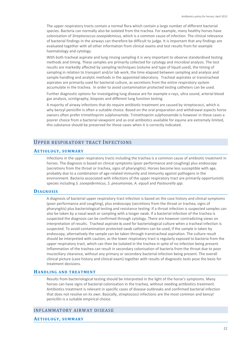The upper respiratory tracts contain a normal flora which contain a large number of different bacterial species. Bacteria can normally also be isolated from the trachea. For example, many healthy horses have colonisation of *Streptococcus zooepidemicus,* which is a common cause of infection*.* The clinical relevance of bacterial findings in the airways can therefore be difficult to judge. It is important that any findings are evaluated together with all other information from clinical exams and test results from for example haematology and cytology.

With both tracheal aspirate and lung rinsing sampling it is very important to observe standardised testing methods and timing. These samples are primarily collected for cytology and microbial analysis. The test results are markedly affected by sampling techniques (volume and type of liquid used), the timing of sampling in relation to transport and/or lab work, the time elapsed between sampling and analysis and sample handling and analytic methods in the appointed laboratory. Tracheal aspirates or transtracheal aspirates are primarily used for bacterial culture, as secretions from the entire respiratory system accumulate in the trachea. In order to avoid contamination protected testing catheters can be used.

Further diagnostic options for investigating lung disease are for example x-rays, ultra sound, arterial blood gas analysis, scintigraphy, biopsies and different lung function testing.

A majority of airway infections that do require antibiotic treatment are caused by streptococci, which is why benzyl penicillin is often a suitable choice. Based on the oral preparation and withdrawal aspects horse owners often prefer trimethoprim sulphonamide. Trimethoprim sulphonamide is however in these cases a poorer choice from a bacterial viewpoint and as oral antibiotics available for equine are extremely limited, this substance should be preserved for those cases when it is correctly indicated.

# UPPER RESPIRATORY TRACT INFECTIONS

# **AETIOLOGY, SUMMARY**

Infections in the upper respiratory tracts including the trachea is a common cause of antibiotic treatment in horses. The diagnosis is based on clinical symptoms (poor performance and coughing) plus endoscopy (secretions from the throat or trachea, signs of pharyngitis). Horses become less susceptible with age, probably due to a combination of age-related immunity and immunity against pathogens in the environment. Bacteria associated with infections of the upper respiratory tract are primarily opportunistic species including *S. zooepidermicus*, *S. pneumoniae, A. equuli* and *Pasteurella spp*.

# **DIAGNOSIS**

A diagnosis of bacterial upper respiratory tract infection is based on the case history and clinical symptoms (poor performance and coughing), plus endoscopy (secretions from the throat or trachea, signs of pharyngitis) plus bacteriological testing and resistance testing. If a throat infection is suspected samples can also be taken by a nasal wash or sampling with a longer swab. If a bacterial infection of the trachea is suspected the diagnosis can be confirmed through cytology. There are however contradicting views on interpretation of results. Tracheal aspirate is used for bacteriological culture when a tracheal infection is suspected. To avoid contamination protected swab catheters can be used, if the sample is taken by endoscopy, alternatively the sample can be taken through transtracheal aspiration. The culture result should be interpreted with caution, as the lower respiratory tract is regularly exposed to bacteria from the upper respiratory tract, which can then be isolated in the trachea in spite of no infection being present. Inflammation of the trachea can result in secondary colonisation of bacteria from the throat due to poor mucociliary clearance, without any primary or secondary bacterial infection being present. The overall clinical picture (case history and clinical exam) together with results of diagnostic tests pose the basis for treatment decisions.

# **HANDLING AND TREATMENT**

Results from bacteriological testing should be interpreted in the light of the horse's symptoms. Many horses can have signs of bacterial colonisation in the trachea, without needing antibiotics treatment. Antibiotics treatment is relevant in specific cases of disease outbreaks and confirmed bacterial infection that does not resolve on its own. Basically, streptococci infections are the most common and benzyl penicillin is a suitable empirical choice.

# INFLAMMATORY AIRWAY DISEASE

#### **AETIOLOGY, SUMMARY**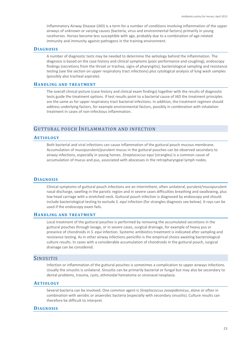Inflammatory Airway Disease (IAD) is a term for a number of conditions involving inflammation of the upper airways of unknown or varying causes (bacteria, virus and environmental factors) primarily in young racehorses. Horses become less susceptible with age, probably due to a combination of age-related immunity and immunity against pathogens in the training environment.

## **DIAGNOSIS**

A number of diagnostic tests may be needed to determine the aetiology behind the inflammation. The diagnosis is based on the case history and clinical symptoms (poor performance and coughing), endoscopy findings (secretions from the throat or trachea, signs of pharyngitis), bacteriological sampling and resistance testing (see the section on upper respiratory tract infections) plus cytological analysis of lung wash samples (possibly also tracheal aspirate).

#### **HANDLING AND TREATMENT**

The overall clinical picture (case history and clinical exam findings) together with the results of diagnostic tests guide the treatment options. If test results point to a bacterial cause of IAD the treatment principles are the same as for upper respiratory tract bacterial infections. In addition, the treatment regimen should address underlying factors, for example environmental factors, possibly in combination with inhalation treatment in cases of non-infectious inflammation.

# GUTTURAL POUCH INFLAMMATION AND INFECTION

#### **AETIOLOGY**

Both bacterial and viral infections can cause inflammation of the guttural pouch mucous membrane. Accumulation of mucopurulent/purulent mucus in the guttural pouches can be observed secondary to airway infections, especially in young horses. *Streptococcus equi* (strangles) is a common cause of accumulation of mucus and pus, associated with abscesses in the retropharyngeal lymph nodes.

# **DIAGNOSIS**

Clinical symptoms of guttural pouch infections are an intermittent, often unilateral, purulent/mucopurulent nasal discharge, swelling in the parotic region and in severe cases difficulties breathing and swallowing, plus low head carriage with a stretched neck. Guttural pouch infection is diagnosed by endoscopy and should include bacteriological testing to exclude *S. equi* infection (for strangles diagnosis see below). X-rays can be used if the endoscopy exam fails.

## **HANDLING AND TREATMENT**

Local treatment of the guttural pouches is performed by removing the accumulated secretions in the guttural pouches through lavage, or in severe cases, surgical drainage, for example of heavy pus or presence of chondroids in *S. equi* infection. Systemic antibiotics treatment is indicated after sampling and resistance testing. As in other airway infections penicillin is the empirical choice awaiting bacteriological culture results. In cases with a considerable accumulation of chondroids in the guttural pouch, surgical drainage can be considered.

## SINUSITIS

Infection or inflammation of the guttural pouches is sometimes a complication to upper airways infections. Usually the sinusitis is unilateral. Sinusitis can be primarily bacterial or fungal but may also be secondary to dental problems, trauma, cysts, ethmoidal hematoma or sinonasal neoplasia.

#### **AETIOLOGY**

Several bacteria can be involved. One common agent is *Streptococcus zooepidemicus*, alone or often in combination with aerobic or anaerobic bacteria (especially with secondary sinusitis). Culture results can therefore be difficult to interpret.

# **DIAGNOSIS**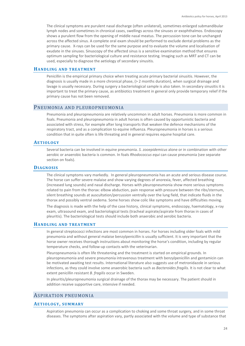The clinical symptoms are purulent nasal discharge (often unilateral), sometimes enlarged submandibular lymph nodes and sometimes in chronical cases, swellings across the sinuses or exophthalmos. Endoscopy shows a purulent flow from the opening of middle nasal meatus. The percussion tone can be unchanged across the affected sinus. A complete oral exam should be performed to exclude dental problems as the primary cause. X-rays can be used for the same purpose and to evaluate the volume and localisation of exudate in the sinuses. Sinuscopy of the affected sinus is a sensitive examination method that ensures optimum sampling for bacteriological culture and resistance testing. Imaging such as MRT and CT can be used, especially to diagnose the aetiology of secondary sinusitis.

#### **HANDLING AND TREATMENT**

Penicillin is the empirical primary choice when treating acute primary bacterial sinusitis. However, the diagnosis is usually made in a more chronical phase, (> 2 months duration), when surgical drainage and lavage is usually necessary. During surgery a bacteriological sample is also taken. In secondary sinusitis it is important to treat the primary cause, as antibiotics treatment in general only provide temporary relief if the primary cause has not been removed.

# PNEUMONIA AND PLEUROPNEUMONIA

Pneumonia and pleuropneumonia are relatively uncommon in adult horses. Pneumonia is more common in foals. Pneumonia and pleuropneumonia in adult horses is often caused by opportunistic bacteria and associated with stress, for example after long transports that weaken the defence mechanisms of the respiratory tract, and as a complication to equine influenza. Pleuropneumonia in horses is a serious condition that in quite often is life threating and in general requires equine hospital care.

# **AETIOLOGY**

Several bacteria can be involved in equine pneumonia. *S. zooepidemicus* alone or in combination with other aerobic or anaerobic bacteria is common. In foals *Rhodococcus equi* can cause pneumonia (see separate section on foals).

# **DIAGNOSIS**

The clinical symptoms vary markedly. In general pleuropneumonia has an acute and serious disease course. The horse can suffer severe malaise and show varying degrees of anorexia, fever, affected breathing (increased lung sounds) and nasal discharge. Horses with pleuropneumonia show more serious symptoms related to pain from the thorax: elbow abduction, pain response with pressure between the ribs/sternum, silent breathing sounds at auscultation/percussion ventrally over the lung field, that indicate fluids in the thorax and possibly ventral oedema. Some horses show colic like symptoms and have difficulties moving.

The diagnosis is made with the help of the case history, clinical symptoms, endoscopy, haematology, x-ray exam, ultrasound exam, and bacteriological tests (tracheal aspirate/aspirate from thorax in cases of pleuritis). The bacteriological tests should include both anaerobic and aerobic bacteria.

## **HANDLING AND TREATMENT**

In general streptococci infections are most common in horses. For horses including older foals with mild pneumonia and without general malaise benzylpenicillin is usually sufficient. It is very important that the horse owner receives thorough instructions about monitoring the horse's condition, including by regular temperature checks, and follow-up contacts with the veterinarian.

Pleuropneumonia is often life threatening and the treatment is started on empirical grounds. In pleuropneumonia and severe pneumonia intravenous treatment with benzylpenicillin and gentamicin can be motivated awaiting test results. International literature also suggests use of metronidazole in serious infections, as they could involve some anaerobic bacteria such as *Bacteroides fragilis.* It is not clear to what extent penicillin resistant *B. fragilis* occur in Sweden.

In pleuritis/pleuropneumonia surgical drainage of the thorax may be necessary. The patient should in addition receive supportive care, intensive if needed.

# ASPIRATION PNEUMONIA

#### **AETIOLOGY, SUMMARY**

Aspiration pneumonia can occur as a complication to choking and some throat surgery, and in some throat diseases. The symptoms after aspiration vary, partly associated with the volume and type of substance that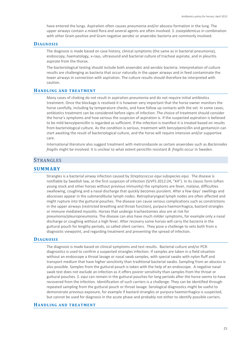have entered the lungs. Aspiration often causes pneumonia and/or abscess formation in the lung. The upper airways contain a mixed flora and several agents are often involved. *S. zooepidemicus* in combination with other Gram positive and Gram negative aerobic or anaerobic bacteria are commonly involved.

### **DIAGNOSIS**

The diagnosis is made based on case history, clinical symptoms (the same as in bacterial pneumonia), endoscopy, haematology, x-rays, ultrasound and bacterial culture of tracheal aspirate, and in pleuritis aspirate from the thorax.

The bacteriological testing should include both anaerobic and aerobic bacteria. Interpretation of culture results are challenging as bacteria that occur naturally in the upper airways and in feed contaminate the lower airways in connection with aspiration. The culture results should therefore be interpreted with caution.

## **HANDLING AND TREATMENT**

Many cases of choking do not result in aspiration pneumonia and do not require initial antibiotics treatment. Once the blockage is resolved it is however very important that the horse owner monitors the horse carefully, including by temperature checks, and have follow up contacts with the vet. In some cases, antibiotics treatment can be considered before signs of infection. The choice of treatment should consider the horse's symptoms and how serious the suspicion of aspiration is. If the suspected aspiration is believed to be mild benzylpenicillin is regarded as sufficient. If the infection is manifest it is treated based on results from bacteriological culture. As the condition is serious, treatment with benzylpenicillin and gentamicin can start awaiting the result of bacteriological culture, and the horse will require intensive and/or supportive care.

International literature also suggest treatment with metronidazole as certain anaerobes such as *Bacteroides fragilis* might be involved*.* It is unclear to what extent penicillin resistant *B. fragilis* occur in Sweden.

# **STRANGLES**

# **SUMMARY**

Strangles is a bacterial airway infection caused by *Streptococcus equi* subspecies *equi.* The disease is notifiable by Swedish law, at the first suspicion of infection (SJVFS 2012:24; "K4"). In its classic form (often young stock and other horses without previous immunity) the symptoms are fever, malaise, difficulties swallowing, coughing and a nasal discharge that quickly becomes purulent. After a few days' swellings and abscesses appear in the submandibular lymph nodes. Retropharyngeal lymph nodes are often affected and might rupture into the guttural pouches. The disease can cause serious complications such as constrictions in the upper airways (restricted breathing and throat function), purpura haemorrhagica, bastard strangles or immune mediated myositis. Horses that undergo tracheotomies also are at risk for pneumonia/pleuropneumonia. The disease can also have much milder symptoms, for example only a nasal discharge or coughing without a high fever. After recovery some horses will carry the bacteria in the guttural pouch for lengthy periods, so called silent carriers. They pose a challenge to vets both from a diagnostic viewpoint, and regarding treatment and preventing the spread of infection.

# **DIAGNOSIS**

The diagnosis is made based on clinical symptoms and test results. Bacterial culture and/or PCRdiagnostics is used to confirm a suspected strangles infection. If samples are taken in a field situation without an endoscope a throat lavage or nasal swab samples, with special swabs with nylon fluff and transport medium that have higher sensitivity than traditional bacterial swabs. Sampling from an abscess is also possible. Samples from the guttural pouch is taken with the help of an endoscope. A negative nasal swab test does not exclude an infection as it offers poorer sensitivity than samples from the throat or guttural pouches. *S. equi* can remain in the guttural pouches for long periods after the horse seems to have recovered from the infection. Identification of such carriers is a challenge. They can be identified through repeated sampling from the guttural pouch or throat lavage. Serological diagnostics might be useful to demonstrate previous exposure, for example if bastard strangles or purpura haemorrhagica is suspected, but cannot be used for diagnosis in the acute phase and probably not either to identify possible carriers.

## **HANDLING AND TREATMENT**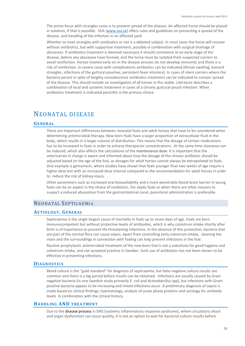The prime focus with strangles cases is to prevent spread of the disease. An affected horse should be placed in isolation, if that is possible. SVA [\(www.sva.se\)](http://www.sva.se/) offers rules and guidelines on preventing a spread of the disease, and handling of the infection in an affected yard.

Whether to treat strangles with antibiotics or not is a debated subject. In most cases the horse will recover without antibiotics, but with supportive treatment, possibly in combination with surgical drainage of abscesses. If antibiotics treatment is deemed necessary it should commence at an early stage of the disease, before any abscesses have formed, and the horse must be isolated from suspected carriers to avoid reinfection. Horses treated early on in the disease process do not develop immunity and there is a risk of reinfection. In severe cases with complications antibiotics can be indicated (throat swelling, bastard strangles, infections of the guttural pouches, persistent fever etcetera). In cases of silent carriers where the bacteria persist in spite of lengthy convalescence antibiotics treatment can be indicated to contain spread of the disease. This should include an investigation of all horses in the stable. Literature describes a combination of local and systemic treatment in cases of a chronic guttural pouch infection. When antibiotics treatment is indicated penicillin is the primary choice.

# NEONATAL DISEASE

## **GENERAL**

There are important differences between neonatal foals and adult horses that have to be considered when determining antimicrobial therapy. New-born foals have a larger proportion of extracellular fluid in the body, which results in a larger volume of distribution. This means that the dosage of certain medications has to be increased in foals in order to achieve therapeutic concentrations. At the same time clearance can be reduced, which also affects the calculations of the maintenance dose. It is important that the veterinarian in charge is aware and informed about how the dosage of the chosen antibiotic should be adjusted based on the age of the foal, as dosages for adult horses cannot always be extrapolated to foals. One example is gentamicin, where studies have shown that foals younger than two weeks of age require a higher dose but with an increased dose interval compared to the recommendation for adult horses in order to reduce the risk of kidney injury.

Other parameters such as increased oral bioavailability and a more penetrable blood-brain barrier in young foals can be an aspect in the choice of antibiotics. For septic foals or when there are other reasons to suspect a reduced absorption from the gastrointestinal canal, parenteral administration is preferable.

# NEONATAL SEPTICAEMIA

#### **AETIOLOGY, GENERAL**

Septicaemia is the single largest cause of mortality in foals up to seven days of age. Foals are born immunocompetent but without protective levels of antibodies, which is why colostrum intake shortly after birth is of importance to prevent life threatening infections. In the absence of this protection, bacteria that are part of the normal flora can cause sepsis. Apart from controlling early colostrum intake, cleaning the mare and the surroundings in connection with foaling can help prevent infections in the foal.

Routine prophylactic antimicrobial treatment of the new-born foal is not a substitute for good hygiene and colostrum intake, and not accepted practice in Sweden. Such use of antibiotics has not been shown to be effective in preventing infections.

#### **DIAGNOSTICS**

Blood culture is the "gold standard" for diagnosis of septicaemia, but false negative culture results are common and there is a lag period before results can be obtained. Infections are usually caused by Gram negative bacteria (in one Swedish study primarily *E. coli* and *Actinobacillus* spp), but infections with Gram positive bacteria appear to be increasing and mixed infections occur. A preliminary diagnosis of sepsis is made based on clinical findings, haematology, analysis of acute phase proteins and serology for antibody levels in combination with the clinical history.

# **HANDLING AND TREATMENT**

Due to the disease process in SIRS (systemic inflammatory response syndrome), where circulatory shock and organ dysfunction can occur quickly, it is not an option to wait for bacterial culture results before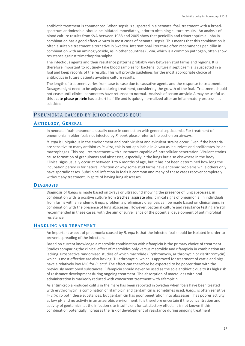antibiotic treatment is commenced. When sepsis is suspected in a neonatal foal, treatment with a broadspectrum antimicrobial should be initiated immediately, prior to obtaining culture results. An analysis of blood culture results from SVA between 1988 and 2005 show that penicillin and trimethoprim-sulpha in combination has a good effect *in vitro* in most cases of neonatal sepsis. This means that this combination is often a suitable treatment alternative in Sweden. International literature often recommends penicillin in combination with an aminoglycoside, as in other countries *E. coli,* which is a common pathogen, often show resistance against trimethoprim-sulpha.

The infectious agents and their resistance patterns probably vary between stud farms and regions. It is therefore important to routinely take blood samples for bacterial culture if septicaemia is suspected in a foal and keep records of the results. This will provide guidelines for the most appropriate choice of antibiotics in future patients awaiting culture results.

The length of treatment varies from case to case due to causative agents and the response to treatment. Dosages might need to be adjusted during treatment, considering the growth of the foal. Treatment should not cease until clinical parameters have returned to normal. Analysis of serum amyloid A may be useful as this acute phase protein has a short half-life and is quickly normalized after an inflammatory process has subsided.

# PNEUMONIA CAUSED BY RHODOCOCCUS EQUI

#### **AETIOLOGY, GENERAL**

In neonatal foals pneumonia usually occur in connection with general septicaemia. For treatment of pneumonia in older foals not infected by *R. equi,* please refer to the section on airways.

*R. equi* is ubiquitous in the environment and both virulent and avirulent strains occur. Even if the bacteria are sensitive to many antibiotics *in vitro*, this is not applicable in *in vivo* as it survives and proliferates inside macrophages. This requires treatment with substances capable of intracellular penetration. Virulent strains cause formation of granulomas and abscesses, especially in the lungs but also elsewhere in the body. Clinical signs usually occur at between 1 to 6 months of age, but it has not been determined how long the incubation period is for natural infection or why some stud farms have endemic problems while others only have sporadic cases. Subclinical infection in foals is common and many of these cases recover completely without any treatment, in spite of having lung abscesses.

## **DIAGNOSIS**

Diagnosis of *R.equi* is made based on x-rays or ultrasound showing the presence of lung abscesses, in combination with a positive culture from tracheal aspirate plus clinical signs of pneumonia. In individuals from farms with an endemic *R equi* problem a preliminary diagnosis can be made based on clinical signs in combination with the presence of lung abscesses. However, bacterial culture and resistance testing are still recommended in these cases, with the aim of surveillance of the potential development of antimicrobial resistance.

# **HANDLING AND TREATMENT**

An important aspect of pneumonia caused by *R. equi* is that the infected foal should be isolated in order to prevent spreading of the infection.

Based on current knowledge a macrolide combination with rifampicin is the primary choice of treatment. Studies comparing the clinical effect of macrolides only versus macrolide and rifampicin in combination are lacking. Prospective randomised studies of which macrolide (Erythromycin, azithromycin or clarithromycin) which is most effective are also lacking. Tulathromycin, which is approved for treatment of cattle and pigs have a relatively low MIC for *R. equi.* The effect can therefore be expected to be poorer than with the previously mentioned substances. Rifampicin should never be used as the sole antibiotic due to its high risk of resistance development during ongoing treatment. The absorption of macrolides with oral administration is markedly reduced with concurrent treatment with rifampicin.

As antimicrobial-induced colitis in the mare has been reported in Sweden when foals have been treated with erythromycin, a combination of rifampicin and gentamicin is sometimes used. *R.equi* is often sensitive *in vitro to* both these substances, but gentamicin has poor penetration into abscesses, , has poorer activity at low pH and no activity in an anaerobic environment. It is therefore uncertain if the concentration and activity of gentamicin at the infection site is sufficient for satisfactory effect. It is not known if this combination potentially increases the risk of development of resistance during ongoing treatment.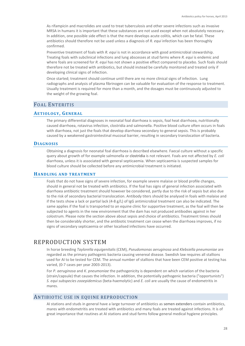As rifampicin and macrolides are used to treat tuberculosis and other severe infections such as invasive MRSA in humans it is important that these substances are not used except when not absolutely necessary. In addition, one possible side effect is that the mare develops acute colitis, which can be fatal. These antibiotics should therefore not be used unless a diagnosis of *R. equi* infection has been thoroughly confirmed.

Preventive treatment of foals with *R. equi* is not in accordance with good antimicrobial stewardship. Treating foals with subclinical infections and lung abscesses at stud farms where *R. equi* is endemic and where foals are screened for *R. equi* has not shown a positive effect compared to placebo. Such foals should therefore not be treated with antibiotics, but should instead be carefully monitored and treated only if developing clinical signs of infection.

Once started; treatment should continue until there are no more clinical signs of infection. Lung radiographs and analysis of plasma fibrinogen can be valuable for evaluation of the response to treatment. Usually treatment is required for more than a month, and the dosages must be continuously adjusted to the weight of the growing foal.

# FOAL ENTERITIS

## **AETIOLOGY, GENERAL**

The primary differential diagnoses in neonatal foal diarrhoea is sepsis, foal heat diarrhoea, nutritionally caused diarrhoea, rotavirus infection, clostridia and salmonella. Positive blood culture often occurs in foals with diarrhoea, not just the foals that develop diarrhoea secondary to general sepsis. This is probably caused by a weakened gastrointestinal mucosal barrier, resulting in secondary translocation of bacteria.

## **DIAGNOSIS**

Obtaining a diagnosis for neonatal foal diarrhoea is described elsewhere. Faecal culture without a specific query about growth of for example salmonella or clostridia is not relevant. Foals are not affected by *E. coli* diarrhoea, unless it is associated with general septicaemia. When septicaemia is suspected samples for blood culture should be collected before any antimicrobial treatment is initiated.

#### **HANDLING AND TREATMENT**

Foals that do not have signs of severe infection, for example severe malaise or blood profile changes, should in general not be treated with antibiotics. If the foal has signs of general infection associated with diarrhoea antibiotic treatment should however be considered, partly due to the risk of sepsis but also due to the risk of secondary bacterial translocation. Antibody titers should be analysed in foals with malaise and if the tests show a lack or partial lack (4-8 g/L) of IgG antimicrobial treatment can also be indicated. The same applies if the foal is transported to an equine clinic for supportive treatment, as the foal will then be subjected to agents in the new environment that the dam has not produced antibodies against in her colostrum. Please note the section above about sepsis and choice of antibiotics. Treatment times should then be considerably shorter, and the antibiotic treatment can cease when the diarrhoea improves, if no signs of secondary septicaemia or other localised infections have occurred.

# REPRODUCTION SYSTEM

In horse breeding *Taylorella equigenitalis* (CEM), *Pseudomonas aeruginosa* and *Klebsiella pneumoniae* are regarded as the primary pathogenic bacteria causing venereal disease. Swedish law requires all stallions used for AI to be tested for CEM. The annual number of stallions that have been CEM positive at testing has varied, (0-7 cases per year 2003-2013).

For *P. aeruginosa* and *K. pneumoniae* the pathogenicity is dependent on which variation of the bacteria (strain/capsule) that causes the infection. In addition, the potentially pathogenic bacteria ("opportunists") *S. equi subspecies zooepidemicus* (beta-haemolytic) and *E. coli* are usually the cause of endometritis in mares.

# ANTIBIOTIC USE IN EQUINE REPRODUCTION

AI stations and studs in general have a large turnover of antibiotics as semen extenders contain antibiotics, mares with endometritis are treated with antibiotics and many foals are treated against infections. It is of great importance that routines at AI stations and stud farms follow general medical hygiene principles.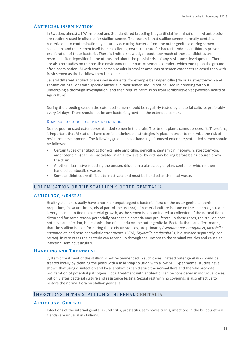### **ARTIFICIAL INSEMINATION**

In Sweden, almost all Warmblood and Standardbred breeding is by artificial insemination. In AI antibiotics are routinely used in diluents for stallion semen. The reason is that stallion semen normally contains bacteria due to contamination by naturally occurring bacteria from the outer genitalia during semen collection, and that semen itself is an excellent growth substrate for bacteria. Adding antibiotics prevents proliferation of these bacteria. There is limited knowledge about how much of these antibiotics are resorbed after deposition in the uterus and about the possible risk of any resistance development. There are also no studies on the possible environmental impact of semen extenders which end up on the ground after insemination. AI with frozen semen results in smaller amounts of semen extenders released than with fresh semen as the backflow then is a lot smaller.

Several different antibiotics are used in diluents, for example benzylpenicillin (Na or K), streptomycin and gentamicin. Stallions with specific bacteria in their semen should not be used in breeding without undergoing a thorough investigation, and then require permission from Jordbruksverket (Swedish Board of Agriculture).

During the breeding season the extended semen should be regularly tested by bacterial culture, preferably every 14 days. There should not be any bacterial growth in the extended semen.

#### DISPOSAL OF UNUSED SEMEN EXTENDERS

Do not pour unused extenders/extended semen in the drain. Treatment plants cannot process it. Therefore, it important that AI stations have careful antimicrobial strategies in place in order to minimize the risk of resistance development. The following guidelines for handling of unused extenders/extended semen should be followed:

- Certain types of antibiotics (for example ampicillin, penicillin, gentamicin, neomycin, streptomycin, amphotericin B) can be inactivated in an autoclave or by ordinary boiling before being poured down the drain
- Another alternative is putting the unused diluent in a plastic bag or glass container which is then handled combustible waste.
- Some antibiotics are difficult to inactivate and must be handled as chemical waste.

# COLONISATION OF THE STALLION'S OUTER GENITALIA

## **AETIOLOGY, GENERAL**

Healthy stallions usually have a normal nonpathogentic bacterial flora on the outer genitalia (penis, preputium, fossa urethralis, distal part of the urethra). If bacterial culture is done on the semen /ejaculate it is very unusual to find no bacterial growth, as the semen is contaminated at collection. If the normal flora is disturbed for some reason potentially pathogenic bacteria may proliferate. In these cases, the stallion does not have an infection, but colonisation of bacteria on the outer genitalia. Bacteria that can affect mares, that the stallion is used for during these circumstances, are primarily *Pseudomonas aeruginosa*, *Klebsiella pneumoniae* and beta-haemolytic streptococci (CEM, *Taylorella equigenitalis*, is discussed separately*,* see below). In rare cases the bacteria can ascend up through the urethra to the seminal vesicles and cause an infection, seminovesiculitis.

# **HANDLING AND TREATMENT**

Systemic treatment of the stallion is not recommended in such cases. Instead outer genitalia should be treated locally by cleaning the penis with a mild soap solution with a low pH. Experimental studies have shown that using disinfection and local antibiotics can disturb the normal flora and thereby promote proliferation of potential pathogens. Local treatment with antibiotics can be considered in individual cases, but only after bacterial culture and resistance testing. Sexual rest with no coverings is also effective to restore the normal flora on stallion genitalia.

# INFECTIONS IN THE STALLION'S INTERNAL GENITALIA

#### **AETIOLOGY, GENERAL**

Infections of the internal genitalia (urethritis, prostatitis, seminovesiculitis, infections in the bulbourethral glands) are unusual in stallions.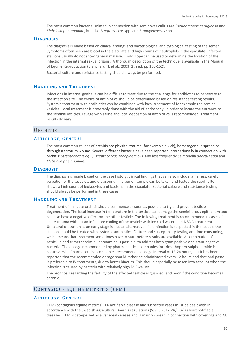The most common bacteria isolated in connection with seminovesiculitis are *Pseudomonas aeruginosa* and *Klebsiella pneumoniae*, but also *Streptococcus* spp. and *Staphylococcus* spp.

## **DIAGNOSIS**

The diagnosis is made based on clinical findings and bacteriological and cytological testing of the semen. Symptoms often seen are blood in the ejaculate and high counts of neutrophils in the ejaculate. Infected stallions usually do not show general malaise. Endoscopy can be used to determine the location of the infection in the internal sexual organs. A thorough description of the technique is available in the Manual of Equine Reproduction (Blanchard TL et al., 2003, 2th ed. pp 150-152).

Bacterial culture and resistance testing should always be performed.

## **HANDLING AND TREATMENT**

Infections in internal genitalia can be difficult to treat due to the challenge for antibiotics to penetrate to the infection site. The choice of antibiotics should be determined based on resistance testing results. Systemic treatment with antibiotics can be combined with local treatment of for example the seminal vesicles. Local treatment is preferably done with the aid of endoscopy, in order to locate the entrance to the seminal vesicles. Lavage with saline and local deposition of antibiotics is recommended. Treatment results do vary.

# **ORCHITIS**

## **AETIOLOGY, GENERAL**

The most common causes of orchitis are physical trauma (for example a kick), hematogenous spread or through a scrotum wound. Several different bacteria have been reported internationally in connection with orchitis: *Streptococcus equi, Streptococcus zooepidemicus,* and less frequently Salmonella *abortus equi* and *Klebsiella pneumonia*e.

#### **DIAGNOSIS**

The diagnosis is made based on the case history, clinical findings that can also include lameness, careful palpation of the testicles, and ultrasound. If a semen sample can be taken and tested the result often shows a high count of leukocytes and bacteria in the ejaculate. Bacterial culture and resistance testing should always be performed in these cases.

## **HANDLING AND TREATMENT**

Treatment of an acute orchitis should commence as soon as possible to try and prevent testicle degeneration. The local increase in temperature in the testicle can damage the seminiferous epithelium and can also have a negative effect on the other testicle. The following treatment is recommended in cases of acute trauma without an infection: cooling of the testicle with ice cold water, and NSAID treatment. Unilateral castration at an early stage is also an alternative. If an infection is suspected in the testicle the stallion should be treated with systemic antibiotics. Culture and susceptibility testing are time consuming, which means that treatment sometimes have to start before results are available. A combination of penicillin and trimethoprim-sulphonamide is possible, to address both gram positive and gram-negative bacteria. The dosage recommended by pharmaceutical companies for trimethoprim-sulphonamide is controversial. Pharmaceutical companies recommend a dosage interval of 12-24 hours, but it has been reported that the recommended dosage should rather be administered every 12 hours and that oral paste is preferable to IV treatments, due to better kinetics. This should especially be taken into account when the infection is caused by bacteria with relatively high MIC-values.

The prognosis regarding the fertility of the affected testicle is guarded, and poor if the condition becomes chronic.

# CONTAGIOUS EQUINE METRITIS (CEM)

## **AETIOLOGY, GENERAL**

CEM (contagious equine metritis) is a notifiable disease and suspected cases must be dealt with in accordance with the Swedish Agricultural Board's regulations (SJVFS 2012:24;" K4") about notifiable diseases. CEM is categorized as a venereal disease and is mainly spread in connection with coverings and AI.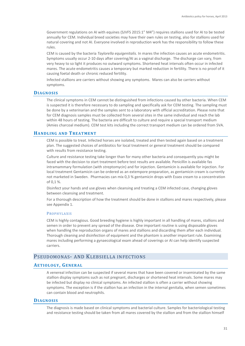Government regulations on AI with equines (SJVFS 2015:1" M4") requires stallions used for AI to be tested annually for CEM. Individual breed societies may have their own rules on testing, also for stallions used for natural covering and not AI. Everyone involved in reproduction work has the responsibility to follow these rules.

CEM is caused by the bacteria *Taylorella equigenitalis.* In mares the infection causes an acute endometritis. Symptoms usually occur 2-10 days after covering/AI as a vaginal discharge. The discharge can vary, from very heavy to so light it produces no outward symptoms. Shortened heat intervals often occur in infected mares. The acute endometritis causes a temporary but marked reduction in fertility. There is no proof of it causing foetal death or chronic reduced fertility.

Infected stallions are carriers without showing any symptoms. Mares can also be carriers without symptoms.

#### **DIAGNOSIS**

The clinical symptoms in CEM cannot be distinguished from infections caused by other bacteria. When CEM is suspected it is therefore necessary to do sampling and specifically ask for CEM testing. The sampling must be done by a veterinarian and the samples sent to a laboratory with official accreditation. Please note that for CEM diagnosis samples must be collected from several sites in the same individual and reach the lab within 48 hours of testing. The bacteria are difficult to culture and require a special transport medium (Amies charcoal medium). CEM test kits including the correct transport medium can be ordered from SVA.

## **HANDLING AND TREATMENT**

CEM is possible to treat. Infected horses are isolated, treated and then tested again based on a treatment plan. The suggested choices of antibiotics for local treatment or general treatment should be compared with results from resistance testing.

Culture and resistance testing take longer than for many other bacteria and consequently you might be faced with the decision to start treatment before test results are available. Penicillin is available fas intramammary formulation (with streptomycin) and for injection. Gentamicin is available for injection. For local treatment Gentamicin can be ordered as an extempore preparation, as gentamicin cream is currently not marketed in Sweden. Pharmacies can mix 0,3 % gentamicin drops with Essex cream to a concentration of 0,1 %.

Disinfect your hands and use gloves when cleansing and treating a CEM infected case, changing gloves between cleansing and treatment.

For a thorough description of how the treatment should be done in stallions and mares respectively, please see Appendix 1.

#### **PROPHYLAXIS**

CEM is highly contagious. Good breeding hygiene is highly important in all handling of mares, stallions and semen in order to prevent any spread of the disease. One important routine is using disposable gloves when handling the reproduction organs of mares and stallions and discarding them after each individual. Thorough cleaning and disinfection of equipment and the phantom is another important rule. Examining mares including performing a gynaecological exam ahead of coverings or AI can help identify suspected carriers.

# PSEUDOMONAS- AND KLEBSIELLA INFECTIONS

## **AETIOLOGY, GENERAL**

A venereal infection can be suspected if several mares that have been covered or inseminated by the same stallion display symptoms such as not pregnant, discharges or shortened heat intervals. Some mares may be infected but display no clinical symptoms. An infected stallion is often a carrier without showing symptoms. The exception is if the stallion has an infection in the internal genitalia, when semen sometimes can contain blood and neutrophils.

#### **DIAGNOSIS**

The diagnosis is made based on clinical symptoms and bacterial culture. Samples for bacteriological testing and resistance testing should be taken from all mares covered by the stallion and from the stallion himself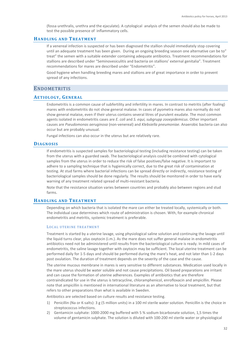(fossa urethralis, urethra and the ejaculate). A cytological analysis of the semen should also be made to test the possible presence of inflammatory cells.

# **HANDLING AND TREATMENT**

If a venereal infection is suspected or has been diagnosed the stallion should immediately stop covering until an adequate treatment has been given. During an ongoing breeding season one alternative can be to" treat" the semen with a suitable extender containing adequate antibiotics. Treatment recommendations for stallions are described under "Seminovesiculitis and bacteria on stallions' external genitalia". Treatment recommendations for mares are described under "Endometritis".

Good hygiene when handling breeding mares and stallions are of great importance in order to prevent spread of any infections.

# **ENDOMETRITIS**

## **AETIOLOGY, GENERAL**

Endometritis is a common cause of subfertility and infertility in mares. In contrast to metritis (after foaling) mares with endometritis do not show general malaise. In cases of pyometra mares also normally do not show general malaise, even if their uterus contains several litres of purulent exudate. The most common agents isolated in endometritis cases are *E. coli* and *S. equi, subgrupp zooepidemicus*. Other important causes are *Pseudomonas aeruginosa* (non-venereal) and *Klebsiella pneumoniae*. Anaerobic bacteria can also occur but are probably unusual.

Fungal infections can also occur in the uterus but are relatively rare.

## **DIAGNOSIS**

If endometritis is suspected samples for bacteriological testing (including resistance testing) can be taken from the uterus with a guarded swab. The bacteriological analysis could be combined with cytological samples from the uterus in order to reduce the risk of false positives/false negative. It is important to adhere to a sampling technique that is hygienically correct, due to the great risk of contamination at testing. At stud farms where bacterial infections can be spread directly or indirectly, resistance testing of bacteriological samples should be done regularly. The results should be monitored in order to have early warning of any treatment related spread of multi-resistant bacteria.

Note that the resistance situation varies between countries and probably also between regions and stud farms.

# **HANDLING AND TREATMENT**

Depending on which bacteria that is isolated the mare can either be treated locally, systemically or both. The individual case determines which route of administration is chosen. With, for example chronical endometritis and metritis, systemic treatment is preferable.

#### LOCAL UTERINE TREATMENT

Treatment is started by a uterine lavage, using physiological saline solution and continuing the lavage until the liquid turns clear, plus oxytocin (i.m.). As the mare does not suffer general malaise in endometritis antibiotics need not be administered until results from the bacteriological culture is ready. In mild cases of endometritis, the saline lavage together with oxytocin may be sufficient. The local uterine treatment can be performed daily for 1-5 days and should be performed during the mare's heat, and not later than 1-2 days post ovulation. The duration of treatment depends on the severity of the case and the cause.

The uterine mucous membrane in mares is very sensitive to different substances. Medication used locally in the mare uterus should be water soluble and not cause precipitations. Oil based preparations are irritant and can cause the formation of uterine adherences. Examples of antibiotics that are therefore contraindicated for use in the uterus is tetracycline, chloramphenicol, enrofloxacin and ampicillin. Please note that ampicillin is mentioned in international literature as an alternative to local treatment, but that refers to other preparations than what is available in Sweden.

Antibiotics are selected based on culture results and resistance testing.

- 1) Penicillin (Na or K-salts): 3 g (5 million units) in a 100 ml sterile water solution. Penicillin is the choice in streptococcus infections.
- 2) Gentamicin sulphate: 1000-2000 mg buffered with 5 % sodium bicarbonate solution, 1,5 times the volume of gentamicin sulphate. The solution is diluted with 100-200 ml sterile water or physiological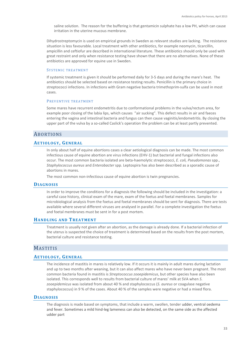saline solution. The reason for the buffering is that gentamicin sulphate has a low PH, which can cause irritation in the uterine mucous membrane.

Dihydrostreptomycin is used on empirical grounds in Sweden as relevant studies are lacking. The resistance situation is less favourable. Local treatment with other antibiotics, for example neomycin, ticarcillin, ampicillin and ceftiofur are described in international literature. These antibiotics should only be used with great restraint and only when resistance testing have shown that there are no alternatives. None of these antibiotics are approved for equine use in Sweden.

#### SYSTEMIC TREATMENT

If systemic treatment is given it should be performed daily for 3-5 days and during the mare's heat. The antibiotics should be selected based on resistance testing results. Penicillin is the primary choice in streptococci infections. In infections with Gram negative bacteria trimethoprim-sulfa can be used in most cases.

#### PREVENTIVE TREATMENT

Some mares have recurrent endometritis due to conformational problems in the vulva/rectum area, for example poor closing of the labia lips, which causes "air sucking". This defect results in air and faeces entering the vagina and intestinal bacteria and fungus can then cause vaginitis/endometritis. By closing the upper part of the vulva by a so-called Caslick's operation the problem can be at least partly prevented.

# ABORTIONS

## **AETIOLOGY, GENERAL**

In only about half of equine abortions cases a clear aetiological diagnosis can be made. The most common infectious cause of equine abortion are virus infections (EHV-1) but bacterial and fungal infections also occur. The most common bacteria isolated are beta-haemolytic streptococci, *E. coli, Pseudomonas* spp., *Staphylococcus aureus* and *Enterobacter* spp. Leptospira has also been described as a sporadic cause of abortions in mares.

The most common non-infectious cause of equine abortion is twin pregnancies.

## **DIAGNOSIS**

In order to improve the conditions for a diagnosis the following should be included in the investigation: a careful case history, clinical exam of the mare, exam of the foetus and foetal membranes. Samples for microbiological analysis from the foetus and foetal membranes should be sent for diagnosis. There are tests available where several different viruses are analysed in parallel. For a complete investigation the foetus and foetal membranes must be sent in for a post mortem.

#### **HANDLING AND TREATMENT**

Treatment is usually not given after an abortion, as the damage is already done. If a bacterial infection of the uterus is suspected the choice of treatment is determined based on the results from the post mortem, bacterial culture and resistance testing.

# MASTITIS

## **AETIOLOGY, GENERAL**

The incidence of mastitis in mares is relatively low. If it occurs it is mainly in adult mares during lactation and up to two months after weaning, but it can also affect mares who have never been pregnant. The most common bacteria found in mastitis is *Streptococcus zooepidemicus*, but other species have also been isolated. This corresponds well to results from bacterial culture of mares' milk at SVA when *S. zooepidemicus* was isolated from about 40 % and staphylococcus (*S. aureus* or coagulase negative staphylococcus) in 9 % of the cases. About 40 % of the samples were negative or had a mixed flora.

# **DIAGNOSIS**

The diagnosis is made based on symptoms, that include a warm, swollen, tender udder, ventral oedema and fever. Sometimes a mild hind-leg lameness can also be detected, on the same side as the affected udder part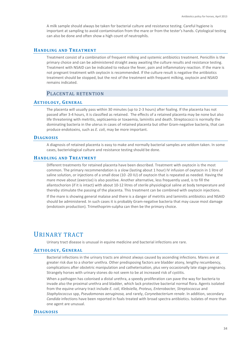A milk sample should always be taken for bacterial culture and resistance testing. Careful hygiene is important at sampling to avoid contamination from the mare or from the tester's hands. Cytological testing can also be done and often show a high count of neutrophils.

# **HANDLING AND TREATMENT**

Treatment consist of a combination of frequent milking and systemic antibiotics treatment. Penicillin is the primary choice and can be administered straight away awaiting the culture results and resistance testing. Treatment with NSAID can be indicated to reduce the fever, pain and inflammatory reaction. If the mare is not pregnant treatment with oxytocin is recommended. If the culture result is negative the antibiotics treatment should be stopped, but the rest of the treatment with frequent milking, oxytocin and NSAID remains indicated.

# PLACENTAL RETENTION

# **AETIOLOGY, GENERAL**

The placenta will usually pass within 30 minutes (up to 2-3 hours) after foaling. If the placenta has not passed after 3-4 hours, it is classified as retained. The effects of a retained placenta may be none but also life threatening with metritis, septicaemia or toxaemia, laminitis and death. Streptococci is normally the dominating bacteria in the uterus in cases of retained placenta but other Gram-negative bacteria, that can produce endotoxins, such as *E. coli*, may be more important.

# **DIAGNOSIS**

A diagnosis of retained placenta is easy to make and normally bacterial samples are seldom taken. In some cases, bacteriological culture and resistance testing should be done.

# **HANDLING AND TREATMENT**

Different treatments for retained placenta have been described. Treatment with oxytocin is the most common. The primary recommendation is a slow (lasting about 1 hour) IV infusion of oxytocin in 1 litre of saline solution, or injections of a small dose (10 -20 IU) of oxytocin that is repeated as needed. Having the mare move about (exercise) is also positive. Another alternative, less frequently used, is to fill the allantochorion (if it is intact) with about 10-12 litres of sterile physiological saline at body temperature and thereby stimulate the passing of the placenta. This treatment can be combined with oxytocin injections.

If the mare is showing general malaise and there is a danger of metritis and laminitis antibiotics and NSAID should be administered. In such cases it is probably Gram-negative bacteria that may cause most damage (endotoxin production). Trimethoprim-sulpha can then be the primary choice.

# URINARY TRACT

Urinary tract disease is unusual in equine medicine and bacterial infections are rare.

# **AETIOLOGY, GENERAL**

Bacterial infections in the urinary tracts are almost always caused by ascending infections. Mares are at greater risk due to a shorter urethra. Other predisposing factors are bladder atony, lengthy recumbency, complications after obstetric manipulation and catheterisation, plus very occasionally late stage pregnancy. Strangely horses with urinary stones do not seem to be at increased risk of cystitis.

When a pathogen has colonised a distal urethra, a speedy proliferation can pave the way for bacteria to invade also the proximal urethra and bladder, which lack protective bacterial normal flora. Agents isolated from the equine urinary tract include *E. coli, Klebsiella, Proteus, Enterobacter, Streptococcus* and *Staphylococcus* spp, *Pseudomonas aeruginosa,* and rarely, *Corynebacterium renale*. In addition, secondary *Candida* infections have been reported in foals treated with broad spectra antibiotics. Isolates of more than one agent are unusual.

# **DIAGNOSIS**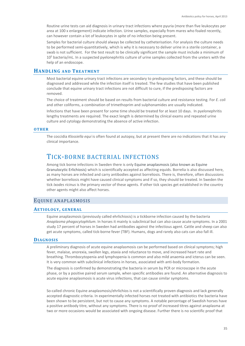Routine urine tests can aid diagnosis in urinary tract infections where pyuria (more than five leukocytes per area at 100 x enlargement) indicate infection. Urine samples, especially from mares who foaled recently, can however contain a lot of leukocytes in spite of no infection being present.

Samples for bacterial culture should always be collected by catheterisation. For analysis the culture needs to be performed semi-quantitatively, which is why it is necessary to deliver urine in a sterile container, a swab is not sufficient. For the test result to be clinically significant the sample must include a minimum of 10<sup>5</sup> bacteria/mL. In a suspected pyelonephritis culture of urine samples collected from the ureters with the help of an endoscope.

# **HANDLING AND TREATMENT**

Most bacterial equine urinary tract infections are secondary to predisposing factors, and these should be diagnosed and addressed while the infection itself is treated. The few studies that have been published conclude that equine urinary tract infections are not difficult to cure, if the predisposing factors are removed.

The choice of treatment should be based on results from bacterial culture and resistance testing. For *E. coli* and other coliforms, a combination of trimethoprim and sulphonamides are usually indicated.

Infections that have been present for some time should be treated for at least 10 days. In pyelonephritis lengthy treatments are required. The exact length is determined by clinical exams and repeated urine culture and cytology demonstrating the absence of active infection.

#### **OTHER**

The coccidia *Klossiella equi* is often found at autopsy, but at present there are no indications that it has any clinical importance.

# TICK-BORNE BACTERIAL INFECTIONS

Among tick borne infections in Sweden there is only Equine anaplasmosis (also known as Equine Granulocytic Erlichiosis) which is scientifically accepted as affecting equids. Borrelia is also discussed here, as many horses are infected and carry antibodies against borreliosis. There is, therefore, often discussions whether borreliosis might have caused clinical symptoms and if so, they should be treated. In Sweden the tick *Ixodes ricinus* is the primary vector of these agents. If other tick species get established in the country other agents might also affect horses.

# EQUINE ANAPLASMOSIS

# **AETIOLOGY, GENERAL**

Equine anaplasmosis (previously called ehrlichiosis) is a tickborne infection caused by the bacteria *Anaplasma phagocytophilum*. In horses it mainly is subclinical but can also cause acute symptoms. In a 2001 study 17 percent of horses in Sweden had antibodies against the infectious agent. Cattle and sheep can also get acute symptoms, called tick-borne fever (TBF). Humans, dogs and rarely also cats can also fall ill.

# **DIAGNOSIS**

A preliminary diagnosis of acute equine anaplasmosis can be performed based on clinical symptoms; high fever, malaise, anorexia, swollen legs, ataxia and reluctance to move, and increased heart rate and breathing. Thrombocytopenia and lymphopenia is common and also mild anaemia and icterus can be seen. It is very common with subclinical infections in horses, associated with anti-body formation.

The diagnosis is confirmed by demonstrating the bacteria in serum by PCR or microscope in the acute phase, or by a positive paired serum sample, when specific antibodies are found. An alternative diagnosis to acute equine anaplasmosis is acute virus infections, that can cause similar symptoms.

So-called chronic Equine anaplasmosis/ehrlichios is not a scientifically proven diagnosis and lack generally accepted diagnostic criteria. In experimentally infected horses not treated with antibiotics the bacteria have been shown to be persistent, but not to cause any symptoms. A notable percentage of Swedish horses have a positive antibody titre, without any symptoms. There is no proof of increased titres against anaplasma at two or more occasions would be associated with ongoing disease. Further there is no scientific proof that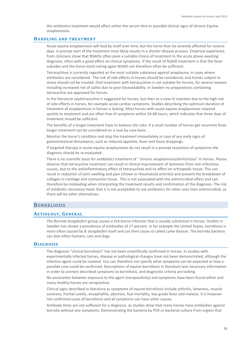the antibiotics treatment would affect either the serum titre or possible clinical signs of chronic Equine anaplasmosis.

## **HANDLING AND TREATMENT**

Acute equine anaplasmosis will heal by itself over time, but the horse than be severely affected for several days. A prompt start of the treatment most likely results in a shorter disease process. Empirical experience from clinicians show that NSAIDs often pose a suitable choice of treatment in the acute phase awaiting diagnosis, often with a good effect on clinical symptoms. If the result of NSAID treatment is that the fever subsides and the horse starts eating again NSAID can therefore often be sufficient.

Tetracyclines is currently regarded as the most suitable substance against anaplasma, in cases where antibiotics are considered. The risk of side effects in horses should be considered, and horses subject to stress should not be treated. Oral treatment with tetracyclines is not suitable for horses, for several reasons including increased risk of colitis due to poor bioavailability. In Sweden no preparations containing tetracycline are approved for horses.

In the literature oxytetracycline is suggested for horses, but then as a slow IV injection due to the high risk of side effects in horses, for example acute cardiac symptoms. Studies describing the optimum duration of treatment of anaplasmosis in horses is lacking. Most horses with acute equine anaplasmosis respond quickly to treatment and are often free of symptoms within 24-48 hours, which indicates that three days of treatment should be sufficient.

The benefits of a longer treatment have to balance the risks. If a small number of horses get recurrent fever longer treatment can be considered on a case by case basis.

Monitor the horse's condition and stop the treatment immediately in case of any early signs of gastrointestinal disturbance, such as reduced appetite, fever and loose droppings.

If targeted therapy in acute equine anaplasmosis do not result in a prompt resolution of symptoms the diagnosis should be re-evaluated.

There is no scientific basis for antibiotics treatment of "chronic anaplasmosis/ehrlichiosis" in horses. Please observe that tetracycline treatment can result in clinical improvement of lameness from non-infectious causes, due to the antiinflammatory effect of tetracyclines and its effect on orthopedic tissue. This can result in reduction of joint swelling and pain (shown in rheumatoid arthritis) and prevent the breakdown of collagen in cartilage and connective tissue. This is not associated with the antimicrobial effect and can therefore be misleading when interpreting the treatment results and confirmation of the diagnosis. The risk of antibiotic resistance mean that it is not acceptable to use antibiotics for other uses than antimicrobial, as there will be other alternatives.

# BORRELIOSIS

#### **AETIOLOGY, GENERAL**

*The Borrelia burgdorferi*-group causes a tick-borne infection that is usually subclinical in horses. Studies in Sweden has shown a prevalence of antibodies of 17 percent. In for example the United States, borreliosis is more often caused by *B. burgdorferi* itself and can then cause so called Lyme disease. The borrelia bacteria can also infect humans, cats and dogs.

#### **DIAGNOSIS**

The diagnosis "clinical borreliosis" has not been scientifically confirmed in horses. In studies with experimentally infected horses, disease or pathological changes have not been demonstrated, although the infective agent could be isolated. You can therefore not specify what symptoms can be expected or how a possible case could be confirmed. Descriptions of equine borreliosis in literature lack necessary information in order to connect described symptoms to borreliosis, and diagnostic criteria are lacking.

No association between exposure to the agent (seropositivity) and symptoms have been found either and many healthy horses are seropositive.

Clinical signs described in literature as symptoms of equine borreliosis include arthritis, lameness, muscle soreness, frontal uveitis, encephalitis, abortion, foal mortality, low grade fever and malaise. It is however not confirmed cases of borreliosis and all symptoms can have other causes.

Antibody titres are not sufficient for a diagnosis, as studies show that many horses have antibodies against borrelia without any symptoms. Demonstrating the bacteria by PCR or bacterial culture from organs that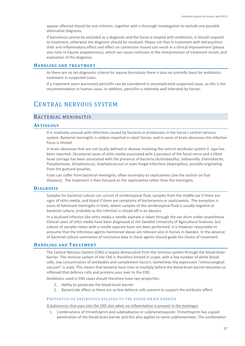appear affected should be one criterion, together with a thorough investigation to exclude any possible alternative diagnosis.

If borreliosis cannot be excluded as a diagnosis and the horse is treated with antibiotics, it should respond to treatment, otherwise the diagnosis should be revalued. Please not that in treatment with tetracyclines their anti-inflammatory effect and effect on connective tissues can result in a clinical improvement (please also note re Equine anaplasmosis), which can cause confusion in the interpretation of treatment results and evaluation of the diagnosis.

## **HANDLING AND TREATMENT**

As there are no set diagnostic criteria for equine borreliosis there is also no scientific basis for antibiotics treatment in suspected cases.

If a treatment seem warranted penicillin can be considered in uncomplicated suspected cases, as this is the recommendation in human cases. In addition, penicillin is relatively well tolerated by horses.

# CENTRAL NERVOUS SYSTEM

# BACTERIAL MENINGITIS

#### **AETIOLOGY**

It is relatively unusual with infections caused by bacteria or protozoans in the horse's central nervous system. Bacterial meningitis is seldom reported in adult horses, and in cases of brain abscesses the infection focus is limited.

In brain abscesses that are not locally defined or disease involving the central vestibular system *S. equi* has been reported. Occasional cases of otitis media associated with a paralysis of the facial nerve and a tilted head carriage has been associated with the presence of bacteria (*Actinobacillus, Salmonella, Enterobacter, Pseudomonas, Streptococcus, Staphylococcus*) or even fungal infections (*Aspergillus*), possibly originating from the guttural pouches.

Foals can suffer from bacterial meningitis, often secondary to septicaemia (see the section on foal diseases). The treatment is then focused on the septicaemia rather than the meningitis.

## **DIAGNOSIS**

Samples for bacterial culture can consist of cerebrospinal fluid, samples from the middle ear if there are signs of otitis media, and blood if there are symptoms of bacteraemia or septicaemia. The exception is cases of fulminant meningitis in foals, where samples of the cerebrospinal fluid is usually negative at bacterial culture, probably as the infection is closed off in an abscess.

In a localized infection like otitis media a needle aspirate is taken through the ear drum under anaesthesia. Clinical cases of otitis media have been diagnosed at the Swedish University of Agricultural Sciences, but culture of samples taken with a needle aspirate have not been performed. It is however reasonable to presume that the infectious agents mentioned above are relevant also in horses in Sweden. In the absence of bacterial culture summaries of resistance data in these agents should guide the choice of treatment.

#### **HANDLING AND TREATMENT**

The Central Nervous System (CNS) is largely demarcated from the immune system through the blood-brain barrier. The immune system of the CNS is therefore limited in scope, with a low number of white blood cells, low concentration of antibodies and complement factors. Sometimes the expression "immunological vacuum" is used. This means that bacteria have time to multiply before the blood-brain barrier becomes so inflamed that defence cells and proteins pass over to the CNS.

Antibiotics used in CNS cases should therefore have two properties:

- 1. Ability to penetrate the blood-brain barrier
- 2. Bactericide effect as there are so few defence cells present to support the antibiotic effect.

#### PROPERTIES OF ANTIBIOTICS RELATED TO THE BLOOD-BRAIN BARRIER

A.Substances that pass into the CNS also when no inflammation is present in the meninges

1. Combinations of trimethoprim and sulphadiazine or sulphametoxazole: Trimethoprim has a good penetration of the blood-brain barrier and this also applies to some sulphonamides. The combination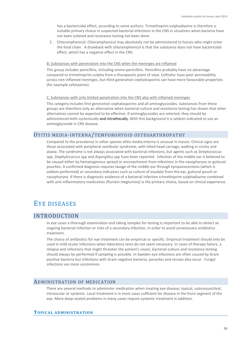has a bactericidal effect, according to some authors. Trimethoprim-sulphadiazine is therefore a suitable primary choice in suspected bacterial infections in the CNS in situations when bacteria have not been isolated and resistance testing not been done.

2. Chloramphenicol: Chloramphenicol may absolutely not be administered to horses who might enter the food chain. A drawback with chloramphenicol is that the substance does not have bactericidal effect, which has a negative effect in the CNS.

#### B. Substances with penetration into the CNS when the meninges are inflamed

This group includes penicillins, including amino-penicillins. Penicillins probably have no advantage compared to trimethoprim-sulpha from a therapeutic point of view. Ceftiofur have poor permeability across non-inflamed meninges, but third generation cephalosporins can have more favourable properties (for example cefotaxime).

#### C. Substances with only limited penetration into the CNS also with inflamed meninges

This category includes first generation cephalosporins and all aminoglycosides. Substances from these groups are therefore only an alternative when bacterial culture and resistance testing has shown that other alternatives cannot be expected to be effective. If aminoglycosides are selected, they should be administered both systemically and intrathecally. With this background it is seldom indicated to use an aminoglycoside in CNS disease.

# OTITIS MEDIA-INTERNA/TEMPOROHYOID OSTEOARTHROPATHY

Compared to the prevalence in other species otitis media-interna is unusual in horses. Clinical signs are those associated with peripheral vestibular syndrome, with tilted head carriage, walking in circles and ataxia. The syndrome is not always associated with bacterial infections, but agents such as *Streptococcus* spp, *Staphylococcus* spp and *Aspergillus* spp have been reported. Infection of the middle ear is believed to be caused either by hematogenous spread or encroachment from infections in the nasopharynx or guttural pouches. A confirmed diagnosis requires lavage of the middle ear through tympanocentesis (which is seldom performed) or secondary indicators such as culture of exudate from the ear, guttural pouch or nasopharynx. If there is diagnostic evidence of a bacterial infection trimethoprim-sulphadiazine combined with anti-inflammatory medication (flunixin meglumine) is the primary choice, based on clinical experience.

# EYE DISEASES

# INTRODUCTION

In eye cases a thorough examination and taking samples for testing is important to be able to detect an ongoing bacterial infection or risks of a secondary infection, in order to avoid unnecessary antibiotics treatment.

The choice of antibiotics for eye treatment can be empirical or specific. Empirical treatment should only be used in mild ocular infections when laboratory tests do not seem necessary. In cases of therapy failure, a relapse and infections that might threaten the patient's vision, bacterial culture and resistance testing should always be performed if sampling is possible. In Sweden eye infections are often caused by Gram positive bacteria but infections with Gram negative bacteria, parasites and viruses also occur. Fungal infections are more uncommon.

# ADMINISTRATION OF MEDICATION

There are several methods to administer medication when treating eye disease; topical, subconjunctival, intraocular or systemic. Local treatment is in most cases sufficient for disease in the front segment of the eye. More deep-seated problems in many cases require systemic treatment in addition.

# **TOPICAL ADMINISTRATION**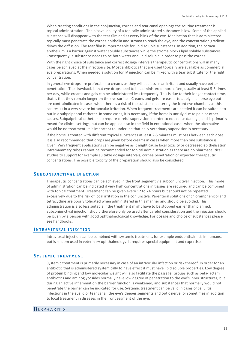When treating conditions in the conjunctiva, cornea and tear canal openings the routine treatment is topical administration. The bioavailability of a topically administered substance is low. Some of the applied substance will disappear with the tear film and at every blink of the eye. Medication that is administered topically must penetrate the cornea epithelia and stroma to reach the eye, and the concentration gradient drives the diffusion. The tear film is impermeable for lipid soluble substances. In addition, the cornea epithelium is a barrier against water soluble substances while the stroma blocks lipid soluble substances. Consequently, a substance needs to be both water and lipid soluble in order to pass the cornea.

With the right choice of substance and correct dosage intervals therapeutic concentrations will in many cases be achieved at the infection site. Most antibiotics that are used topically are available as commercial eye preparations. When needed a solution for IV injection can be mixed with a tear substitute for the right concentration.

In general eye drops are preferable to creams as they will act less as an irritant and usually have better penetration. The drawback is that eye drops need to be administered more often, usually at least 5-6 times per day, while creams and gels can be administered less frequently. This is due to their longer contact time, that is that they remain longer on the eye surface. Creams and gels are easier to apply in a horse eye but are contraindicated in cases when there is a risk of the substance entering the front eye chamber, as this can result in a very severe intraocular irritation. When frequent treatments are needed it can be suitable to put in a subpalpebral catheter. In some cases, it is necessary, if the horse is unruly due to pain or other causes. Subpalpebral catheters do require careful supervision in order to not cause damage, and is primarily meant for clinical settings, but can be applied also in the field in exceptional cases when the alternative would be no treatment. It is important to underline that daily veterinary supervision is necessary.

If the horse is treated with different topical substances at least 2-5 minutes must pass between each dose. It is also recommended that drops are given before creams in cases when more than one substance is given. Very frequent applications can be negative as it might cause local toxicity or decreased epithelisation Intramammary tubes cannot be recommended for topical administration as there are no pharmaceutical studies to support for example suitable dosage intervals, cornea penetration or expected therapeutic concentrations. The possible toxicity of the preparation should also be considered.

## **SUBCONJUNCTIVAL INJECTION**

Therapeutic concentrations can be achieved in the front segment via subconjunctival injection. This mode of administration can be indicated if very high concentrations in tissues are required and can be combined with topical treatment. Treatment can be given every 12 to 24 hours but should not be repeated excessively due to the risk of local irritation in the conjunctiva. Parenteral solutions of chloramphenicol and tetracycline are poorly tolerated when administered in this manner and should be avoided. This administration is also less suitable if the treatment might have to be stopped earlier than planned. Subconjunctival injection should therefore only be used after careful consideration and the injection should be given by a person with good ophthalmological knowledge. For dosage and choice of substances please see handbooks.

## **INTRAVITREAL INJECTION**

Intravitreal injection can be combined with systemic treatment, for example endophthalmitis in humans, but is seldom used in veterinary ophthalmology. It requires special equipment and expertise.

# **SYSTEMIC TREATMENT**

Systemic treatment is primarily necessary in case of an intraocular infection or risk thereof. In order for an antibiotic that is administered systemically to have effect it must have lipid soluble properties. Low degree of protein binding and low molecular weight will also facilitate the passage. Groups such as beta-lactam antibiotics and aminoglycosides normally have low degree of penetration to the eye's inner structures, but during an active inflammation the barrier function is weakened, and substances that normally would not penetrate the barrier can be indicated for use. Systemic treatment can be valid in cases of cellulitis, infections in the eyelid or tear canal, the eye's deeper segments and optic nerve, or sometimes in addition to local treatment in diseases in the front segment of the eye.

# **BLEPHARITIS**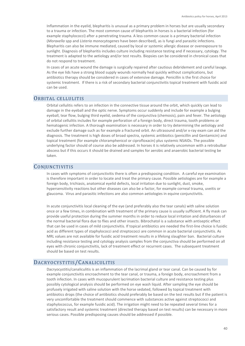Inflammation in the eyelid, blepharitis is unusual as a primary problem in horses but are usually secondary to a trauma or infection. The most common cause of blepharitis in horses is a bacterial infection (for example staphylococci) after a penetrating trauma. A less common cause is a primary bacterial infection (*Moraxella* spp and *Listeria monocytogenes* have been described), as is fungi and parasitic infections. Blepharitis can also be immune mediated, caused by local or systemic allergic disease or overexposure to sunlight. Diagnosis of blepharitis includes culture including resistance testing and if necessary, cytology. The treatment is adapted to the aetiology and/or test results. Biopsies can be considered in chronical cases that do not respond to treatment.

In cases of an acute wound the damage is surgically repaired after cautious debridement and careful lavage. As the eye lids have a strong blood supply wounds normally heal quickly without complications, but antibiotics therapy should be considered in cases of extensive damage. Penicillin is the first choice for systemic treatment. If there is a risk of secondary bacterial conjunctivitis topical treatment with fusidic acid can be used.

# ORBITAL CELLULITIS

Orbital cellulitis refers to an infection in the connective tissue around the orbit, which quickly can lead to damage in the eyeball and the optic nerve. Symptoms occur suddenly and include for example a bulging eyeball, tear flow, bulging third eyelid, oedema of the conjunctiva (chemosis), pain and fever. The aetiology of orbital cellulitis includes for example perforation of a foreign body, direct trauma, tooth problems or hematogenic infection. A thorough examination is necessary in order to try determining the aetiology and exclude further damage such as for example a fractured orbit. An ultrasound and/or x-ray exam can aid the diagnosis. The treatment is high doses of broad spectra, systemic antibiotics (penicillin and Gentamicin) and topical treatment (for example chloramphenicol or ciprofloxacin) plus systemic NSAIDs. The possible underlying factor should of course also be addressed. In horses it is relatively uncommon with a retrobulbar abscess but if this occurs it should be drained and samples for aerobic and anaerobic bacterial testing be taken.

# **CONJUNCTIVITIS**

In cases with symptoms of conjunctivitis there is often a predisposing condition. A careful eye examination is therefore important in order to locate and treat the primary cause. Possible aetiologies are for example a foreign body, trichiasis, anatomical eyelid defects, local irritation due to sunlight, dust, smoke, hypersensitivity reactions but other diseases can also be a factor, for example corneal trauma, uveitis or glaucoma. Virus and parasitic infections are also common aetiologies in equine conjunctivitis.

In acute conjunctivitis local cleaning of the eye (and preferably also the tear canals) with saline solution once or a few times, in combination with treatment of the primary cause is usually sufficient. A fly mask can provide useful protection during the summer months in order to reduce local irritation and disturbances of the normal bacterial flora due to flies and other insects. Bibrochatol is a substance with antiseptic effect that can be used in cases of mild conjunctivitis. If topical antibiotics are needed the first-line choice is fusidic acid as different types of staphylococci and streptococci are common in acute bacterial conjunctivitis. As MRL values are not available for fusidic acid treatment results in a lifelong slaughter ban. Bacterial culture including resistance testing and cytology analysis samples from the conjunctiva should be performed on all eyes with chronic conjunctivitis, lack of treatment effect or recurrent cases. The subsequent treatment should be based on test results.

# DACRYOCYSTITIS/CANALICULITIS

Dacryocystitis/canaliculitis is an inflammation of the lacrimal gland or tear canal. Can be caused by for example conjunctivitis encroachment to the tear canal, or trauma, a foreign body, encroachment from a tooth infection. In cases with mucopurulent lacrimation bacterial culture and resistance testing plus possibly cytological analysis should be performed on eye wash liquid. After sampling the eye should be profusely irrigated with saline solution with the horse sedated, followed by topical treatment with antibiotics drops (the choice of antibiotics should preferably be based on the test results but if the patient is very uncomfortable the treatment should commence with substances active against streptococci and staphylococcus, for example fusidic acid). The irrigation might need to be repeated several times for a satisfactory result and systemic treatment (directed therapy based on test results) can be necessary in more serious cases. Possible predisposing causes should be addressed if possible.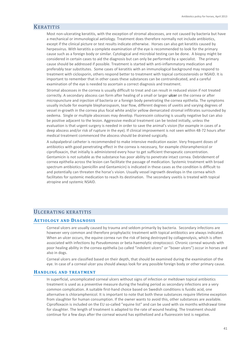# KERATITIS

Most non-ulcerating keratitis, with the exception of stromal abscesses, are not caused by bacteria but have a mechanical or immunological aetiology. Treatment does therefore normally not include antibiotics, except if the clinical picture or test results indicate otherwise. Horses can also get keratitis caused by herpesvirus. With keratitis a complete examination of the eye is recommended to look for the primary cause such as a foreign body or similar. Cytological and microbial testing can be done. A biopsy might be considered in certain cases to aid the diagnosis but can only be performed by a specialist. The primary cause should be addressed if possible. Treatment is started with anti-inflammatory medication and preferably tear substitutes. Some cases of keratitis with an immunological background may respond to treatment with ciclosporin, others respond better to treatment with topical corticosteroids or NSAID. It is important to remember that in other cases these substances can be contraindicated, and a careful examination of the eye is needed to ascertain a correct diagnosis and treatment.

Stromal abscesses in the cornea is usually difficult to treat and can result in reduced vision if not treated correctly. A secondary abscess can form after healing of a small or larger ulcer on the cornea or after micropuncture and injection of bacteria or a foreign body penetrating the cornea epithelia. The symptoms usually include for example blepharospasm, tear flow, different degrees of uveitis and varying degrees of vessel in-growth in the cornea plus focal white and/or yellow demarcated stromal infiltrates surrounded by oedema. Single or multiple abscesses may develop. Fluorescein colouring is usually negative but can also be positive adjacent to the lesion. Aggressive medical treatment can be tested initially, unless the evaluation is that urgent surgery is needed in order to save the animal's vision (for example in cases of a deep abscess and/or risk of rupture in the eye). If clinical improvement is not seen within 48-72 hours after medical treatment commenced the abscess should be drained surgically.

A subpalpebral catheter is recommended to make intensive medication easier. Very frequent doses of antibiotics with good penetrating effect in the cornea is necessary, for example chloramphenicol or ciprofloxacin, that initially is administered every hour to get sufficient therapeutic concentration. Gentamicin is not suitable as the substance has poor ability to penetrate intact cornea. Debridement of cornea epithelia across the lesion can facilitate the passage of medication. Systemic treatment with broad spectrum antibiotics (penicillin and Gentamicin) is indicated in these cases as the condition is difficult to and potentially can threaten the horse's vision. Usually vessel ingrowth develops in the cornea which facilitates for systemic medication to reach its destination. The secondary uveitis is treated with topical atropine and systemic NSAID.

# ULCERATING KERATITIS

# **AETIOLOGY AND DIAGNOSIS**

Corneal ulcers are usually caused by trauma and seldom primarily by bacteria. Secondary infections are however very common and therefore prophylactic treatment with topical antibiotics are always indicated. When an ulcer occurs, the equine cornea run the risk of being destroyed by collagenolysis, which is often associated with infections by *Pseudomonas* or beta-haemolytic streptococci. Chronic corneal wounds with poor healing ability in the cornea epithelia (so called "indolent ulcers" or "boxer ulcers") occur in horses and also in dogs.

Corneal ulcers are classified based on their depth, that should be examined during the examination of the eye. In case of a corneal ulcer you should always look for any possible foreign body or other primary cause.

#### **HANDLING AND TREATMENT**

In superficial, uncomplicated corneal ulcers without signs of infection or meltdown topical antibiotics treatment is used as a preventive measure during the healing period as secondary infections are a very common complication. A suitable first-hand choice based on Swedish conditions is fusidic acid, one alternative is chloramphenicol. It is important to note that both these substances require lifetime exception from slaughter for human consumption. If the owner wants to avoid this, other substances are available. Ciprofloxacin is included on the EU so-called "equine list" and can be used with six months withdrawal time for slaughter. The length of treatment is adapted to the rate of wound healing. The treatment should continue for a few days after the corneal wound has epithelized and a fluorescein test is negative.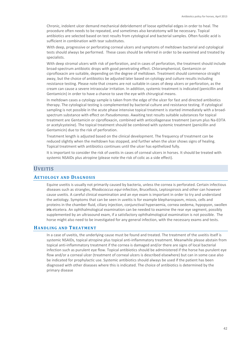Chronic, indolent ulcer demand mechanical debridement of loose epithelial edges in order to heal. The procedure often needs to be repeated, and sometimes also keratotomy will be necessary. Topical antibiotics are selected based on test results from cytological and bacterial samples. Often fusidic acid is sufficient in combination with tear substitutes.

With deep, progressive or perforating corneal ulcers and symptoms of meltdown bacterial and cytological tests should always be performed. These cases should be referred in order to be examined and treated by specialists.

With deep stromal ulcers with risk of perforation, and in cases of perforation, the treatment should include broad-spectrum antibiotic drops with good penetrating effect. Chloramphenicol, Gentamicin or ciprofloxacin are suitable, depending on the degree of meltdown. Treatment should commence straight away, but the choice of antibiotics be adjusted later based on cytology and culture results including resistance testing. Please note that creams are not suitable in cases of deep ulcers or perforation, as the cream can cause a severe intraocular irritation. In addition, systemic treatment is indicated (penicillin and Gentamicin) in order to have a chance to save the eye with chirurgical means.

In meltdown cases a cytology sample is taken from the edge of the ulcer for fast and directed antibiotics therapy. The cytological testing is complemented by bacterial culture and resistance testing. If cytological sampling is not possible in the acute phase intensive topical treatment is started immediately with a broadspectrum substance with effect on *Pseudomonas*. Awaiting test results suitable substances for topical treatment are Gentamicin or ciprofloxacin, combined with anticollagenase treatment (serum plus Na-EDTA or acetylcysteine). The topical treatment should be combined with systemic treatment (penicillin and Gentamicin) due to the risk of perforation.

Treatment length is adjusted based on the clinical development. The frequency of treatment can be reduced slightly when the meltdown has stopped, and further when the ulcer shows signs of healing. Topical treatment with antibiotics continues until the ulcer has epithelized fully.

It is important to consider the risk of uveitis in cases of corneal ulcers in horses. It should be treated with systemic NSAIDs plus atropine (please note the risk of colic as a side effect).

# UVEITIS

# **AETIOLOGY AND DIAGNOSIS**

Equine uveitis is usually not primarily caused by bacteria, unless the cornea is perforated. Certain infectious diseases such as strangles, *Rhodococcus equi-*infection, Brucellosis, Leptospirosis and other can however cause uveitis. A careful clinical examination and an eye exam is important in order to try and understand the aetiology. Symptoms that can be seen in uveitis is for example blepharospasm, miosis, cells and proteins in the chamber fluid, ciliary injection, conjunctival hyperaemia, cornea oedema, hypopyon, swollen iris etcetera. An ophthalmological examination can be needed to examine the rear eye segment, possibly supplemented by an ultrasound exam, if a satisfactory ophthalmological examination is not possible. The horse might also need to be investigated for any general infection, with the necessary exams and tests.

# **HANDLING AND TREATMENT**

In a case of uveitis, the underlying cause must be found and treated. The treatment of the uveitis itself is systemic NSAIDs, topical atropine plus topical anti-inflammatory treatment. Meanwhile please abstain from topical anti-inflammatory treatment if the cornea is damaged and/or there are signs of local bacterial infection such as purulent eye flow. Topical antibiotics should be administered if the horse has purulent eye flow and/or a corneal ulcer (treatment of corneal ulcers is described elsewhere) but can in some case also be indicated for prophylactic use. Systemic antibiotics should always be used if the patient has been diagnosed with other diseases where this is indicated. The choice of antibiotics is determined by the primary disease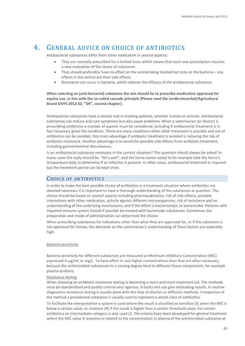# 4. GENERAL ADVICE ON CHOICE OF ANTIBIOTICS

Antibacterial substances differ from other medication in several aspects:

- They are normally prescribed for a limited time, which means that each new prescription requires a new evaluation of the choice of substance.
- They should preferably have no effect on the animal being treated but only on the bacteria any effects in the animal are then side effects.
- Resistance can occur in bacteria, which reduces the efficacy of the antibacterial substance.

**When selecting an (anti-bacterial) substance the aim should be to prescribe medication approved for equine use, in line with the so-called cascade principle (Please read the Jordbruksverket/Agricultural Board SJVFS 2012:32; "D9", second chapter).**

Antibacterial substances have a central role in treating patients, whether human or animals. Antibacterial substances can reduce and cure symptoms but also cause problems. When a veterinarian (or doctor) is prescribing antibiotics a number of aspects must be considered, including if antibacterial treatment is in fact necessary given the condition. There are many conditions when other treatment is possible and use of antibiotics can be avoided. One main advantage if antibiotic treatment is avoided is reducing the risk of antibiotic resistance. Another advantage is to avoid the possible side effects from antibiotic treatment, including gastrointestinal disturbances.

Is an antibacterial substance necessary in the current situation? This question should always be asked! In many cases the reply should be "let's wait", and the horse owner asked to for example take the horse's temperature daily to determine if an infection is present. In other cases, antibacterial treatment is required but the treatment period can be kept short.

# CHOICE OF ANTIBIOTICS

In order to make the best possible choice of antibiotics in a treatment situation where antibiotics are deemed necessary it is important to have a thorough understanding of the substances in question. The choice should be based on several aspects including pharmacokinetics, risk of side effects, possible interactions with other medication, activity against different microorganisms, risk of resistance and an understanding of the underlying mechanisms, and if the effect is bacteriostatic or bactericidal. Patients with impaired immune system should if possible be treated with bactericide substances. Sometimes the preparation and mode of administration can determine the choice.

When prescribing substances for indications other than what they are approved for, or if the substance is not approved for horses, the demands on the veterinarian's understanding of these factors are especially high.

# Bacteria sensitivity

Bacteria sensitivity for different substances are measured as Minimum Inhibitory Concentration (MIC) expressed in µg/mL or mg/L. To have effect *in vivo* higher concentrations than that are often necessary, because the antimicrobial substances to a varying degree bind to different tissue components, for example plasma proteins.

#### Resistance testing

When choosing an antibiotic resistance testing is becoming a more and more important aid. The methods must be standardized and quality control very rigorous. A faulty test can give misleading results. In routine diagnostics resistance testing is usually done with the help of dilution or diffusion methods. Irrespective of the method a preselected substance is usually used to represent a whole class of antibiotics.

To facilitate the interpretation a system is used where the result is classified as sensitive (S) when the MIC is below a certain value, or resistant (R) if the result is higher than a certain threshold value. For certain antibiotics an intermediate category is also used (I). The criteria have been developed for general treatment where the MIC value in question is related to the concentration in plasma of the antimicrobial substance at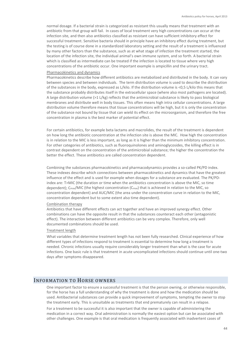normal dosage. If a bacterial strain is categorized as resistant this usually means that treatment with an antibiotic from that group will fail. In cases of local treatment very high concentrations can occur at the infection site, and then also antibiotics classified as resistant can have sufficient inhibitory effect for successful treatment. Sensitive bacteria should in principle have an inhibitory effect during treatment, but the testing is of course done in a standardized laboratory setting and the result of a treatment is influenced by many other factors than the substance, such as at what stage of infection the treatment started, the location of the infection site, the individual animal's own immune system, and so forth. A bacterial strain which is classified as intermediate can be treated if the infection is located to tissue where very high concentrations of the antibiotic occur. One important example is ampicillin and the urinary tract.

#### Pharmacokinetics and dynamics

Pharmacokinetics describe how different antibiotics are metabolized and distributed in the body. It can vary between species and between individuals. The term distribution volume is used to describe the distribution of the substances in the body, expressed as L/kilo. If the distribution volume is <0,5 L/kilo this means that the substance probably distributes itself in the extracellular space (where also most pathogens are located). A large distribution volume (>1 L/kg) reflects that the antimicrobial substance is likely to pass biological membranes and distribute well in body tissues. This often means high intra cellular concentrations. A large distribution volume therefore means that tissue concentrations will be high, but it is only the concentration of the substance not bound by tissue that can wield its effect on the microorganism, and therefore the free concentration in plasma is the best marker of potential effect.

For certain antibiotics, for example beta lactams and macrolides, the result of the treatment is dependent on how long the antibiotic concentration at the infection site is above the MIC. How high the concentration is in relation to the MIC is less important, as long as it is higher than the minimum inhibitory concentration. For other categories of antibiotics, such as fluoroquinolones and aminoglycosides, the killing effect is in contrast dependent on the concentration of the antimicrobial substance; the higher the concentration the better the effect. These antibiotics are called concentration dependent.

Combining the substances pharmacokinetics and pharmacodynamics provides a so-called PK/PD index. These indexes describe which connections between pharmacokinetics and dynamics that have the greatest influence of the effect and is used for example when dosages for a substance are evaluated. The PK/PDindex are: T>MIC (the duration or time when the antibiotics concentration is above the MIC, so time dependent); C<sub>max</sub>/MIC (the highest concentration (C<sub>max</sub>) that is achieved in relation to the MIC, so concentration dependent) and AUC/MIC (the area under the concentration curve in relation to the MIC, concentration dependent but to some extent also time dependent).

#### Combination therapy

Antibiotics that have different effects can act together and have an improved synergy effect. Other combinations can have the opposite result in that the substances counteract each other (antagonistic effect). The interaction between different antibiotics can be very complex. Therefore, only well documented combinations should be used.

#### Treatment length

What variables that determine treatment length has not been fully researched. Clinical experience of how different types of infections respond to treatment is essential to determine how long a treatment is needed. Chronic infections usually require considerably longer treatment than what is the case for acute infections. One basic rule is that treatment in acute uncomplicated infections should continue until one-two days after symptoms disappeared.

# INFORMATION TO HORSE OWNERS

One important factor to ensure a successful treatment is that the person owning, or otherwise responsible, for the horse has a full understanding of why the treatment is done and how the medication should be used. Antibacterial substances can provide a quick improvement of symptoms, tempting the owner to stop the treatment early. This is unsuitable as treatments that end prematurely can result in a relapse.

For a treatment to be successful it is also important that the owner is capable of administering the medication in a correct way. Oral administration is normally the easiest option but can be associated with other challenges. One example is that oral medication is frequently associated with inadvertent cases of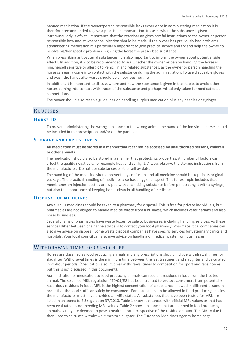banned medication. If the owner/person responsible lacks experience in administering medication it is therefore recommended to give a practical demonstration. In cases when the substance is given intramuscularly is of vital importance that the veterinarian gives careful instructions to the owner or person responsible how and at where the injection should be made. If the owner has previously had problems administering medication it is particularly important to give practical advice and try and help the owner to resolve his/her specific problems in giving the horse the prescribed substance.

When prescribing antibacterial substances, it is also important to inform the owner about potential side effects. In addition, it is to be recommended to ask whether the owner or person handling the horse is him/herself sensitive or allergic to Penicillin and related substances, as the owner or person handling the horse can easily come into contact with the substance during the administration. To use disposable gloves and wash the hands afterwards should be an obvious routine.

In addition, it is important to discuss where and how the substance is given in the stable, to avoid other horses coming into contact with traces of the substance and perhaps mistakenly taken for medicated at competitions.

The owner should also receive guidelines on handling surplus medication plus any needles or syringes.

# **ROUTINES**

## **HORSE ID**

To prevent administering the wrong substance to the wrong animal the name of the individual horse should be included in the prescription and/or on the package.

### **STORAGE AND EXPIRY DATES**

**All medication must be stored in a manner that it cannot be accessed by unauthorized persons, children or other animals.**

The medication should also be stored in a manner that protects its properties. A number of factors can affect the quality negatively, for example heat and sunlight. Always observe the storage instructions from the manufacturer. Do not use substances past its sell by date.

The handling of the medicine should prevent any confusion, and all medicine should be kept in its original package. The practical handling of medicines also has a hygiene aspect. This for example includes that membranes on injection bottles are wiped with a sanitizing substance before penetrating it with a syringe, but also the importance of keeping hands clean in all handling of medicines.

### **DISPOSAL OF MEDICINES**

Any surplus medicines should be taken to a pharmacy for disposal. This is free for private individuals, but pharmacies are not obliged to handle medical waste from a business, which includes veterinarians and also horse businesses.

Several chains of pharmacies have waste boxes for sale to businesses, including handling services. As these services differ between chains the advice is to contact your local pharmacy. Pharmaceutical companies can also give advice on disposal. Some waste disposal companies have specific services for veterinary clinics and hospitals. Your local council can also give advice on handling of medical waste from businesses.

# WITHDRAWAL TIMES FOR SLAUGHTER

Horses are classified as food producing animals and any prescriptions should include withdrawal times for slaughter. Withdrawal times is the minimum time between the last treatment and slaughter and calculated in 24-hour periods. (Medication also involves withdrawal times to competition for sport and race horses, but this is not discussed in this document).

Administration of medication to food producing animals can result in residues in food from the treated animal. The so called MRL-regulation 470/09/EG has been created to protect consumers from potentially hazardous residues in food. MRL is the highest concentration of a substance allowed in different tissues in order that the food stuff can safely be consumed. For a substance to be allowed in food producing species the manufacturer must have provided an MRL-status. All substances that have been tested for MRL are listed in an annex to EU regulation 37/2010. Table 1 show substances with official MRL values or that has been evaluated as not needing MRL values. Table 2 show substances that are banned in food producing animals as they are deemed to pose a health hazard irrespective of the residue amount. The MRL value is then used to calculate withdrawal times to slaughter. The European Medicines Agency home page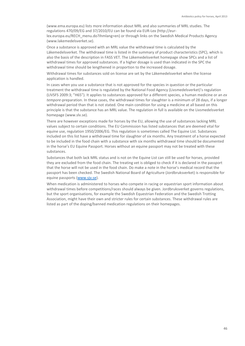(www.ema.europa.eu) lists more information about MRL and also summaries of MRL studies. The regulations 470/09/EG and 37/2010/EU can be found via EUR-Lex (http://eurlex.europa.eu/RECH\_menu.do?ihmlang=en) or through links on the Swedish Medical Products Agency (www.lakemedelsverket.se).

Once a substance is approved with an MRL value the withdrawal time is calculated by the Läkemedelsverket. The withdrawal time is listed in the summary of product characteristics (SPC), which is also the basis of the description in FASS VET. The Läkemedelsverket homepage show SPCs and a list of withdrawal times for approved substances. If a higher dosage is used than indicated in the SPC the withdrawal time should be lengthened in proportion to the increased dosage.

Withdrawal times for substances sold on license are set by the Läkemedelsverket when the license application is handled.

In cases when you use a substance that is not approved for the species in question or the particular treatment the withdrawal time is regulated by the National Food Agency (Livsmedelsverket)'s regulation (LIVSFS 2009:3; "H65"). It applies to substances approved for a different species, a human medicine or an *ex tempore*-preparation. In these cases, the withdrawal times for slaughter is a minimum of 28 days, if a longer withdrawal period than that is not stated. One main condition for using a medicine at all based on this principle is that the substance has an MRL value. The regulation in full is available on the Livsmedelsverket homepage (www.slv.se).

There are however exceptions made for horses by the EU, allowing the use of substances lacking MRL values subject to certain conditions. The EU Commission has listed substances that are deemed vital for equine use, regulation 1950/2006/EG. This regulation is sometimes called The Equine List. Substances included on this list have a withdrawal time for slaughter of six months. Any treatment of a horse expected to be included in the food chain with a substance with six months withdrawal time should be documented in the horse's EU Equine Passport. Horses without an equine passport may not be treated with these substances.

Substances that both lack MRL status and is not on the Equine List can still be used for horses, provided they are excluded from the food chain. The treating vet is obliged to check if it is declared in the passport that the horse will not be used in the food chain. Do make a note in the horse's medical record that the passport has been checked. The Swedish National Board of Agriculture (Jordbruksverket) is responsible for equine passports [\(www.sjv.se\)](http://www.sjv.se/).

When medication is administered to horses who compete in racing or equestrian sport information about withdrawal times before competitions/races should always be given. Jordbruksverket governs regulations, but the sport organisations, for example the Swedish Equestrian Federation and the Swedish Trotting Association, might have their own and stricter rules for certain substances. These withdrawal rules are listed as part of the doping/banned medication regulations on their homepages.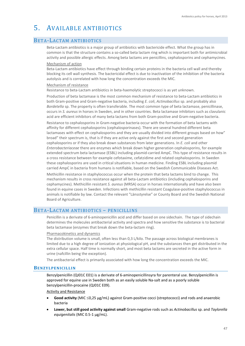# 5. AVAILABLE ANTIBIOTICS

# BETA-LACTAM ANTIBIOTICS

Beta-Lactam antibiotics is a major group of antibiotics with bactericide effect. What the group has in common is that the structure contains a so-called beta lactam ring which is important both for antimicrobial activity and possible allergic effects. Among beta lactams are penicillins, cephalosporins and cephamycines.

#### Mechanism of action

Beta-Lactam antibiotics have effect through binding certain proteins in the bacteria cell wall and thereby blocking its cell wall synthesis. The bactericidal effect is due to inactivation of the inhibition of the bacteria autolysis and is correlated with how long the concentration exceeds the MIC.

#### Mechanism of resistance

Resistance to beta-Lactam antibiotics in beta-haemolytic streptococci is as yet unknown.

Production of beta lactamase is the most common mechanism of resistance to beta-Lactam antibiotics in both Gram-positive and Gram-negative bacteria, including *E. coli*, *Actinobacillus* sp. and probably also *Bordetella* sp. The property is often transferable. The most common type of beta lactamase, penicillinase, occurs in *S. aureus* in horses in Sweden, and in other countries. Beta lactamase inhibitors such as clavulanic acid are efficient inhibitors of many beta lactams from both Gram-positive and Gram-negative bacteria.

Resistance to cephalosporins in Gram-negative bacteria occur with the formation of beta lactams with affinity for different cephalosporins (cephalosporinases). There are several hundred different beta lactamases with effect on cephalosporins and they are usually divided into different groups based on how" broad" their spectrum is, that is if they are active only against the first and second generation cephalosporins or if they also break down substances from later generations. In *E. coli* and other *Enterobacteriaceae* there are enzymes which break down higher generation cephalosporins, for example extended spectrum beta lactamase (ESBL) including plasmid-carried AmpC. This type of resistance results in a cross resistance between for example cefotaxime, cefatzidime and related cephalosporins. In Sweden these cephalosporins are used in critical situations in human medicine. Finding ESBL including plasmid carried AmpC in bacteria from humans is notifiable, based on the Swedish Communicable Diseases Act.

Methicillin resistance in staphylococcus occur when the protein that beta lactams bind to change. This mechanism results in cross resistance against all beta-Lactam antibiotics (including cephalosporins and cephamycines). Methicillin resistant *S. aureus* (MRSA) occur in horses internationally and have also been found in equine cases in Sweden. Infections with methicillin resistant Coagulase-positive staphylococcus in animals is notifiable by law. Contact the relevant "Länsstyrelse" or County Board and the Swedish National Board of Agriculture.

# BETA-LACTAM ANTIBIOTICS – PENICILLINS

Penicillin is a derivate of 6-aminopenicillin acid and differ based on one sidechain. The type of sidechain determines the molecules antibacterial activity and spectra and how sensitive the substance is to bacterial beta lactamase (enzymes that break down the beta-lactam ring).

#### Pharmacokinetics and dynamics

The distribution volume is small, often less than 0,3 L/kilo. The passage across biological membranes is limited due to a high degree of ionization at physiological pH, and the substances then get distributed in the extra cellular space. Half time is normally short, and most beta lactams are secreted in the active form in urine (nafcillin being the exception).

The antibacterial effect is primarily associated with how long the concentration exceeds the MIC.

### **BENZYLPENICILLIN**

Benzylpenicillin (QJ01C E01) is a derivate of 6-aminopenicillinsyra for parenteral use. Benzylpenicillin is approved for equine use in Sweden both as an easily soluble Na-salt and as a poorly soluble benzylpenicillin-procaine (QJ01C E09).

Activity and Resistance

- **Good activity** (MIC ≤0,25 µg/mL) against Gram-positive cocci (streptococci) and rods and anaerobic bacteria
- **Lower, but still good activity against small** Gram-negative rods such as *Actinobacillus* sp. and *Taylorella equigenitalis* (MIC 0.5-1 µg/mL).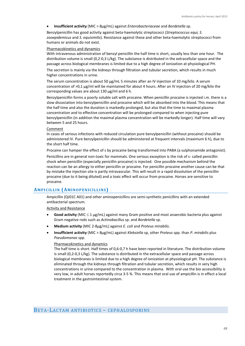#### • **Insufficient activity** (MIC > 8µg/mL) against *Enterobacteriaceae* and *Bordetella* sp.

Benzylpenicillin has good activity against beta-haemolytic streptococci (*Streptococcus equi, S. zooepidemicus* and *S. equisimilis*). Resistance against these and other beta-haemolytic streptococci from humans or animals do not exist.

#### Pharmacokinetics and dynamics

With intravenous administration of benzyl penicillin the half time is short, usually less than one hour. The distribution volume is small (0,2-0,3 L/kg). The substance is distributed in the extracellular space and the passage across biological membranes is limited due to a high degree of ionization at physiological PH.

The secretion is mainly via the kidneys through filtration and tubular secretion, which results in much higher concentrations in urine.

The serum concentration is about 50  $\mu$ g/mL 5 minutes after an IV injection of 10 mg/kilo. A serum concentration of >0,1 µg/ml will be maintained for about 4 hours. After an IV injection of 20 mg/kilo the corresponding values are about 130 µg/ml and 6 h.

Benzylpenicillin forms a poorly soluble salt with procaine. When penicillin procaine is injected i.m. there is a slow dissociation into benzylpenicillin and procaine which will be absorbed into the blood. This means that the half time and also the duration is markedly prolonged, but also that the time to maximal plasma concentration and to effective concentration will be prolonged compared to when injecting pure benzylpenicillin (in addition the maximal plasma concentration will be markedly longer). Half time will vary between 5 and 25 hours.

#### Comment

In cases of serious infections with reduced circulation pure benzylpenicillin (without procaine) should be administered IV. Pure benzylpenicillin should be administered at frequent intervals (maximum 6 h), due to the short half time.

Procaine can hamper the effect of s by procaine being transformed into PABA (a sulphonamide antagonist).

Penicillins are in general non-toxic for mammals. One serious exception is the risk of s- called penicillin shock when penicillin (especially penicillin procaine) is injected. One possible mechanism behind the reaction can be an allergy to either penicillin or procaine. For penicillin procaine another cause can be that by mistake the injection site is partly intravascular. This will result in a rapid dissolution of the penicillin procaine (due to it being diluted) and a toxic effect will occur from procaine. Horses are sensitive to procaine.

# **AMPICILLIN (AMINOPENICILLINS)**

Ampicillin (QJ01C A01) and other aminopenicillins are semi-synthetic penicillins with an extended antibacterial spectrum.

Activity and Resistance

- **Good activity** (MIC ≤ 1 µg/mL) against many Gram positive and most anaerobic bacteria plus against Gram negative rods such as *Actinobacillus* sp. and *Bordetella* sp.
- **Medium activity** (MIC 2-8µg/mL) against *E. coli* and *Proteus mirabilis*.
- **Insufficient activity** (MIC > 8µg/mL) against *Klebsiella* sp*,* other *Proteus* spp*.* than *P. mirabilis* plus *Pseudomonas* spp.

#### Pharmacokinetics and dynamics

The half time is short. Half times of 0,6-0,7 h have been reported in literature. The distribution volume is small (0,2-0,3 L/kg). The substance is distributed in the extracellular space and passage across biological membranes is limited due to a high degree of ionization at physiological pH. The substance is eliminated through the kidneys through filtration and tubular secretion, which results in very high concentrations in urine compared to the concentration in plasma. With oral use the bio accessibility is very low, in adult horses reportedly circa 3-5 %. This means that oral use of ampicillin is in effect a local treatment in the gastrointestinal system.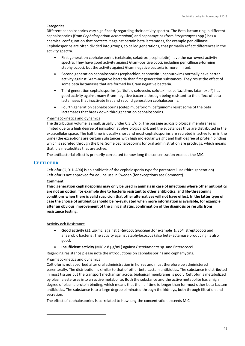### **Categories**

Different cephalosporins vary significantly regarding their activity spectra. The Beta-lactam ring in different cephalosporins (from *Cephalosporium acremonium*) and cephamycins (from *Streptomyces* spp.) has a chemical configuration that protects it against certain beta lactamases, for example penicillinase. Cephalosporins are often divided into groups, so called generations, that primarily reflect differences in the activity spectra.

- First generation cephalosporins (cefalexin, cefadroxil, cephalotin) have the narrowest activity spectra. They have good activity against Gram-positive cocci, including penicillinase-forming staphylococci, but the activity against Gram negative bacteria is more limited.
- Second generation cephalosporins (cephachlor, cephoxitin<sup>[1](#page-48-0)</sup>, cephuroxim) normally have better activity against Gram-negative bacteria than first generation substances. They resist the effect of some beta lactamases that are formed by Gram negative bacteria.
- Third generation cephalosporins (ceftiofur, cefovecin, cefotaxime, ceftazidime, latamoxef<sup>1</sup>) has good activity against many Gram-negative bacteria through being resistant to the effect of beta lactamases that inactivate first and second generation cephalosporins.
- Fourth generation cephalosporins (cefepim, cefpirom, cefquinom) resist some of the beta lactamases that break down third generation cephalosporins.

#### Pharmacokinetics and dynamics

The distribution volume is small, usually under 0,3 L/kilo. The passage across biological membranes is limited due to a high degree of ionisation at physiological pH, and the substances thus are distributed in the extracellular space. The half time is usually short and most cephalosporins are secreted in active form in the urine (the exceptions are certain substances with high molecular weight and high degree of protein binding which is secreted through the bile. Some cephalosporins for oral administration are prodrugs, which means that it is metabolites that are active.

The antibacterial effect is primarily correlated to how long the concentration exceeds the MIC.

## **CEFTIOFUR**

Ceftiofur (QJ01D A90) is an antibiotic of the cephalosporin type for parenteral use (third generation) Ceftiofur is not approved for equine use in Sweden (for exceptions see Comment).

#### **Comment**

**Third generation cephalosporins may only be used in animals in case of infections where other antibiotics are not an option, for example due to bacteria resistant to other antibiotics, and life-threatening conditions when there is valid suspicion that other alternatives will not have effect. In the latter type of case the choice of antibiotics should be re-evaluated when more information is available, for example after an obvious improvement of the clinical status, confirmation of the diagnosis or results from resistance testing.**

#### Activity och Resistance

- **Good activity** (≤1 µg/mL) against *Enterobacteriaceae ,*for example *E. coli,* streptococci and anaerobic bacteria. The activity against staphylococcus (also beta-lactamase producing) is also good.
- **Insufficient activity** (MIC ≥ 8 µg/mL) against *Pseudomonas* sp. and Enterococci.

Regarding resistance please note the introductions on cephalosporins and cephamycins.

#### Pharmacokinetics and dynamics

Ceftiofur is not absorbed after oral administration in horses and must therefore be administered parenterally. The distribution is similar to that of other beta-Lactam antibiotics. The substance is distributed in most tissues but the transport mechanism across biological membranes is poor. Ceftiofur is metabolized by plasma esterases into an active metabolite. Both the substance and the active metabolite has a high degree of plasma protein binding, which means that the half time is longer than for most other beta-Lactam antibiotics. The substance is to a large degree eliminated through the kidneys, both through filtration and secretion.

<span id="page-48-0"></span>The effect of cephalosporins is correlated to how long the concentration exceeds MIC.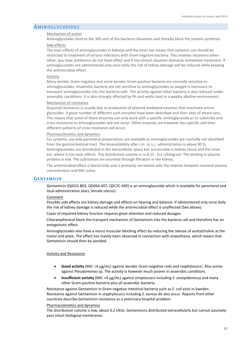# **AMINOGLYCOSIDES**

#### Mechanism of action

Aminoglycosides bind to the 30S-unit of the bacteria ribosomes and thereby block the protein synthesis. Side effects

The toxic effects of aminoglycosides in kidneys and the inner ear means that systemic use should be restricted to treatment of serious infections with Gram negative bacteria. This involves situations when other, less toxic antibiotics do not have effect and if the clinical situation demands immediate treatment. If aminoglycosides are administered only once daily the risk of kidney damage will be reduced while keeping the antimicrobial effect.

#### Activity

Many aerobic Gram-negative and some aerobic Gram-positive bacteria are normally sensitive to aminoglycosides. Anaerobic bacteria are not sensitive to aminoglycosides as oxygen is necessary to transport aminoglycosides into the bacteria cells. The activity against other bacteria is also reduced under anaerobic conditions. It is also strongly affected by Ph and works best in a weakly alkaline environment.

#### Mechanism of resistance

Acquired resistance is usually due to production of plasmid mediated enzymes that inactivate amino glycosides. A great number of different such enzymes have been described and their sites of attack vary. This means that some of these enzymes can only work with a specific aminoglycoside as its substrate and cross resistance to aminoglycosides will not occur. Other enzymes are however less specific and then different patterns of cross resistance will occur.

#### Pharmacokinetics and dynamics

For systemic use only parenteral preparations are available as aminoglycosides are normally not absorbed from the gastrointestinal tract. The bioavailability after i.m. or s.c. administration is above 90 %. Aminoglycosides are distributed in the extracellular space but accumulate in kidney tissue and the inner ear, where it has toxic effects. The distribution volume is ca 0,15 - 0,2 L/kilogram. The binding to plasma proteins is low. The substances are excreted through filtration in the kidney.

The antimicrobial effect is bactericide and is primarily correlated with the relation between maximal plasma concentration and MIC-value.

#### **GENTAMICIN**

Gentamicin (QJ01G B03, QD06A X07, QSC2C A90) is an aminoglycoside which is available for parenteral and local administration (ears, female uterus).

#### Comment

Possible side effects are kidney damage and effects on hearing and balance. If administered only once daily the risk of kidney damage is reduced while the antimicrobial effect is unaffected (See above).

Cases of impaired kidney function requires great attention and reduced dosages.

Chloramphenicol block the transport mechanism of Gentamicin into the bacteria cell and therefore has an antagonistic effect.

Aminoglycosides also have a neuro muscular blocking effect by reducing the release of acetylcholine at the motor end plate. The effect has mainly been observed in connection with anaesthesia, which means that Gentamicin should then be avoided.

#### Activity and Resistance

- **Good activity** (MIC ≤4 µg/mL) against aerobic Gram-negative rods and staphylococci. Also active against *Pseudomonas* sp. The activity is however much poorer in anaerobic conditions.
- **Insufficient activity** (MIC >4 µg/mL) against streptococci including *S. zooepidemicus* and many other Gram-positive bacteria plus all anaerobic bacteria.

Resistance against Gentamicin in Gram negative intestinal bacteria such as *E. coli* exist in Sweden. Resistance against Gentamicin in staphylococci including *S. aureus* do also occur. Reports from other countries describe Gentamicin resistance as a veterinary hospital problem.

#### Pharmacokinetics and dynamics

The distribution volume is low, about 0,2 l/kilo. Gentamicins distributed extracellularly but cannot passively pass intact biological membranes.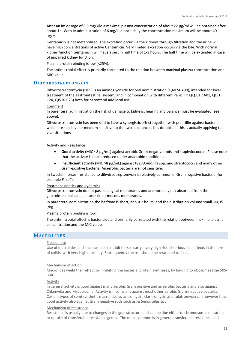After an im dosage of 6,6 mg/kilo a maximal plasma concentration of about 22 µg/ml will be obtained after about 1h. With IV administration of 6 mg/kilo once daily the concentration maximum will be about 40 µg/ml.

Gentamicin is not metabolised. The excretion occur via the kidneys through filtration and the urine will have high concentrations of active Gentamicin. Very limited excretion occurs via the bile. With normal kidney function Gentamicin will have a serum half time of 1-3 hours. The half time will be extended in case of impaired kidney function.

Plasma protein binding is low (<25%).

The antimicrobial effect is primarily correlated to the relation between maximal plasma concentration and MIC-value.

#### **DIHYDROSTREPTOMYCIN**

Dihydrostreptomycin (DHS) is an aminoglycoside for oral administration (QA07A A90), intended for local treatment of the gastrointestinal system, and in combination with different Penicillins (QJ01R A01, QJ51R C24, QJ51R C23) both for parenteral and local use.

Comment

In parenteral administration the risk of damage to kidneys, hearing and balance must be evaluated (see above).

Dihydrostreptomycin has been said to have a synergistic effect together with penicillin against bacteria which are sensitive or medium sensitive to the two substances. It is doubtful if this is actually applying to in vivo situations.

#### Activity and Resistance

- **Good activity** (MIC ≤8 µg/mL) against aerobic Gram-negative rods and staphylococcus. Please note that the activity is much reduced under anaerobic conditions.
- **Insufficient activity** (MIC >8 µg/mL) against *Pseudomonas* spp. and streptococci and many other Gram-positive bacteria. Anaerobic bacteria are not sensitive.

In Swedish horses, resistance to dihydrostreptomycin is relatively common in Gram negative bacteria (for example *E. coli*).

#### Pharmacokinetics and dynamics

Dihydrostreptomycin do not pass biological membranes and are normally not absorbed from the gastrointestinal canal, intact skin or mucous membranes.

In parenteral administration the halftime is short, about 2 hours, and the distribution volume small, <0,35 l/kg.

Plasma protein binding is low.

The antimicrobial effect is bactericide and primarily correlated with the relation between maximal plasma concentration and the MIC-value.

## MACROLIDES

#### Please note

Use of macrolides and lincosamides to adult horses carry a very high risk of serious side effects in the form of colitis, with very high mortality. Subsequently the use should be restricted to foals.

#### Mechanism of action

Macrolides wield their effect by inhibiting the bacterial protein syntheses, by binding to ribosomes (the 50Sunit).

#### Activity

In general activity is good against many aerobic Gram positive and anaerobic bacteria and also against Chlamydia and Mycoplasma. Activity is insufficient against most other aerobic Gram-negative bacteria. Certain types of semi synthetic macrolides as azitromycin, claritromycin and tulatromycin can however have good activity also against Gram negative rods such as *Actinobacillus* spp.

#### Mechanism of resistance

Resistance is usually due to changes in the goal structure and can be due either to chromosomal mutations or uptake of transferable resistance genes. The most common is in general transferable resistance and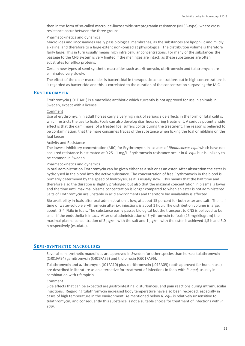then in the form of so-called macrolide-lincosamide-streptogramin resistance (MLSB-type), where cross resistance occur between the three groups.

#### Pharmacokinetics and dynamics

Macrolides and lincosamides easily pass biological membranes, as the substances are lipophilic and mildly alkaline, and therefore to a large extent non-ionized at physiological. The distribution volume is therefore fairly large. This in turn usually means high intra cellular concentrations. For many of the substances the passage to the CNS system is very limited if the meninges are intact, as these substances are often substrates for efflux proteins.

Certain new types of semi synthetic macrolides such as azitromycin, claritromycin and tulatromycin are eliminated very slowly.

The effect of the older macrolides is bactericidal in therapeutic concentrations but in high concentrations it is regarded as bactericide and this is correlated to the duration of the concentration surpassing the MIC.

#### **ERYTHROMYCIN**

Erythromycin (J01F A01) is a macrolide antibiotic which currently is not approved for use in animals in Sweden, except with a license.

#### Comment

Use of erythromycin in adult horses carry a very high risk of serious side effects in the form of fatal colitis, which restricts the use to foals. Foals can also develop diarrhoea during treatment. A serious potential side effect is that the dam (mare) of a treated foal suffers colitis during the treatment. The reason is believed to be contamination, that the mare consumes traces of the substance when licking the foal or nibbling on the foal faeces.

## Activity and Resistance

The lowest inhibitory concentration (MIC) for Erythromycin in isolates of *Rhodococcus equi* which have not acquired resistance is estimated at 0.25 - 1 mg/L. Erythromycin resistance occur in *R. equi* but is unlikely to be common in Sweden.

#### Pharmacokinetics and dynamics

In oral administration Erythromycin can be given either as a salt or as an ester. After absorption the ester is hydrolysed in the blood into the active substance. The concentration of free Erythromycin in the blood is primarily determined by the speed of hydrolysis, as it is usually slow. This means that the half time and therefore also the duration is slightly prolonged but also that the maximal concentration in plasma is lower and the time until maximal plasma concentration is longer compared to when an ester is not administered. Salts of Erythromycin are unstable in acid environments and therefore bio availability is affected.

Bio availability in foals after oral administration is low, at about 15 percent for both ester and salt. The half time of water-soluble erythromycin after i.v. injections is about 1 hour. The distribution volume is large, about 3-4 l/kilo in foals. The substance easily passes biological but the transport to CNS is believed to be small if the endothelia is intact. After oral administration of Erythromycin to foals (25 mg/kilogram) the maximal plasma concentration of 3 µg/ml with the salt and 1 µg/ml with the ester is achieved 1,5 h and 3,0 h respectively (estolate).

## **SEMI-SYNTHETIC MACROLIDES**

Several semi synthetic macrolides are approved in Sweden for other species than horses: tulathromycin (QJ01FA94) gamitromycin (QJ01FA95) and tildipirosin (QJ01FA96).

Tulathromycin and azithromycin (J01FA10) plus clarithromycin (J01FA09) (both approved for human use) are described in literature as an alternative for treatment of infections in foals with *R. equi,* usually in combination with rifampicin.

#### Comment

Side effects that can be expected are gastrointestinal disturbances, and pain reactions during intramuscular injections. Regarding tulathromycin increased body temperature have also been recorded, especially in cases of high temperature in the environment. As mentioned below *R. equi* is relatively unsensitive to tulathromycin, and consequently this substance is not a suitable choice for treatment of infections with *R. equi*.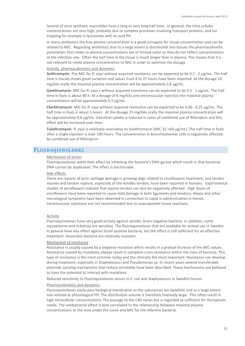Several of semi synthetic macrolides have a long or very long half time. In general, the intra cellular concentrations are very high, probably due to complex processes involving transport proteins, and ion trapping for example in lysosomes with an acid PH.

In many antibiotics the free plasma concentration is a good surrogate for tissue concentration and can be related to MIC. Regarding antibiotics that to a large extent is distributed into tissues the pharmacokinetic parameters that relate to plasma concentrations are of limited value as they do not reflect concentrations at the infection site. Often the half time in the tissue is much longer than in plasma. This means that it is not relevant to relate plasma concentration to MIC in order to optimize the dosage.

#### Activity, pharmacokinetics and dynamics

**Azithromycin**: The MIC for *R. equi* without acquired resistance can be expected to be 0,5 - 2 µg/mL. The half time is horses shows great variation and values from 8 to 27 hours have been reported. At the dosage 10 mg/kilo orally the maximal plasma concentration will be approximately  $0.8 \mu g/ml$ .

**Gamitromycin**: MIC for *R. equi* s without acquired resistance can be expected to be 0,5 - 1 µg/mL. The half time in foals is about 40 h. At a dosage of 6 mg/kilo and intramuscular injection the maximal plasma concentration will be approximately 0,3 µg/mL.

**Clarithromycin**: MIC for *R. equi* without acquired resistance can be expected to be 0,06 - 0,25 µg/mL. The half time in foals is about 5 hours. At the dosage 25 mg/kilo orally the maximal plasma concentration will be approximately 0,8 µg/mL. Intestinal uptake is reduced in cases of combined use of Rifampicin and this effect will be increased over time.

**Tulathromycin**: *R. equi* is relatively insensitive to tulathromycin (MIC 32->64 µg/mL). The half time in foals after a single injection is over 100 hours. The concentration in bronchoalveolar cells is negatively affected by combined use of Rifampicin.

# FLUOROQUINOLONES

#### Mechanism of action

Fluoroquinolones wield their effect by inhibiting the bacteria's DNA-gyrase which result in that bacterial DNA cannot be duplicated. The effect is bactericidal.

#### Side effects

There are reports of joint cartilage damage in growing dogs related to enrofloxacin treatment, and tendon injuries and tendon rupture, especially of the Achilles tendon, have been reported in humans. Experimental studies of enrofloxacin indicate that equine tendon can also be negatively affected. High doses of enrofloxacin have been reported to cause mild damage in both ligaments and tendons. Ataxia and other neurological symptoms have been observed in connection to rapid iv-administration in horses. Intramuscular injections are not recommended due to unacceptable tissue reactions.

## Activity

Fluoroquinolones have very good activity against aerobic Gram-negative bacteria. In addition, some mycoplasma and rickettsia are sensitive. The fluoroquinolones that are available for animal use in Sweden in general have less effect against Gram positive bacteria, but the effect is still sufficient for an effective treatment. Anaerobic bacteria are relatively resistant.

#### Mechanism of resistance

Resistance is usually caused by a stepwise mutation which results in a gradual increase of the MIC values. Resistance caused by mutations always result in complete cross resistance within the class of bacteria. This type of resistance is the most common today and the clinically the most important. Resistance can develop during treatment, especially in Staphylococci and *Pseudomonas* sp. In recent years several transferable plasmids carrying mechanisms that reduce sensitivity have been described. These mechanisms are believed to have the potential to interact with mutations.

Reduced sensitivity to Fluoroquinolones occurs in *E. coli* and Staphylococci in Swedish horses.

#### Pharmacokinetics and dynamics

Fluoroquinolones easily pass biological membranes as the substances are lipophilic and to a large extent non-ionized at physiological PH. The distribution volume is therefore relatively large. This often result in high intracellular concentrations. The passage to the CNS varies but is regarded as sufficient for therapeutic needs. The antibacterial effect is best correlated to the relationship between maximal plasma concentrations or the area under the curve and MIC for the infective bacteria.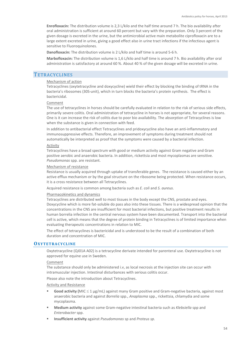**Enrofloxacin:** The distribution volume is 2,3 L/kilo and the half time around 7 h. The bio availability after oral administration is sufficient at around 60 percent but vary with the preparation. Only 3 percent of the given dosage is excreted in the urine, but the antimicrobial active main metabolite ciprofloxacin are to a large extent excreted in urine, giving a good effect also in urine tract infections if the infectious agent is sensitive to Fluoroquinolones.

**Danofloxacin:** The distribution volume is 2 L/kilo and half time is around 5-6 h.

**Marbofloxacin:** The distribution volume is 1,6 L/kilo and half time is around 7 h. Bio availability after oral administration is satisfactory at around 60 %. About 40 % of the given dosage will be excreted in urine.

# **TETRACYCLINES**

#### Mechanism of action

Tetracyclines (oxytetracycline and doxycycline) wield their effect by blocking the binding of tRNA in the bacteria's ribosomes (30S-unit), which in turn blocks the bacteria's protein synthesis. The effect is bactericidal.

#### Comment

The use of tetracyclines in horses should be carefully evaluated in relation to the risk of serious side effects, primarily severe colitis. Oral administration of tetracycline in horses is not appropriate, for several reasons. One is it can increase the risk of colitis due to poor bio availability. The absorption of Tetracyclines is low when the substance is given in connection with feed.

In addition to antibacterial effect Tetracyclines and pridoxycycline also have an anti-inflammatory and immunosuppressive effects. Therefore, an improvement of symptoms during treatment should not automatically be interpreted as proof that the symptoms were caused by a bacterial infection.

#### Activity

Tetracyclines have a broad spectrum with good or medium activity against Gram negative and Gram positive aerobic and anaerobic bacteria. In addition, rickettsia and most mycoplasmas are sensitive. *Pseudomonas* spp. are resistant.

#### Mechanism of resistance

Resistance is usually acquired through uptake of transferable genes. The resistance is caused either by an active efflux mechanism or by the goal structure on the ribosome being protected. When resistance occurs, it is a cross resistance between all Tetracyclines.

Acquired resistance is common among bacteria such as *E. coli* and *S. aureus*.

#### Pharmacokinetics and dynamics

Tetracyclines are distributed well to most tissues in the body except the CNS, prostate and eyes. Doxycycline which is more fat-soluble do pass also into these tissues. There is a widespread opinion that the concentrations in the CNS are insufficient for most bacterial infections, but positive treatment results in human borrelia infection in the central nervous system have been documented. Transport into the bacterial cell is active, which means that the degree of protein binding in Tetracyclines is of limited importance when evaluating therapeutic concentrations in relation to MIC.

The effect of tetracyclines is bactericidal and is understood to be the result of a combination of both duration and concentration of MIC.

#### **OXYTETRACYCLINE**

Oxytetracycline (QJ01A A02) is a tetracycline derivate intended for parenteral use. Oxytetracycline is not approved for equine use in Sweden.

#### Comment

The substance should only be administered i.v, as local necrosis at the injection site can occur with intramuscular injection. Intestinal disturbances with serious colitis occur.

Please also note the introduction about Tetracyclines.

#### Activity and Resistance

- **Good activity (**MIC ≤ 1 µg/mL) against many Gram positive and Gram-negative bacteria, against most anaerobic bacteria and against *Borrelia* spp., *Anaplasma* spp., rickettsia, chlamydia and some mycoplasma.
- **Medium activity** against some Gram-negative intestinal bacteria such as *Klebsiella* spp and *Enterobacter* spp.
- **Insufficient activity** against *Pseudomonas* sp and *Proteus sp.*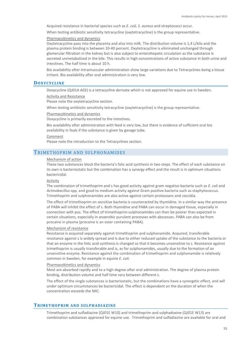Acquired resistance in bacterial species such as *E. coli, S. aureus* and streptococci occur*.*

When testing antibiotic sensitivity tetracycline (oxytetracycline) is the group representative.

Pharmacokinetics and dynamics

Oxytetracycline pass into the placenta and also into milk. The distribution volume is 1,4 L/kilo and the plasma protein binding is between 10-40 percent. Oxytetracycline is eliminated unchanged through glomerular filtration in the kidney but is also subject to enterohepatic circulation as the substance is secreted unmetabolized in the bile. This results in high concentrations of active substance in both urine and intestines. The half time is about 10 h.

Bio availability after intramuscular administration show large variations due to Tetracyclines being a tissue irritant. Bio availability after oral administration is very low.

## **DOXYCYCLINE**

Doxycycline (QJ01A A02) is a tetracycline derivate which is not approved for equine use in Sweden.

#### Activity and Resistance

Please note the oxytetracycline section.

When testing antibiotic sensitivity tetracycline (oxytetracycline) is the group representative.

Pharmacokinetics and dynamics

Doxycycline is primarily excreted to the intestines.

Bio availability after administration with feed is very low, but there is evidence of sufficient oral bio availability in foals if the substance is given by gavage tube.

#### Comment

Please note the introduction to the Tetracyclines section.

## TRIMETHOPRIM AND SULPHONAMIDES

#### Mechanism of action

These two substances block the bacteria's folic acid synthesis in two steps. The effect of each substance on its own is bacteriostatic but the combination has a synergy effect and the result is in optimum situations bactericidal.

#### Activity

The combination of trimethoprim and s has good activity against gram negative bacteria such as *E. coli* and *Actinobacillus* spp, and good to medium activity against Gram positive bacteria such as staphylococcus. Trimethoprim and sulphonamides are also active against certain protozoans and coccidia.

The effect of trimethoprim on sensitive bacteria is counteracted by thymidine. In a similar way the presence of PABA will inhibit the effect of s. Both thymidine and PABA can occur in damaged tissue, especially in connection with pus. The effect of trimethoprim-sulphonamides can then be poorer than expected in certain situations, especially in anaerobic purulent processes with abscesses. PABA can also be from procaine in plasma (procaine is an ester containing PABA).

#### Mechanism of resistance

Resistance is acquired separately against trimethoprim and sulphonamide. Acquired, transferable resistance against s is widely spread and is due to either reduced uptake of the substance to the bacteria or that an enzyme in the folic acid synthesis is changed so that it becomes unsensitive to s. Resistance against trimethoprim is usually transferable and is, as for sulphonamides, usually due to the formation of an unsensitive enzyme. Resistance against the combination of trimethoprim and sulphonamide is relatively common in Sweden, for example in equine *E. coli*.

#### Pharmacokinetics and dynamics

Most are absorbed rapidly and to a high degree after oral administration. The degree of plasma protein binding, distribution volume and half time vary between different s.

The effect of the single substances is bacteriostatic, but the combinations have a synergetic effect, and will under optimum circumstances be bactericidal. The effect is dependent on the duration of when the concentration exceeds the MIC.

# **TRIMETHOPRIM AND SULPHADIAZINE**

Trimethoprim and sulfadiazine (QJ01E W10) and trimethoprim and sulphadoxine (QJ01E W13) are combination substances approved for equine use. Trimethoprim and sulfadiazine are available for oral and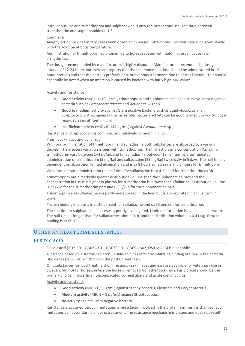intravenous use and trimethoprim and sulphadoxine is only for intravenous use. The ratio between trimethoprim and sulphonamides is 1:5.

#### Comments

Anaphylactic shock has in rare cases been observed in horses. Intravenous injection should be given slowly with the solution at body temperature.

Administration of trimethoprim-sulphonamide to horses sedated with detomidine can cause fatal arrhythmias.

The dosage recommended by manufacturers is highly disputed. Manufacturers recommend a dosage interval of 12-24 hours but there are reports that the recommended dose should be administered in 12 hour intervals and that the paste is preferable to intravenous treatment, due to better kinetics. This should especially be noted when an infection is caused by bacteria with fairly high MIC values.

#### Activity and resistance

- **Good activity** (MIC ≤ 1+19 µg/mL, trimethoprim and sulphonamides) against many Gram-negative bacteria such as *Enterobacteriaceae* and *Actinobacillus* spp.
- **Good to medium activity** against Gram positive bacteria such as Staphylococcus and Streptococcus. Also, against other anaerobic bacteria activity can be good to medium *in vitro* but is regarded as insufficient *in vivo*.
- **Insufficient activity** (MIC >8+144 µg/mL) against *Pseudomonas* sp.

Resistance in Streptococcus is common, and relatively common in *E. coli*.

#### Pharmacokinetics and dynamics

With oral administration of trimethoprim and sulfadiazine both substances are absorbed to a varying degree. The greatest variation is seen with trimethoprim. The highest plasma concentration (Cmax) for trimethoprim vary between 1–4 µg/mL and for sulfadiazine between 18 - 34 µg/mL after repeated administration of trimethoprim (5 mg/kg) and sulfadiazine (25 mg/kg) twice daily in 5 days. The half time is dependent on absorption limited elimination and is ca 8 hours sulfadiazine and 5 hours for trimethoprim.

With intravenous administration the half time for sulfadiazine is ca 4-5h and for trimethoprim ca 3h.

Trimethoprim has a markedly greater distribution volume than the sulphonamide part and the concentration in tissue is higher in plasma for trimethoprim but lower for sulfadiazine. Distribution volume is 2 L/kilo for the trimethoprim part and 0,5 L/kilo for the sulphonamide part.

Trimethoprim and sulfadiazine are partly metabolized in the liver but is also excreted in active form in urine.

Protein binding in plasma is ca 20 percent for sulfadiazine and ca 35 percent for trimethoprim.

The kinetics for sulphadoxine in horses is poorly investigated. Limited information is available in literature. The half time is longer than for sulfadiazine, about 14 h, and the distribution volume is 0,4 L/kg. Protein binding is ca 60 %.

# OTHER ANTIBACTERIAL SUBSTANCES

# **FUSIDIC ACID**

Fusidic acid (J01X C01, QD06A X01, QD07C C01, QD09A A02, QS01A A13) is a lipophilic

substance based on a steroid skeleton. Fusidic acid has effect by inhibiting binding of tRNA in the bacteria ribosomes (30S-unit) which blocks the protein synthesis.

Only substances for local treatment of infections in skin, eyes and ears are available for veterinary use in Sweden, but not for horses, unless the horse is removed from the food chain. Fusidic acid should be the primary choice in superficial, uncomplicated corneal ulcers and acute conjunctivitis.

### Activity and resistance

- **Good activity** (MIC ≤ 0,5 µg/mL) against Staphylococcus, Clostridia and Corynebacteria.
- **Medium activity** (MIC 1 8 µg/mL) against Streptococcus.
- **No activity** against Gram negative bacteria.

Resistance is acquired through mutations when a factor involved in the protein synthesis is changed. Such mutations can occur during ongoing treatment. The resistance mechanism is unique and does not result in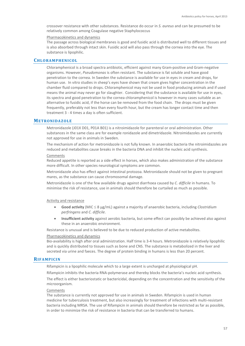crossover resistance with other substances. Resistance do occur in *S. aureus* and can be presumed to be relatively common among Coagulase negative Staphylococcus

#### Pharmacokinetics and dynamics

The passage across biological membranes is good and fusidic acid is distributed well to different tissues and is also absorbed through intact skin. Fusidic acid will also pass through the cornea into the eye. The substance is lipophilic.

# **CHLORAMPHENICOL**

Chloramphenicol is a broad spectra antibiotic, efficient against many Gram-positive and Gram-negative organisms. However, *Pseudomonas* is often resistant. The substance is fat soluble and have good penetration to the cornea. In Sweden the substance is available for use in eyes in cream and drops, for human use. In vitro studies in sheep's eyes have shown that cream gives higher concentration in the chamber fluid compared to drops. Chloramphenicol may not be used in food producing animals and if used means the animal may never go for slaughter. Considering that the substance is available for use in eyes, its spectra and good penetration to the cornea chloramphenicol is however in many cases suitable as an alternative to fusidic acid, if the horse can be removed from the food chain. The drops must be given frequently, preferably not less than every fourth hour, but the cream has longer contact time and then treatment 3 - 4 times a day is often sufficient.

#### **METRONIDAZOLE**

Metronidazole (J01X D01, P01A B01) is a nitroimidazole for parenteral or oral administration. Other substances in the same class are for example ronidazole and dimetridazole. Nitroimidazoles are currently not approved for use in animals in Sweden.

The mechanism of action for metronidazole is not fully known. In anaerobic bacteria the nitroimidazoles are reduced and metabolites cause breaks in the bacteria DNA and inhibit the nucleic acid synthesis.

#### Comments

Reduced appetite is reported as a side effect in horses, which also makes administration of the substance more difficult. In other species neurological symptoms are common.

Metronidazole also has effect against intestinal protozoa. Metronidazole should not be given to pregnant mares, as the substance can cause chromosomal damage.

Metronidazole is one of the few available drugs against diarrhoea caused by *C. difficile* in humans. To minimise the risk of resistance, use in animals should therefore be curtailed as much as possible.

#### Activity and resistance

- **Good activity** (MIC ≤ 8 µg/mL) against a majority of anaerobic bacteria, including *Clostridium perfringens* and *C. difficile*.
- **Insufficient activity** against aerobic bacteria, but some effect can possibly be achieved also against these in an anaerobic environment.

Resistance is unusual and is believed to be due to reduced production of active metabolites.

#### Pharmacokinetics and dynamics

Bio-availability is high after oral administration. Half time is 3-4 hours. Metronidazole is relatively lipophilic and is quickly distributed to tissues such as bone and CNS. The substance is metabolized in the liver and secreted via urine and faeces. The degree of protein binding in humans is less than 20 percent.

#### **RIFAMPICIN**

Rifampicin is a lipophilic molecule which to a large extent is uncharged at physiological pH.

Rifampicin inhibits the bacteria RNA-polymerase and thereby blocks the bacteria's nucleic acid synthesis.

The effect is either bacteriostatic or bactericidal, depending on the concentration and the sensitivity of the microorganism.

#### Comments

The substance is currently not approved for use in animals in Sweden. Rifampicin is used in human medicine for tuberculosis treatment, but also increasingly for treatment of infections with multi-resistant bacteria including MRSA. The use of Rifampicin in animals should therefore be restricted as far as possible, in order to minimize the risk of resistance in bacteria that can be transferred to humans.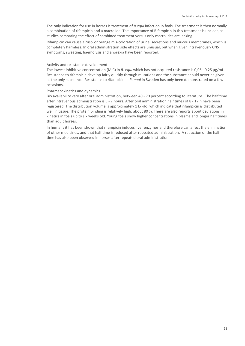The only indication for use in horses is treatment of *R equi* infection in foals. The treatment is then normally a combination of rifampicin and a macrolide. The importance of Rifampicin in this treatment is unclear, as studies comparing the effect of combined treatment versus only macrolides are lacking.

Rifampicin can cause a rust- or orange mis-coloration of urine, secretions and mucous membranes, which is completely harmless. In oral administration side effects are unusual, but when given intravenously CNS symptoms, sweating, haemolysis and anorexia have been reported.

#### Activity and resistance development

The lowest inhibitive concentration (MIC) in *R. equi* which has not acquired resistance is 0,06 - 0,25 µg/mL. Resistance to rifampicin develop fairly quickly through mutations and the substance should never be given as the only substance. Resistance to rifampicin in *R. equi* in Sweden has only been demonstrated on a few occasions.

#### Pharmacokinetics and dynamics

Bio availability vary after oral administration, between 40 - 70 percent according to literature. The half time after intravenous administration is 5 - 7 hours. After oral administration half times of 8 - 17 h have been registered. The distribution volume is approximately 1 L/kilo, which indicate that rifampicin is distributed well in tissue. The protein binding is relatively high, about 80 %. There are also reports about deviations in kinetics in foals up to six weeks old. Young foals show higher concentrations in plasma and longer half times than adult horses.

In humans it has been shown that rifampicin induces liver enzymes and therefore can affect the elimination of other medicines, and that half time is reduced after repeated administration. A reduction of the half time has also been observed in horses after repeated oral administration.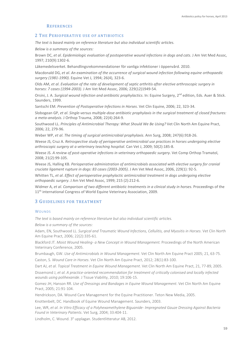# **REFERENCES**

## 2 THE PERIOPERATIVE USE OF ANTIBIOTICS

*The text is based mainly on reference literature but also individual scientific articles.* 

*Below is a summary of the sources:*

Brown DC, *et al*. *Epidemiologic evaluation of postoperative wound infections in dogs and cats*. J Am Vet Med Assoc, 1997; 210(9):1302-6.

Läkemedelsverket. Behandlingsrekommendationer för vanliga infektioner i öppenvård. 2010.

Macdonald DG, *et al*. *An examination of the occurrence of surgical wound infection following equine orthopaedic surgery (1981-1990)*. Equine Vet J, 1994; 26(4), 323-6.

Olds AM, *et al*. *Evaluation of the rate of development of septic arthritis after elective arthroscopic surgery in horses: 7 cases (1994-2003)*. J Am Vet Med Assoc, 2006; 229(12)1949-54.

Orsini, J. A. *Surgical wound infection and antibiotic prophylactics*. In: Equine Surgery, 2<sup>nd</sup> edition, Eds. Auer & Stick. Saunders, 1999.

Santschi EM. *Prevention of Postoperative Infections in Horses*. Vet Clin Equine, 2006; 22, 323-34.

Slobogean GP, *et al*. *Single-versus multiple-dose antibiotic prophylaxis in the surgical treatment of closed fractures: a meta-analysis*. J Orthop Trauma, 2008; 22(4):264-9.

Southwood LL. *Principles of Antimicrobial Therapy: What Should We Be Using?* Vet Clin North Am Equine Pract, 2006; 22, 279-96.

Weber WP, *et al*. *The timing of surgical antimicrobial prophylaxis*. Ann Surg, 2008; 247(6):918-26.

Weese JS, Cruz A. *Retrospective study of perioperative antimicrobial use practices in horses undergoing elective arthroscopic surgery at a veterinary teaching hospital*. Can Vet J, 2009; 50(2):185-8.

Weese JS. *A review of post-operative infections in veterinary orthopaedic surgery*. Vet Comp Orthop Tramatol, 2008; 21(2):99-105.

Weese JS, Halling KB. *Perioperative administration of antimicrobials associated with elective surgery for cranial cruciate ligament rupture in dogs: 83 cases (2003-2005)*. J Am Vet Med Assoc, 2006, 229(1): 92-5.

Whitten TL, *et al*. *Effect of perioperative prophylactic antimicrobial treatment in dogs undergoing elective orthopaedic surgery*. J Am Vet Med Assoc, 1999; 215 (2):212-6.

Widmer A, *et al*. *Comparison of two different antibiotic treatments in a clinical study in horses*. Proceedings of the 11<sup>th</sup> international Congress of World Equine Veterinary Association, 2009.

# 3 GUIDELINES FOR TREATMENT

#### **WOUNDS**

*The text is based mainly on reference literature but also individual scientific articles.* 

*Below is a summary of the sources:*

Adam, EN, Southwood LL. *Surgical and Traumatic Wound Infections, Cellulitis, and Myositis in Horses*. Vet Clin North Am Equine Pract, 2006; 22(2):335-61.

Blackford JT. *Moist Wound Healing- a New Concept in Wound Management.* Proceedings of the North American Veterinary Conference, 2005.

Brumbaugh, GW. *Use of Antimicrobials in Wound Management*. Vet Clin North Am Equine Pract 2005; 21, 63-75. Caston, S. *Wound Care in Horses*. Vet Clin North Am Equine Pract, 2012; 28(1):83-100.

Dart AJ, *et al*. *Topical Treatment in Equine Wound Management*. Vet Clin North Am Equine Pract, 21, 77-89, 2005.

Dissemond J, *et al*. *A practice-oriented recommendation for treatment of critically colonised and locally infected wounds using polihexanide*. J Tissue Viability, 2010; 19:106-15.

Gomez JH, Hanson RR. *Use of Dressings and Bandages in Equine Wound Management*. Vet Clin North Am Equine Pract, 2005; 21:91-104.

Hendrickson, DA. Wound Care Management for the Equine Practitioner. Teton New Media, 2005.

Knottenbelt, DC. Handbook of Equine Wound Management. Saunders, 2003.

Lee, WR, *et al*. *In Vitro Efficacy of a Polyhexamethylene Biguanide- Impregnated Gauze Dressing Against Bacteria Found in Veterinary Patients*. Vet Surg, 2004; 33:404-11.

Lindholm, C. Wound. 3<sup>e</sup> upplagan. Studentlitteratur AB, 2012.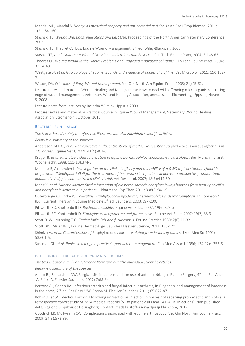Mandal MD, Mandal S. *Honey: its medicinal property and antibacterial activity*. Asian Pac J Trop Biomed, 2011; 1(2):154-160.

Stashak, TS. *Wound Dressings: Indications and Best Use*. Proceedings of the North American Veterinary Conference, 2007.

Stashak, TS, Theoret CL, Eds. Equine Wound Management, 2<sup>nd</sup> ed. Wiley-Blackwell, 2008.

Stashak TS, *et al*. *Update on Wound Dressings: Indications and Best Use*. Clin Tech Equine Pract, 2004; 3:148-63.

Theoret CL. *Wound Repair in the Horse: Problems and Proposed Innovative Solutions*. Clin Tech Equine Pract, 2004; 3:134-40.

Westgate SJ, *et al*. *Microbiology of equine wounds and evidence of bacterial biofilms*. Vet Microbiol, 2011; 150:152- 9.

Wilson, DA. *Principles of Early Wound Management*. Vet Clin North Am Equine Pract, 2005; 21,:45-62.

Lecture notes and material. Wound Healing and Management: How to deal with offending microorganisms, cutting edge of wound management. Veterinary Wound Healing Association, annual scientific meeting, Uppsala, November 5, 2008.

Lecture notes from lectures by Jacintha Wilmink Uppsala 2009.

Lectures notes and material. A Practical Course in Equine Wound Management, Veterinary Wound Healing Association, Strömsholm, October 2010.

#### BACTERIAL SKIN DISEASE

*The text is based mainly on reference literature but also individual scientific articles.* 

*Below is a summary of the sources:*

Andersson M.E.C., *et al*. *Retrospective multicentre study of methicillin-resistant* Staphylococcus aureus *infections in 115 horses*. Equine Vet J, 2009; 41(4):401-5.

Kruger B, *et al*. *Phenotypic characterization of equine Dermatophilus congolensis field isolates*. Berl Munch Tierarztl Wochenschr, 1998; 111(10):374-8.

Marsella R, Akucewich L. *Investigation on the clinical efficacy and tolerability of a 0,4% topical stannous flouride preparation (MedEquine® Gel) for the treatment of bacterial skin infections in horses: a prospective, randomized, double-blinded, placebo-controlled clinical trial*. Vet Dermatol, 2007; 18(6):444-50.

Meng X, *et al. Direct evidence for the formation of diastereoisomeric benzylpenicilloyl haptens from benzylpenicillin and benzylpenicillenic acid in patients.* J Pharmacol Exp Ther, 2011; 338(3):841-9.

Outerbridge CA, Ihrke PJ: *Folliculitis: Staphylococcal pyoderma, dermatophilosis, dermatophytosis*. In Robinson NE (Ed): Current Therapy in Equine Medicine 5<sup>th</sup> ed. Saunders, 2003;197-200.

Pilsworth RC, Knottenbelt D. *Bacterial folliculitis.* Equine Vet Educ, 2007; 19(6):324-5.

Pilsworth RC, Knottenbelt D. *Staphylococcal pyoderma and furunculosis*. Equine Vet Educ, 2007; 19(2):88-9.

Scott D. W., Manning T.O. *Equine folliculitis and furunculosis*. Equine Practice 1980; 2(6):11-32.

Scott DW, Miller WH, Equine Dermatology. Saunders Elsevier Science, 2011: 130-170.

Shimizu A., *et al*. *Characteristics of* Staphylococcus aureus *isolated from lesions of horses.* J Vet Med Sci 1991; 53:601-6.

Sussman GL, *et al. Penicillin allergy: a practical approach to management.* Can Med Assoc J, 1986; 134(12):1353-6.

#### INFECTION IN OR PERFORATION OF SYNOVIAL STRUCTURES

*The text is based mainly on reference literature but also individual scientific articles.* 

*Below is a summary of the sources:*

Ahern BJ, Richardson DW. Surgical site infections and the use of antimicrobials, In Equine Surgery, 4<sup>th</sup> ed. Eds Auer JA, Stick JA. Elsevier Saunders. 2012; 7:68-84.

Bertone AL, Cohen JM. Infectious arthritis and fungal infectious arthritis, In Diagnosis and management of lameness in the horse, 2<sup>nd</sup> ed. Eds Ross MW, Dyson SJ. Elsevier Saunders. 2011; 65:677-87.

Bohlin A, *et al*. Infectious arthritis following intraarticular injection in horses not receiving prophylactic antibiotics: a retrospective cohort study of 2834 medical records (5138 patient visits and 14124 i.a. injections). Non published data, Regiondjursjukhuset Helsingborg. Contact: mads.kristoffersen@djursjukhus.com; 2012.

Goodrich LR, McIlwraith CW. Complications associated with equine arthroscopy. Vet Clin North Am Equine Pract, 2009; 24(3):573-89.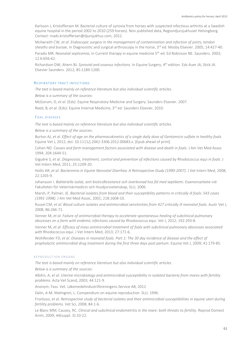Karlsson J, Kristoffersen M. Bacterial culture of synovia from horses with suspected infectious arthritis at a Swedish equine hospital in the period 2002 to 2010 (259 horses). Non published data, Regiondjursjukhuset Helsingborg. Contact: mads.kristoffersen@djursjukhus.com, 2012.

McIlwraith CW, *et al*. *Endoscopic surgery in the management of contamination and infection of joints, tendon*  sheaths and bursae, In Diagnosistic and surgical arthroscopy in the horse, 3<sup>rd</sup> ed. Mosby Elsevier. 2005; 14:427-40.

Paradis MR. *Neonatal septicemia*, In Current therapy in equine medicine 5th ed. Ed Robinson NE. Saunders. 2003; 12.6:656-62.

Richardson DW, Ahern BJ. *Synovial and osseous infections*. In Equine Surgery, 4th edition. Eds Auer JA, Stick JA. Elsevier Saunders. 2012; 85:1189-1200.

#### RESPIRATORY TRACT INFECTIONS

*The text is based mainly on reference literature but also individual scientific articles.* 

*Below is a summary of the sources:*

McGorum, D, *et al*. (Eds): Equine Respiratory Medicine and Surgery. Saunders Elsevier. 2007.

Reed, B, *et al*. (Eds): Equine Internal Medicine, 3rd ed. Saunders Elsevier, 2010.

#### FOAL DISEASES

*The text is based mainly on reference literature but also individual scientific articles.* 

*Below is a summary of the sources:*

Burton AJ, *et al*. *Effect of age on the pharmacokinetics of a single daily dose of Gentamicin sulfate in healthy foals*. Equine Vet J, 2012; doi: 10.1111/j.2042-3306.2012.00683.x. [Epub ahead of print].

Cohen ND. *Causes and farm management factors associated with disease and death in foals*. J Am Vet Med Assoc 1994; 204:1644-51.

Giguére S, *et al*. *Diagnosisis, treatment, control and prevention of infections caused by* Rhodococcus equi *in foals*. J Vet Intern Med, 2011; 25:1209-20.

Hollis AR, *et al*. *Bacteremia in Equine Neonatal Diarrhea: A Retrospective Study (1990-2007)*. J Vet Intern Med, 2008; 22:1203-9.

Johansson I. *Bakteriella isolat, anti bioticsResistance och överlevnad hos föl med septikemi*. Examensarbete vid Fakulteten för Veterinärmedicin och Husdjursvetenskap, SLU, 2006.

Marsh, P, Palmer, JE. *Bacterial isolates from blood and their susceptibility patterns in critically ill foals: 543 cases (1991-1998)*. J Am Vet Med Assoc, 2001; 218:1608-10.

Russel CM, *et al*. *Blood culture isolates and antimicrobial sensitivities from 427 critically ill neonatal foals*. Austr Vet J, 2008; 86:266-71.

Venner M, *et al*. *Failure of antimicrobial therapy to accelerate spontaneous healing of subclinical pulmonary abscesses on a farm with endemic infections caused by* Rhodococcus equi. Vet J, 2012; 192:293-8.

Venner M, *et al*. *Efficacy of mass antimicrobial treatment of foals with subclinical pulmonary abscesses associated with* Rhodococcus equi. J Vet Intern Med, 2013; 27:171-6.

Wohlfender FD, *et al*. *Diseases in neonatal foals. Part 1: The 30 day incidence of disease and the effect of prophylactic antimicrobial drug treatment during the first three days post partum*. Equine Vet J, 2009; 41:179-85.

#### REPRODUCTION ORGANS

*The text is based mainly on reference literature but also individual scientific articles.* 

*Below is a summary of the sources:*

Albihn, A, *et al*. *Uterine microbiology and antimicrobial susceptibility in isolated bacteria from mares with fertility problems*. Acta Vet Scand, 2003; 44:121-9.

Anonym. Fass. Vet. Läkemedelindustriföreningens Service AB, 2012

Dalin, A-M, Malmgren, L. Compendium on equine reproduction. SLU, 1996.

Frontoso, *et al*. *Retrospective study of becterial isolates and their antimicrobial susceptibilities in equine uteri during fertility problems*. Vet Sci, 2008; 84:1-6.

Le Blanc MM, Causey, RC. *Clinical and subclinical endometritis in the mare: both threats to fertility*. Reprod Domest Anim, 2009; 44(suppl. 3):10-22.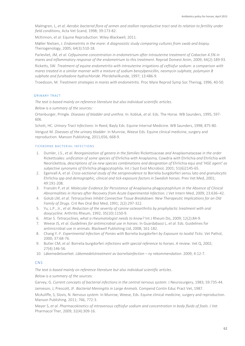Malmgren, L, *et al*. *Aerobic bacterial flora of semen and stallion reproductive tract and its relation to fertility under field conditions*, Acta Vet Scand, 1998; 39:173-82.

McKinnon, *et al*. Equine Reproduction. Wiley-Blackwell, 2011.

Møller Nielsen, J. *Endometritis in the mare: A diagnosistic study comparing cultures from swab and biopsy.* Theriogenology, 2005; 64(3):510-18.

Parlevliet, JM, *et al*. *Cefquinome concentration in endometrium after intrauterine treatment of Cobactan 4.5% in mares and inflammatory response of the endometrium to this treatment*. Reprod Domest Anim, 2009; 44(2):189-93.

Ricketts, SW. *Treatment of equine endometritis with intrauterine irrigations of ceftiofur sodium: a comparison with mares treated in a similar manner with a mixture of sodium benzylpenicillin, neomycin sulphate, polymyxin B sulphate and furaltadone hydrochloride*. Pferdeheilkunde, 1997; 13:486-9.

Troedsson, M. *Treatment strategies in mares with endometritis*. Proc Mare Reprod Symp Soc Theriog, 1996; 40-50.

#### URINARY TRACT

*The text is based mainly on reference literature but also individual scientific articles.* 

*Below is a summary of the sources:*

Ortenburger, Pringle. *Diseases of bladder and urethra*. In: Kobluk, *et al*. Eds. The Horse. WB Saunders, 1995; 597- 606.

Schott, HC. *Urinary Tract Infections*: In Reed, Bayly Eds. Equine Internal Medicine. WB Saunders, 1998; 875-80. Vengust M. *Diseases of the urinary bladder*. In Munroe, Weese Eds. Equine clinical medicine, surgery and

reproduction. Manson Publishing, 2011;656, 668-9.

#### TICKBORNE BACTERIAL INFECTIONS

- 1. Dumler, J.S., *et al*. *Reorganization of genera in the families* Rickettsiaceae *and* Anaplasmataceae *in the order*  Rickettsiales*: unification of some species of* Ehrlichia *with* Anaplasma*,* Cowdria *with* Ehrlichia *and* Ehrlichia *with*  Neorickettsia*, descriptions of six new species combinations and designation of* Ehrlichia equi *and 'HGE agent' as subjective synonyms of* Ehrlichia phagocytophila. Int J Syst Evol Microbiol, 2001; 51(6)2145-65.
- 2. Egenvall A, *et al*. *Cross-sectional study of the seroprevalence to* Borrelia burgdorferi sensu lato *and granulocytic* Ehrlichia *spp and demographic, clinical and tick-exposure factors in Swedish horses*. Prev Vet Med, 2001; 49:191-208.
- 3. Franzén P, *et al*. *Molecular Evidence for Persistence of* Anaplasma phagocytophilum *in the Absence of Clinical Abnormalities in Horses after Recovery from Acute Experimental Infection.* J Vet Intern Med, 2009; 23:636–42.
- 4. Golub LM, *et al*. *Tetracyclines Inhibit Connective Tissue Breakdown: New Therapeutic Implications for an Old Family of Drugs*. Crit Rev Oral Biol Med, 1991; 2(2):297-322.
- 5. Yu, L.P., Jr., *et al*. *Reduction of the severity of canine osteoarthritis by prophylactic treatment with oral doxycycline*. Arthritis Rheum, 1992; 35(10):1150-9.
- 6. Attar S. *Tetracyclines, what a rheumatologist needs to know?* [Int J Rheum Dis,](http://www.ncbi.nlm.nih.gov/pubmed/20374324) 2009; 12(2):84-9.
- 7. Weese JS, *et al*. *Guidelines for antimicrobial use in horses*. In Guardabassi L, *et al*. Eds. Guidelines for antimicrobial use in animals. Blackwell Publishing Ltd, 2008; 161-182.
- 8. Chang Y.-F. *Experimental Infection of Ponies with* Borrelia burgdorferi *by Exposure to Ixodid Ticks*. Vet Pathol, 2000; 37:68-76.
- 9. Butler CM, *et al*. Borrelia burgdorferi *infections with special reference to horses. A review*. Vet Q, 2002; 27(4):146-56.
- 10. Läkemedelsverket. *Läkemedelstreatment av borreliainfection – ny rekommendation*. 2009; 4:12-7.

# **CNS**

*The text is based mainly on reference literature but also individual scientific articles.* 

*Below is a summary of the sources:*

Garvey, G. *Current concepts of bacterial infections in the central nervous system*. J Neurosurgery, 1983; 59:735-44. Jamieson, J, Prescott, JF. *Bacterial Meningitis in Large Animals*. Compend Contin Educ Pract Vet, 1987.

McAuliffe, S, Slovis, N. *Nervous system*. In Munroe, Weese, Eds. Equine clinical medicine, surgery and reproduction. Manson Publishing. 2011; 766, 772-3.

[Meyer S,](http://www.ncbi.nlm.nih.gov/pubmed?term=Meyer%20S%5BAuthor%5D&cauthor=true&cauthor_uid=19614835) *et al*. *Pharmacokinetics of intravenous ceftiofur sodium and concentration in body fluids of foals*[. J Vet](http://www.ncbi.nlm.nih.gov/pubmed/19614835)  [Pharmacol Ther,](http://www.ncbi.nlm.nih.gov/pubmed/19614835) 2009; 32(4):309-16.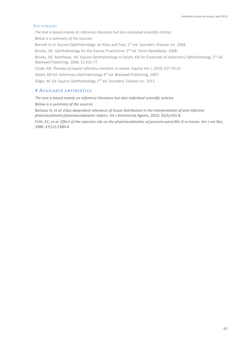#### EYE DISEASES

*The text is based mainly on reference literature but also individual scientific articles.* 

*Below is a summary of the sources:*

Barnett *et al*. Equine Ophthalmology: an Atlas and Text, 2nd ed. Saunders, Elsevier Inc. 2004.

Brooks, DE. Ophthalmology for the Equine Practitioner 2<sup>nd</sup> ed. Teton NewMedia. 2008.

Brooks, DE, Matthews, AG. *Equine Ophthalmology* In Gelatt, KN Ed. Essentials of Veterinary Ophthalmology 2<sup>nd</sup> ed. Blackwell Publishing. 2008; 12:331-77.

Clode, AB. *Therapy of equine infectious keratitis: A review*. Equine Vet J, 2010; S37:19-23.

Gelatt, KN Ed. Veterinary Ophthalmology 4<sup>th</sup> ed. Blackwell Publishing. 2007.

Gilger, BC Ed. Equine Ophthalmology 2<sup>nd</sup> ed. Saunders, Elsevier Inc. 2011.

# 4 AVAILABLE ANTIBIOTICS

*The text is based mainly on reference literature but also individual scientific articles. Below is a summary of the sources:*

Barbour A, *et al*. *Class-dependent relevance of tissue distribution in the interpretation of anti-infective pharmacokinetic/pharmacodynamic indices*. Int J Antimicrob Agents, 2010; 35(5):431-8.

Firth, EC, *et al*. *Effect of the injection site on the pharmacokinetics of procaine penicillin-G in horses*. Am J vet Res, 1986; 47(11):2380-4.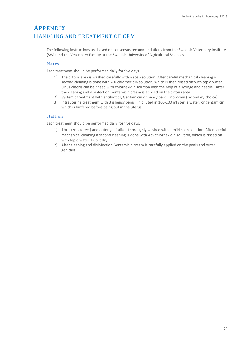# APPENDIX 1 HANDLING AND TREATMENT OF CEM

The following instructions are based on consensus recommendations from the Swedish Veterinary Institute (SVA) and the Veterinary Faculty at the Swedish University of Agricultural Sciences.

# Mares

Each treatment should be performed daily for five days.

- 1) The clitoris area is washed carefully with a soap solution. After careful mechanical cleaning a second cleaning is done with 4 % chlorhexidin solution, which is then rinsed off with tepid water. Sinus clitoris can be rinsed with chlorhexidin solution with the help of a syringe and needle. After the cleaning and disinfection Gentamicin cream is applied on the clitoris area.
- 2) Systemic treatment with antibiotics; Gentamicin or bensylpencillinprocain (secondary choice).
- 3) Intrauterine treatment with 3 g bensylpenicillin diluted in 100-200 ml sterile water, or gentamicin which is buffered before being put in the uterus.

# Stallion

Each treatment should be performed daily for five days.

- 1) The penis (erect) and outer genitalia is thoroughly washed with a mild soap solution. After careful mechanical cleaning a second cleaning is done with 4 % chlorhexidin solution, which is rinsed off with tepid water. Rub it dry.
- 2) After cleaning and disinfection Gentamicin cream is carefully applied on the penis and outer genitalia.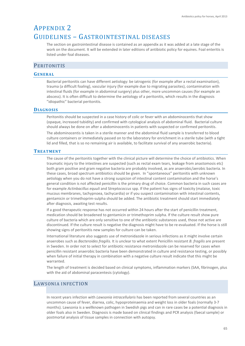# APPENDIX 2 GUIDELINES – GASTROINTESTINAL DISEASES

The section on gastrointestinal disease is contained as an appendix as it was added at a late stage of the work on the document. It will be extended in later editions of antibiotic policy for equines. Foal enteritis is listed under foal diseases.

# **PERITONITIS**

# **GENERAL**

Bacterial peritonitis can have different aetiology: be iatrogenic (for example after a rectal examination), trauma (a difficult foaling), vascular injury (for example due to migrating parasites), contamination with intestinal fluids (for example in abdominal surgery) plus other, more uncommon causes (for example an abscess). It is often difficult to determine the aetiology of a peritonitis, which results in the diagnosis "idiopathic" bacterial peritonitis.

# **DIAGNOSIS**

Peritonitis should be suspected in a case history of colic or fever with an abdominocentis that show (opaque, increased tubidity) and confirmed with cytological analysis of abdominal fluid. Bacterial culture should always be done on after a abdominocentis in patients with suspected or confirmed peritonitis.

The abdominocentis is taken in a sterile manner and the abdominal fluid sample is transferred to blood culture containers or immediately passed on to the laboratory for enrichment in a sterile tube (with a tight lid and filled, that is so no remaining air is available, to facilitate survival of any anaerobic bacteria).

# **TREATMENT**

The cause of the peritonitis together with the clinical picture will determine the choice of antibiotics. When traumatic injury to the intestines are suspected (such as rectal exam tears, leakage from anastomosis etc) both gram positive and gram negative bacteria are probably involved, as are anaerobic/aerobic bacteria. In these cases, broad spectrum antibiotics should be given. In "spontaneous" peritonitis with unknown aetiology when you do not have a strong suspicion of intestinal content contamination and the horse's general condition is not affected penicillin is the primary drug of choice. Common bacteria in such cases are for example *Actinbacillus equuli* and S*treptococcus* spp. If the patient has signs of toxicity (malaise, toxic mucous membranes, tachypnoea, tachycardia) or if you suspect contamination with intestinal contents, gentamicin or trimethoprim-sulpha should be added. The antibiotic treatment should start immediately after diagnosis, awaiting test results.

If a good therapeutic response has not occurred within 24 hours after the start of penicillin treatment, medication should be broadened to gentamicin or trimethoprim sulpha. If the culture result show pure culture of bacteria which are only sensitive to one of the antibiotic substances used, those not active are discontinued. If the culture result is negative the diagnosis might have to be re-evaluated. If the horse is still showing signs of peritonitis new samples for culture can be taken.

International literature also suggests use of metronidazole in serious infections as it might involve certain anaerobes such as *Bacteroides fragilis.* It is unclear to what extent Penicillin resistant *B. fragilis* are present in Sweden. In order not to select for antibiotic resistance metronidazole can be reserved for cases when penicillin resistant anaerobic bacteria have been demonstrated in culture and resistance testing, or possibly when failure of initial therapy in combination with a negative culture result indicate that this might be warranted.

The length of treatment is decided based on clinical symptoms, inflammation markers (SAA, fibrinogen, plus with the aid of abdominal paracentesis (cytology).

# LAWSONIA INFECTION

In recent years infection with *Lawsonia intracellularis* has been reported from several countries as an uncommon cause of fever, diarrea, colic, hypoproteinaemia and weight loss in older foals (normally 3-7 months). Lawsonia is a wellknown pathogen in Swedish pigs and can in rare cases be a potential diagnosis in older foals also in Sweden. Diagnosis is made based on clinical findings and PCR analysis (faecal sample) or postmortal analysis of tissue samples in connection with autopsy.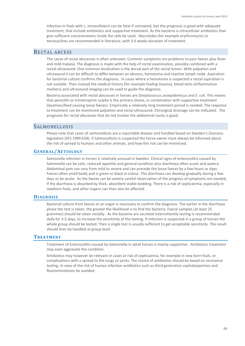Infection in foals with *L. intracellularis* can be fatal if untreated, but the prognosis is good with adequate treatment, that include antibiotics and supportive treatment. As the bacteria is intracellular antibiotics that give sufficient concentrations inside the cells be used. Macrolides (for example erythromycin) or tetracyclines are recommended in literature, with 3-6 weeks duration of treatment.

# RECTAL ABCESS

The cause of rectal abscesses is often unknown. Common symptoms are problems to pass faeces plus fever and mild malaise. The diagnosis is made with the help of rectal examination, possibly combined with a rectal ultrasound. One common localisation is the dorsal part of the rectal lumen. With palpation and ultrasound it can be difficult to differ between an abscess, hematoma and reactive lymph node. Aspiration for bacterial culture confirms the diagnosis. In cases where a hematoma is suspected a rectal aspiration is not suitable. Then instead the medical history (for example foaling trauma), blood tests (inflammation markers) and ultrasound imaging can be used to guide the diagnosis.

Bacteria associated with rectal abscesses in horses are *Streptococcus zooepidemicus* and *E. coli.* This means that penicillin or trimetroprim sulpha is the primary choice, in combination with supportive treatment (laxatives/feed causing loose faeces). Empirically a relatively long treatment period is needed. The response to treatment can be monitored palpation and rectal ultrasound. Chirurgical drainage can be indicated. The prognosis for rectal abscesses that do not involve the abdominal cavity is good.

# SALMONELLOSIS

Please note that cases of salmonellosis are a reportable disease and handled based on Sweden's Zoonosis legislation (SFS 1999:658). If Salmonellosis is suspected the horse owner must always be informed about the risk of spread to humans and other animals, and how this risk can be minimized.

# **GENERAL/AETIOLOGY**

Salmonella infection in horses is relatively unusual in Sweden. Clinical signs of enterocolitis caused by Salmonella can be colic, reduced appetite and general condition plus diarrhoea often acute and watery. Abdominal pain can vary from mild to severe and can precede the loose faeces by a few hours or days. Faeces often smell badly and is green or black in colour. The diarrhoea can develop gradually during a few days or be acute. As the faeces can be watery careful observation of the progress of symptoms are needed, if the diarrhoea is absorbed by thick, absorbent stable bedding. There is a risk of septicaemia, especially in newborn foals, and other organs can then also be affected.

# **DIAGNOSIS**

Bacterial culture from faeces or an organ is necessary to confirm the diagnosis. The earlier in the diarrhoea phase the test is taken, the greater the likelihood is to find the bacteria. Faecal samples (at least 25 grammes) should be taken rectally. As the bacteria are secreted intermittently testing is recommended daily for 3-5 days, to increase the sensitivity of the testing. If infection is suspected in a group of horses the whole group should be tested. Then a single test is usually sufficient to get acceptable sensitivity. The result should then be handled at group level.

# **TREATMENT**

Treatment of Enterocolitis caused by Salmonella in adult horses is mainly supportive. Antibiotics treatment may even aggravate the condition.

Antibiotics may however be relevant in cases at risk of septicaemia, for example in new born foals, or complications with a spread to the lungs or joints. The choice of antibiotics should be based on resistance testing. In view of the risk of human infection antibiotics such as third generation cephalosporines and fluorochinolones be avoided.